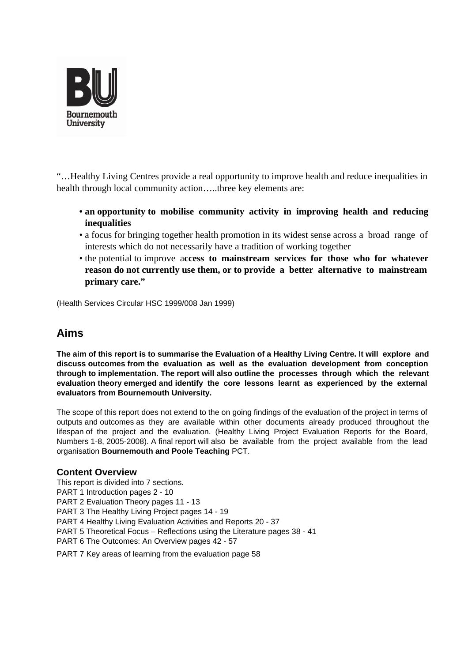

"…Healthy Living Centres provide a real opportunity to improve health and reduce inequalities in health through local community action....three key elements are:

- **an opportunity to mobilise community activity in improving health and reducing inequalities**
- a focus for bringing together health promotion in its widest sense across a broad range of interests which do not necessarily have a tradition of working together
- the potential to improve a**ccess to mainstream services for those who for whatever reason do not currently use them, or to provide a better alternative to mainstream primary care."**

(Health Services Circular HSC 1999/008 Jan 1999)

## **Aims**

**The aim of this report is to summarise the Evaluation of a Healthy Living Centre. It will explore and discuss outcomes from the evaluation as well as the evaluation development from conception through to implementation. The report will also outline the processes through which the relevant evaluation theory emerged and identify the core lessons learnt as experienced by the external evaluators from Bournemouth University.**

The scope of this report does not extend to the on going findings of the evaluation of the project in terms of outputs and outcomes as they are available within other documents already produced throughout the lifespan of the project and the evaluation. (Healthy Living Project Evaluation Reports for the Board, Numbers 1-8, 2005-2008). A final report will also be available from the project available from the lead organisation **Bournemouth and Poole Teaching** PCT.

## **Content Overview**

This report is divided into 7 sections. PART 1 Introduction pages 2 - 10 PART 2 Evaluation Theory pages 11 - 13 PART 3 The Healthy Living Project pages 14 - 19 PART 4 Healthy Living Evaluation Activities and Reports 20 - 37 PART 5 Theoretical Focus – Reflections using the Literature pages 38 - 41 PART 6 The Outcomes: An Overview pages 42 - 57

PART 7 Key areas of learning from the evaluation page 58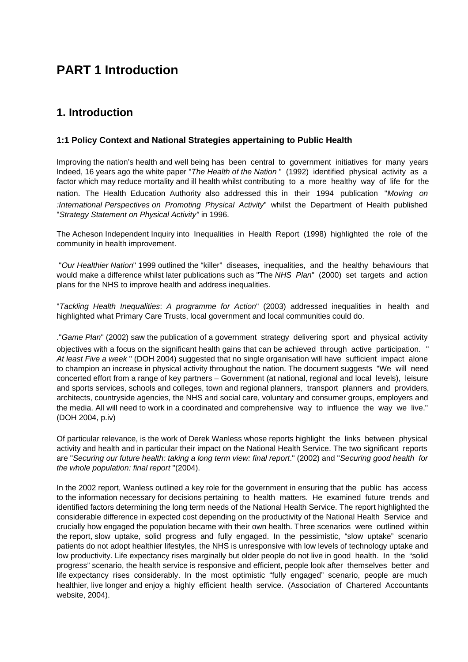## **PART 1 Introduction**

## **1. Introduction**

## **1:1 Policy Context and National Strategies appertaining to Public Health**

Improving the nation's health and well being has been central to government initiatives for many years Indeed, 16 years ago the white paper "The Health of the Nation " (1992) identified physical activity as a factor which may reduce mortality and ill health whilst contributing to a more healthy way of life for the nation. The Health Education Authority also addressed this in their 1994 publication "Moving on :International Perspectives on Promoting Physical Activity" whilst the Department of Health published "Strategy Statement on Physical Activity" in 1996.

The Acheson Independent Inquiry into Inequalities in Health Report (1998) highlighted the role of the community in health improvement.

 "Our Healthier Nation" 1999 outlined the "killer" diseases, inequalities, and the healthy behaviours that would make a difference whilst later publications such as "The NHS Plan" (2000) set targets and action plans for the NHS to improve health and address inequalities.

"Tackling Health Inequalities: A programme for Action" (2003) addressed inequalities in health and highlighted what Primary Care Trusts, local government and local communities could do.

."Game Plan" (2002) saw the publication of a government strategy delivering sport and physical activity objectives with a focus on the significant health gains that can be achieved through active participation. " At least Five a week" (DOH 2004) suggested that no single organisation will have sufficient impact alone to champion an increase in physical activity throughout the nation. The document suggests "We will need concerted effort from a range of key partners – Government (at national, regional and local levels), leisure and sports services, schools and colleges, town and regional planners, transport planners and providers, architects, countryside agencies, the NHS and social care, voluntary and consumer groups, employers and the media. All will need to work in a coordinated and comprehensive way to influence the way we live." (DOH 2004, p.iv)

Of particular relevance, is the work of Derek Wanless whose reports highlight the links between physical activity and health and in particular their impact on the National Health Service. The two significant reports are "Securing our future health: taking a long term view: final report." (2002) and "Securing good health for the whole population: final report "(2004).

In the 2002 report, Wanless outlined a key role for the government in ensuring that the public has access to the information necessary for decisions pertaining to health matters. He examined future trends and identified factors determining the long term needs of the National Health Service. The report highlighted the considerable difference in expected cost depending on the productivity of the National Health Service and crucially how engaged the population became with their own health. Three scenarios were outlined within the report, slow uptake, solid progress and fully engaged. In the pessimistic, "slow uptake" scenario patients do not adopt healthier lifestyles, the NHS is unresponsive with low levels of technology uptake and low productivity. Life expectancy rises marginally but older people do not live in good health. In the "solid progress" scenario, the health service is responsive and efficient, people look after themselves better and life expectancy rises considerably. In the most optimistic "fully engaged" scenario, people are much healthier, live longer and enjoy a highly efficient health service. (Association of Chartered Accountants website, 2004).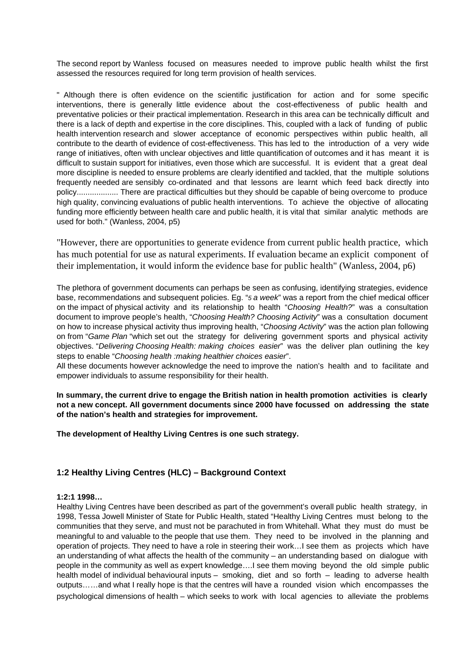The second report by Wanless focused on measures needed to improve public health whilst the first assessed the resources required for long term provision of health services.

" Although there is often evidence on the scientific justification for action and for some specific interventions, there is generally little evidence about the cost-effectiveness of public health and preventative policies or their practical implementation. Research in this area can be technically difficult and there is a lack of depth and expertise in the core disciplines. This, coupled with a lack of funding of public health intervention research and slower acceptance of economic perspectives within public health, all contribute to the dearth of evidence of cost-effectiveness. This has led to the introduction of a very wide range of initiatives, often with unclear objectives and little quantification of outcomes and it has meant it is difficult to sustain support for initiatives, even those which are successful. It is evident that a great deal more discipline is needed to ensure problems are clearly identified and tackled, that the multiple solutions frequently needed are sensibly co-ordinated and that lessons are learnt which feed back directly into policy................... There are practical difficulties but they should be capable of being overcome to produce high quality, convincing evaluations of public health interventions. To achieve the objective of allocating funding more efficiently between health care and public health, it is vital that similar analytic methods are used for both." (Wanless, 2004, p5)

"However, there are opportunities to generate evidence from current public health practice, which has much potential for use as natural experiments. If evaluation became an explicit component of their implementation, it would inform the evidence base for public health" (Wanless, 2004, p6)

The plethora of government documents can perhaps be seen as confusing, identifying strategies, evidence base, recommendations and subsequent policies. Eq. "5 a week" was a report from the chief medical officer on the impact of physical activity and its relationship to health "Choosing Health?" was a consultation document to improve people's health, "Choosing Health? Choosing Activity" was a consultation document on how to increase physical activity thus improving health, "Choosing Activity" was the action plan following on from "Game Plan "which set out the strategy for delivering government sports and physical activity objectives. "Delivering Choosing Health: making choices easier" was the deliver plan outlining the key steps to enable "Choosing health :making healthier choices easier".

All these documents however acknowledge the need to improve the nation's health and to facilitate and empower individuals to assume responsibility for their health.

**In summary, the current drive to engage the British nation in health promotion activities is clearly not a new concept. All government documents since 2000 have focussed on addressing the state of the nation's health and strategies for improvement.**

**The development of Healthy Living Centres is one such strategy.**

## **1:2 Healthy Living Centres (HLC) – Background Context**

#### **1:2:1 1998…**

Healthy Living Centres have been described as part of the government's overall public health strategy, in 1998, Tessa Jowell Minister of State for Public Health, stated "Healthy Living Centres must belong to the communities that they serve, and must not be parachuted in from Whitehall. What they must do must be meaningful to and valuable to the people that use them. They need to be involved in the planning and operation of projects. They need to have a role in steering their work…I see them as projects which have an understanding of what affects the health of the community – an understanding based on dialogue with people in the community as well as expert knowledge….I see them moving beyond the old simple public health model of individual behavioural inputs – smoking, diet and so forth – leading to adverse health outputs……and what I really hope is that the centres will have a rounded vision which encompasses the psychological dimensions of health – which seeks to work with local agencies to alleviate the problems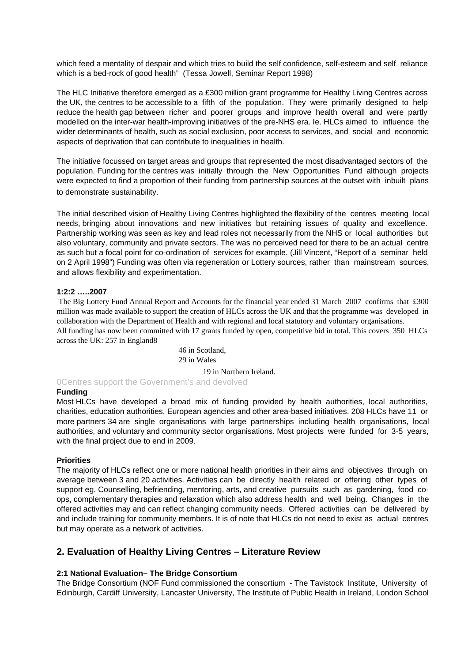which feed a mentality of despair and which tries to build the self confidence, self-esteem and self reliance which is a bed-rock of good health" (Tessa Jowell, Seminar Report 1998)

The HLC Initiative therefore emerged as a £300 million grant programme for Healthy Living Centres across the UK, the centres to be accessible to a fifth of the population. They were primarily designed to help reduce the health gap between richer and poorer groups and improve health overall and were partly modelled on the inter-war health-improving initiatives of the pre-NHS era. Ie. HLCs aimed to influence the wider determinants of health, such as social exclusion, poor access to services, and social and economic aspects of deprivation that can contribute to inequalities in health.

The initiative focussed on target areas and groups that represented the most disadvantaged sectors of the population. Funding for the centres was initially through the New Opportunities Fund although projects were expected to find a proportion of their funding from partnership sources at the outset with inbuilt plans to demonstrate sustainability.

The initial described vision of Healthy Living Centres highlighted the flexibility of the centres meeting local needs, bringing about innovations and new initiatives but retaining issues of quality and excellence. Partnership working was seen as key and lead roles not necessarily from the NHS or local authorities but also voluntary, community and private sectors. The was no perceived need for there to be an actual centre as such but a focal point for co-ordination of services for example. (Jill Vincent, "Report of a seminar held on 2 April 1998") Funding was often via regeneration or Lottery sources, rather than mainstream sources, and allows flexibility and experimentation.

#### **1:2:2 …..2007**

 The Big Lottery Fund Annual Report and Accounts for the financial year ended 31 March 2007 confirms that £300 million was made available to support the creation of HLCs across the UK and that the programme was developed in collaboration with the Department of Health and with regional and local statutory and voluntary organisations. All funding has now been committed with 17 grants funded by open, competitive bid in total. This covers 350 HLCs across the UK: 257 in England8

> 46 in Scotland, 29 in Wales

> > 19 in Northern Ireland.

0Centres support the Government's and devolved

#### **Funding**

Most HLCs have developed a broad mix of funding provided by health authorities, local authorities, charities, education authorities, European agencies and other area-based initiatives. 208 HLCs have 11 or more partners 34 are single organisations with large partnerships including health organisations, local authorities, and voluntary and community sector organisations. Most projects were funded for 3-5 years, with the final project due to end in 2009.

#### **Priorities**

The majority of HLCs reflect one or more national health priorities in their aims and objectives through on average between 3 and 20 activities. Activities can be directly health related or offering other types of support eg. Counselling, befriending, mentoring, arts, and creative pursuits such as gardening, food coops, complementary therapies and relaxation which also address health and well being. Changes in the offered activities may and can reflect changing community needs. Offered activities can be delivered by and include training for community members. It is of note that HLCs do not need to exist as actual centres but may operate as a network of activities.

## **2. Evaluation of Healthy Living Centres – Literature Review**

#### **2:1 National Evaluation– The Bridge Consortium**

The Bridge Consortium (NOF Fund commissioned the consortium - The Tavistock Institute, University of Edinburgh, Cardiff University, Lancaster University, The Institute of Public Health in Ireland, London School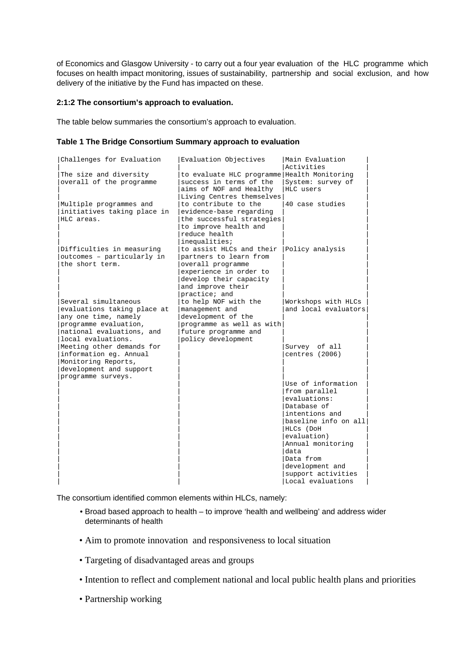of Economics and Glasgow University - to carry out a four year evaluation of the HLC programme which focuses on health impact monitoring, issues of sustainability, partnership and social exclusion, and how delivery of the initiative by the Fund has impacted on these.

#### **2:1:2 The consortium's approach to evaluation.**

The table below summaries the consortium's approach to evaluation.

#### **Table 1 The Bridge Consortium Summary approach to evaluation**

| Challenges for Evaluation                                                                                                                               | Evaluation Objectives                                                                                                                                             | Main Evaluation<br>Activities                                                                                                                                                                         |
|---------------------------------------------------------------------------------------------------------------------------------------------------------|-------------------------------------------------------------------------------------------------------------------------------------------------------------------|-------------------------------------------------------------------------------------------------------------------------------------------------------------------------------------------------------|
| The size and diversity<br>overall of the programme                                                                                                      | to evaluate HLC programme Health Monitoring<br>success in terms of the<br>aims of NOF and Healthy<br>Living Centres themselves                                    | System: survey of<br>HLC users                                                                                                                                                                        |
| Multiple programmes and<br>initiatives taking place in<br>HLC areas.                                                                                    | to contribute to the<br>evidence-base regarding<br>the successful strategies<br>to improve health and<br>reduce health<br>inequalities;                           | 40 case studies                                                                                                                                                                                       |
| Difficulties in measuring<br>outcomes - particularly in<br>the short term.                                                                              | to assist HLCs and their<br>partners to learn from<br>overall programme<br>experience in order to<br>develop their capacity<br>and improve their<br>practice; and | Policy analysis                                                                                                                                                                                       |
| Several simultaneous<br>evaluations taking place at<br>any one time, namely<br>programme evaluation,<br>national evaluations, and<br>local evaluations. | to help NOF with the<br>management and<br>development of the<br>programme as well as with<br>future programme and<br>policy development                           | Workshops with HLCs<br>and local evaluators                                                                                                                                                           |
| Meeting other demands for<br>information eg. Annual<br>Monitoring Reports,<br>development and support<br>programme surveys.                             |                                                                                                                                                                   | Survey of all<br>centres (2006)                                                                                                                                                                       |
|                                                                                                                                                         |                                                                                                                                                                   | Use of information<br>from parallel<br>evaluations:<br>Database of<br>intentions and<br>baseline info on all<br>HLCs (DoH<br>evaluation)<br>Annual monitoring<br>data<br>Data from<br>development and |
|                                                                                                                                                         |                                                                                                                                                                   | support activities<br>Local evaluations                                                                                                                                                               |

The consortium identified common elements within HLCs, namely:

- Broad based approach to health to improve 'health and wellbeing' and address wider determinants of health
- Aim to promote innovation and responsiveness to local situation
- Targeting of disadvantaged areas and groups
- Intention to reflect and complement national and local public health plans and priorities
- Partnership working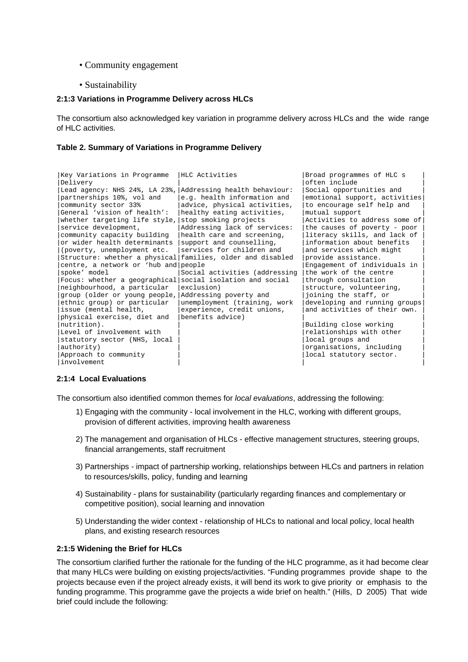- Community engagement
- Sustainability

#### **2:1:3 Variations in Programme Delivery across HLCs**

The consortium also acknowledged key variation in programme delivery across HLCs and the wide range of HLC activities.

#### **Table 2. Summary of Variations in Programme Delivery**

| Key Variations in Programme                                | HLC Activities                | Broad programmes of HLC s     |
|------------------------------------------------------------|-------------------------------|-------------------------------|
| Delivery                                                   |                               | often include                 |
| Lead agency: NHS 24%, LA 23%,                              | Addressing health behaviour:  | Social opportunities and      |
| partnerships 10%, vol and                                  | e.g. health information and   | emotional support, activities |
| community sector 33%                                       | advice, physical activities,  | to encourage self help and    |
| General 'vision of health':                                | healthy eating activities,    | mutual support                |
| whether targeting life style,                              | stop smoking projects         | Activities to address some of |
| service development,                                       | Addressing lack of services:  | the causes of poverty - poor  |
| community capacity building                                | health care and screening,    | literacy skills, and lack of  |
| or wider health determinants                               | support and counselling,      | information about benefits    |
| (poverty, unemployment etc.                                | services for children and     | and services which might      |
| Structure: whether a physical families, older and disabled |                               | provide assistance.           |
| centre, a network or 'hub and people                       |                               | Engagement of individuals in  |
| spoke' model                                               | Social activities (addressing | the work of the centre        |
| Focus: whether a geographical                              | social isolation and social   | through consultation          |
| neighbourhood, a particular                                | exclusion)                    | structure, volunteering,      |
| group (older or young people,                              | Addressing poverty and        | joining the staff, or         |
| ethnic group) or particular                                | unemployment (training, work  | developing and running groups |
| issue (mental health,                                      | experience, credit unions,    | and activities of their own.  |
| physical exercise, diet and                                | benefits advice)              |                               |
| nutrition).                                                |                               | Building close working        |
| Level of involvement with                                  |                               | relationships with other      |
| statutory sector (NHS, local                               |                               | local groups and              |
| authority)                                                 |                               | organisations, including      |
| Approach to community                                      |                               | local statutory sector.       |
| involvement                                                |                               |                               |

#### **2:1:4 Local Evaluations**

The consortium also identified common themes for local evaluations, addressing the following:

- 1) Engaging with the community local involvement in the HLC, working with different groups, provision of different activities, improving health awareness
- 2) The management and organisation of HLCs effective management structures, steering groups, financial arrangements, staff recruitment
- 3) Partnerships impact of partnership working, relationships between HLCs and partners in relation to resources/skills, policy, funding and learning
- 4) Sustainability plans for sustainability (particularly regarding finances and complementary or competitive position), social learning and innovation
- 5) Understanding the wider context relationship of HLCs to national and local policy, local health plans, and existing research resources

#### **2:1:5 Widening the Brief for HLCs**

The consortium clarified further the rationale for the funding of the HLC programme, as it had become clear that many HLCs were building on existing projects/activities. "Funding programmes provide shape to the projects because even if the project already exists, it will bend its work to give priority or emphasis to the funding programme. This programme gave the projects a wide brief on health." (Hills, D 2005) That wide brief could include the following: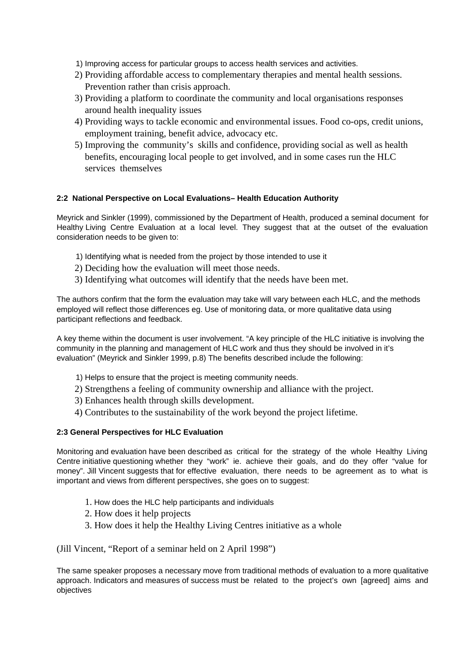- 1) Improving access for particular groups to access health services and activities.
- 2) Providing affordable access to complementary therapies and mental health sessions. Prevention rather than crisis approach.
- 3) Providing a platform to coordinate the community and local organisations responses around health inequality issues
- 4) Providing ways to tackle economic and environmental issues. Food co-ops, credit unions, employment training, benefit advice, advocacy etc.
- 5) Improving the community's skills and confidence, providing social as well as health benefits, encouraging local people to get involved, and in some cases run the HLC services themselves

#### **2:2 National Perspective on Local Evaluations– Health Education Authority**

Meyrick and Sinkler (1999), commissioned by the Department of Health, produced a seminal document for Healthy Living Centre Evaluation at a local level. They suggest that at the outset of the evaluation consideration needs to be given to:

- 1) Identifying what is needed from the project by those intended to use it
- 2) Deciding how the evaluation will meet those needs.
- 3) Identifying what outcomes will identify that the needs have been met.

The authors confirm that the form the evaluation may take will vary between each HLC, and the methods employed will reflect those differences eg. Use of monitoring data, or more qualitative data using participant reflections and feedback.

A key theme within the document is user involvement. "A key principle of the HLC initiative is involving the community in the planning and management of HLC work and thus they should be involved in it's evaluation" (Meyrick and Sinkler 1999, p.8) The benefits described include the following:

- 1) Helps to ensure that the project is meeting community needs.
- 2) Strengthens a feeling of community ownership and alliance with the project.
- 3) Enhances health through skills development.
- 4) Contributes to the sustainability of the work beyond the project lifetime.

#### **2:3 General Perspectives for HLC Evaluation**

Monitoring and evaluation have been described as critical for the strategy of the whole Healthy Living Centre initiative questioning whether they "work" ie. achieve their goals, and do they offer "value for money". Jill Vincent suggests that for effective evaluation, there needs to be agreement as to what is important and views from different perspectives, she goes on to suggest:

- 1. How does the HLC help participants and individuals
- 2. How does it help projects
- 3. How does it help the Healthy Living Centres initiative as a whole

(Jill Vincent, "Report of a seminar held on 2 April 1998")

The same speaker proposes a necessary move from traditional methods of evaluation to a more qualitative approach. Indicators and measures of success must be related to the project's own [agreed] aims and objectives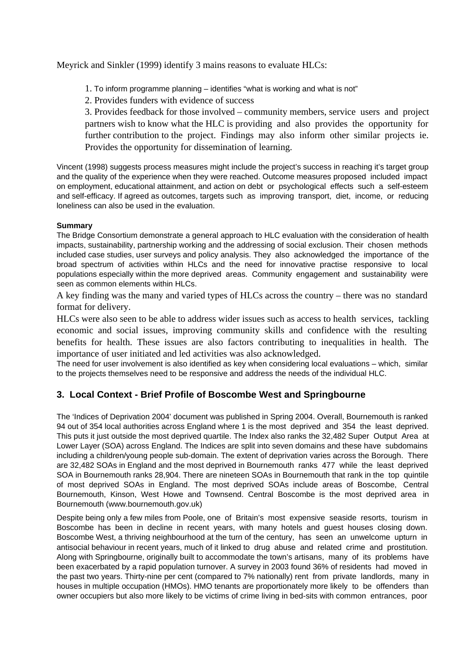Meyrick and Sinkler (1999) identify 3 mains reasons to evaluate HLCs:

- 1. To inform programme planning identifies "what is working and what is not"
- 2. Provides funders with evidence of success

3. Provides feedback for those involved – community members, service users and project partners wish to know what the HLC is providing and also provides the opportunity for further contribution to the project. Findings may also inform other similar projects ie. Provides the opportunity for dissemination of learning.

Vincent (1998) suggests process measures might include the project's success in reaching it's target group and the quality of the experience when they were reached. Outcome measures proposed included impact on employment, educational attainment, and action on debt or psychological effects such a self-esteem and self-efficacy. If agreed as outcomes, targets such as improving transport, diet, income, or reducing loneliness can also be used in the evaluation.

## **Summary**

The Bridge Consortium demonstrate a general approach to HLC evaluation with the consideration of health impacts, sustainability, partnership working and the addressing of social exclusion. Their chosen methods included case studies, user surveys and policy analysis. They also acknowledged the importance of the broad spectrum of activities within HLCs and the need for innovative practise responsive to local populations especially within the more deprived areas. Community engagement and sustainability were seen as common elements within HLCs.

A key finding was the many and varied types of HLCs across the country – there was no standard format for delivery.

HLCs were also seen to be able to address wider issues such as access to health services, tackling economic and social issues, improving community skills and confidence with the resulting benefits for health. These issues are also factors contributing to inequalities in health. The importance of user initiated and led activities was also acknowledged.

The need for user involvement is also identified as key when considering local evaluations – which, similar to the projects themselves need to be responsive and address the needs of the individual HLC.

## **3. Local Context - Brief Profile of Boscombe West and Springbourne**

The 'Indices of Deprivation 2004' document was published in Spring 2004. Overall, Bournemouth is ranked 94 out of 354 local authorities across England where 1 is the most deprived and 354 the least deprived. This puts it just outside the most deprived quartile. The Index also ranks the 32,482 Super Output Area at Lower Layer (SOA) across England. The Indices are split into seven domains and these have subdomains including a children/young people sub-domain. The extent of deprivation varies across the Borough. There are 32,482 SOAs in England and the most deprived in Bournemouth ranks 477 while the least deprived SOA in Bournemouth ranks 28,904. There are nineteen SOAs in Bournemouth that rank in the top quintile of most deprived SOAs in England. The most deprived SOAs include areas of Boscombe, Central Bournemouth, Kinson, West Howe and Townsend. Central Boscombe is the most deprived area in Bournemouth (www.bournemouth.gov.uk)

Despite being only a few miles from Poole, one of Britain's most expensive seaside resorts, tourism in Boscombe has been in declinein recent years, with many hotels and guest houses closing down. Boscombe West, a thriving neighbourhood at the turn of the century, has seen an unwelcome upturn in antisocial behaviour in recent years, much of it linked to drug abuse and related crime and prostitution. Along with Springbourne, originally built to accommodate the town's artisans, many of its problems have been exacerbated by a rapid population turnover. A survey in 2003 found 36% of residents had moved in the past two years. Thirty-nine per cent (compared to 7% nationally) rent from private landlords, many in houses in multiple occupation (HMOs). HMO tenants are proportionately more likely to be offenders than owner occupiers but also more likely to be victims of crime living in bed-sits with common entrances, poor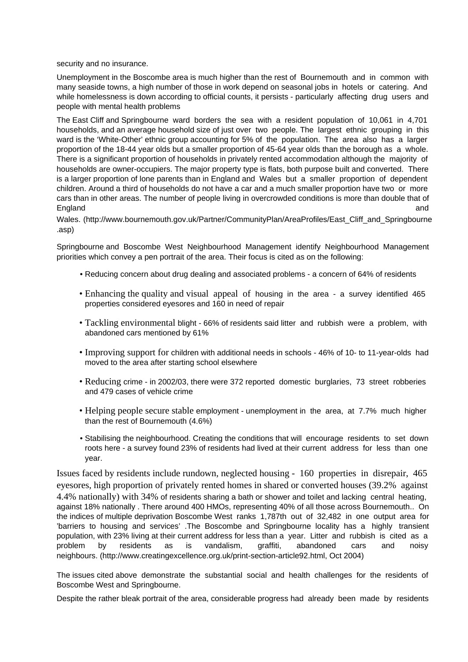security and no insurance.

Unemployment in the Boscombe area is much higher than the rest of Bournemouth and in common with many seaside towns, a high number of those in work depend on seasonal jobs in hotels or catering. And while homelessness is down according to official counts, it persists - particularly affecting drug users and people with mental health problems

The East Cliff and Springbourne ward borders the sea with a resident population of 10,061 in 4,701 households, and an average household size of just over two people. The largest ethnic grouping in this ward is the 'White-Other' ethnic group accounting for 5% of the population. The area also has a larger proportion of the 18-44 year olds but a smaller proportion of 45-64 year olds than the borough as a whole. There is a significant proportion of households in privately rented accommodation although the majority of households are owner-occupiers. The major property type is flats, both purpose built and converted. There is a larger proportion of lone parents than in England and Wales but a smaller proportion of dependent children. Around a third of households do not have a car and a much smaller proportion have two or more cars than in other areas. The number of people living in overcrowded conditions is more than double that of England and

Wales. (http://www.bournemouth.gov.uk/Partner/CommunityPlan/AreaProfiles/East\_Cliff\_and\_Springbourne .asp)

Springbourne and Boscombe West Neighbourhood Management identify Neighbourhood Management priorities which convey a pen portrait of the area. Their focus is cited as on the following:

- Reducing concern about drug dealing and associated problems a concern of 64% of residents
- Enhancing the quality and visual appeal of housing in the area a survey identified 465 properties considered eyesores and 160 in need of repair
- Tackling environmental blight 66% of residents said litter and rubbish were a problem, with abandoned cars mentioned by 61%
- Improving support for children with additional needs in schools 46% of 10- to 11-year-olds had moved to the area after starting school elsewhere
- Reducing crime in 2002/03, there were 372 reported domestic burglaries, 73 street robberies and 479 cases of vehicle crime
- Helping people secure stable employment unemployment in the area, at 7.7% much higher than the rest of Bournemouth (4.6%)
- Stabilising the neighbourhood. Creating the conditions that will encourage residents to set down roots here - a survey found 23% of residents had lived at their current address for less than one year.

Issues faced by residents include rundown, neglected housing - 160 properties in disrepair, 465 eyesores, high proportion of privately rented homes in shared or converted houses (39.2% against 4.4% nationally) with 34% of residents sharing a bath or shower and toilet and lacking central heating, against 18% nationally . There around 400 HMOs, representing 40% of all those across Bournemouth.. On the indices of multiple deprivation Boscombe West ranks 1,787th out of 32,482 in one output area for 'barriers to housing and services' .The Boscombe and Springbourne locality has a highly transient population, with 23% living at their current address for less than a year. Litter and rubbish is cited as a problem by residents as is vandalism, graffiti, abandoned cars and noisy neighbours. (http://www.creatingexcellence.org.uk/print-section-article92.html, Oct 2004)

The issues cited above demonstrate the substantial social and health challenges for the residents of Boscombe West and Springbourne.

Despite the rather bleak portrait of the area, considerable progress had already been made by residents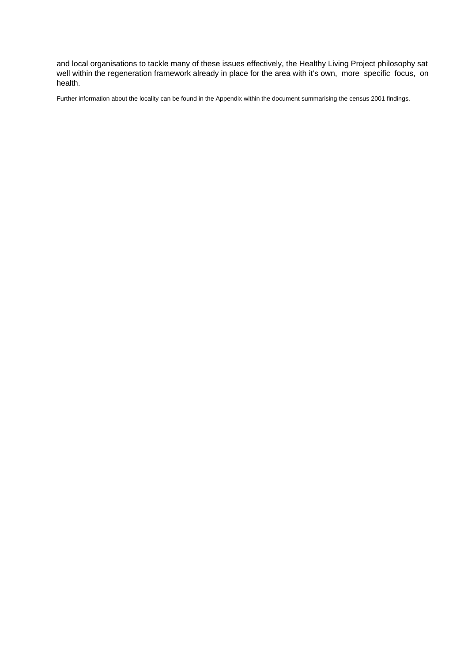and local organisations to tackle many of these issues effectively, the Healthy Living Project philosophy sat well within the regeneration framework already in place for the area with it's own, more specific focus, on health.

Further information about the locality can be found in the Appendix within the document summarising the census 2001 findings.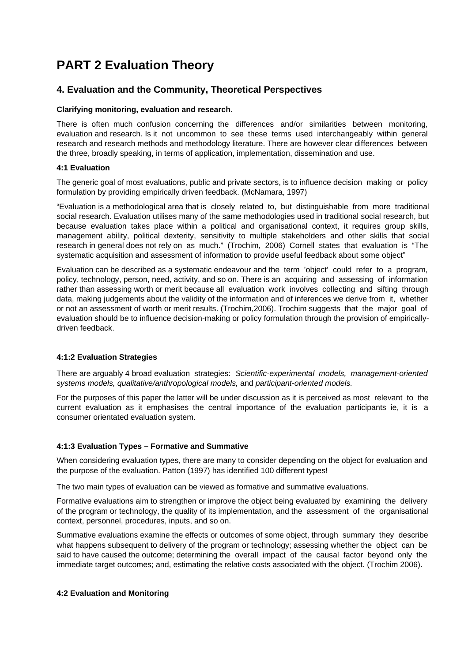# **PART 2 Evaluation Theory**

## **4. Evaluation and the Community, Theoretical Perspectives**

#### **Clarifying monitoring, evaluation and research.**

There is often much confusion concerning the differences and/or similarities between monitoring, evaluation and research. Is it not uncommon to see these terms used interchangeably within general research and research methods and methodology literature. There are however clear differences between the three, broadly speaking, in terms of application, implementation, dissemination and use.

### **4:1 Evaluation**

The generic goal of most evaluations, public and private sectors, is to influence decision making or policy formulation by providing empirically driven feedback. (McNamara, 1997)

"Evaluation is a methodological area that is closely related to, but distinguishable from more traditional social research. Evaluation utilises many of the same methodologies used in traditional social research, but because evaluation takes place within a political and organisational context, it requires group skills, management ability, political dexterity, sensitivity to multiple stakeholders and other skills that social research in general does not rely on as much." (Trochim, 2006) Cornell states that evaluation is "The systematic acquisition and assessment of information to provide useful feedback about some object"

Evaluation can be described as a systematic endeavour and the term 'object' could refer to a program, policy, technology, person, need, activity, and so on. There is an acquiring and assessing of information rather than assessing worth or merit because all evaluation work involves collecting and sifting through data, making judgements about the validity of the information and of inferences we derive from it, whether or not an assessment of worth or merit results. (Trochim,2006). Trochim suggests that the major goal of evaluation should be to influence decision-making or policy formulation through the provision of empiricallydriven feedback.

#### **4:1:2 Evaluation Strategies**

There are arguably 4 broad evaluation strategies:Scientific-experimental models, management-oriented systems models, qualitative/anthropological models, and participant-oriented models.

For the purposes of this paper the latter will be under discussion as it is perceived as most relevant to the current evaluation as it emphasises the central importance of the evaluation participants ie, it is a consumer orientated evaluation system.

## **4:1:3 Evaluation Types – Formative and Summative**

When considering evaluation types, there are many to consider depending on the object for evaluation and the purpose of the evaluation. Patton (1997) has identified 100 different types!

The two main types of evaluation can be viewed as formative and summative evaluations.

Formative evaluations aim to strengthen or improve the object being evaluated by examining the delivery of the program or technology, the quality of its implementation, and the assessment of the organisational context, personnel, procedures, inputs, and so on.

Summative evaluations examine the effects or outcomes of some object, through summary they describe what happens subsequent to delivery of the program or technology; assessing whether the object can be said to have caused the outcome; determining the overall impact of the causal factor beyond only the immediate target outcomes; and, estimating the relative costs associated with the object. (Trochim 2006).

#### **4:2 Evaluation and Monitoring**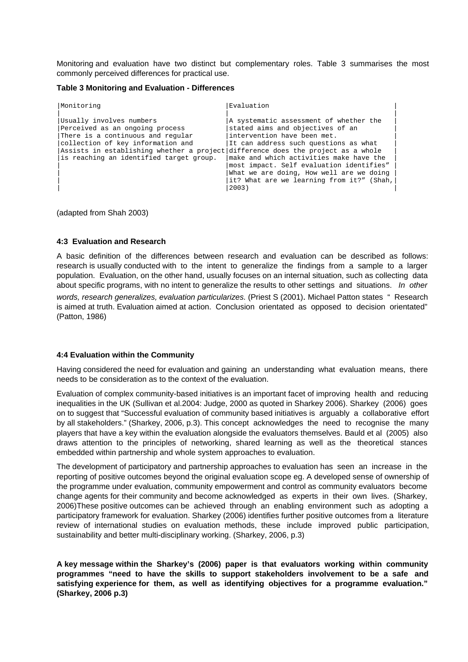Monitoring and evaluation have two distinct but complementary roles. Table 3 summarises the most commonly perceived differences for practical use.

#### **Table 3 Monitoring and Evaluation - Differences**

| Monitoring                                                                                                                                                                                                                                                           | Evaluation                                                                                                                                                                                                                                                                                                                                  |
|----------------------------------------------------------------------------------------------------------------------------------------------------------------------------------------------------------------------------------------------------------------------|---------------------------------------------------------------------------------------------------------------------------------------------------------------------------------------------------------------------------------------------------------------------------------------------------------------------------------------------|
| Usually involves numbers<br>Perceived as an ongoing process<br>There is a continuous and regular<br>collection of key information and<br>Assists in establishing whether a project difference does the project as a whole<br>is reaching an identified target group. | A systematic assessment of whether the<br>stated aims and objectives of an<br>intervention have been met.<br>It can address such questions as what<br>make and which activities make have the<br>most impact. Self evaluation identifies"<br>What we are doing, How well are we doing<br>it? What are we learning from it?" (Shah,<br>2003) |

(adapted from Shah 2003)

#### **4:3 Evaluation and Research**

A basic definition of the differences between research and evaluation can be described as follows: research is usually conducted with to the intent to generalize the findings from a sample to a larger population. Evaluation, on the other hand, usually focuses on an internal situation, such as collecting data about specific programs, with no intent to generalize the results to other settings and situations. In other words, research generalizes, evaluation particularizes. (Priest S (2001). Michael Patton states "Research is aimed at truth. Evaluation aimed at action. Conclusion orientated as opposed to decision orientated" (Patton, 1986)

#### **4:4 Evaluation within the Community**

Having considered the need for evaluation and gaining an understanding what evaluation means, there needs to be consideration as to the context of the evaluation.

Evaluation of complex community-based initiatives is an important facet of improving health and reducing inequalities in the UK (Sullivan et al.2004: Judge, 2000 as quoted in Sharkey 2006). Sharkey (2006) goes on to suggest that "Successful evaluation of community based initiatives is arguably a collaborative effort by all stakeholders." (Sharkey, 2006, p.3). This concept acknowledges the need to recognise the many players that have a key within the evaluation alongside the evaluators themselves. Bauld et al (2005) also draws attention to the principles of networking, shared learning as well as the theoretical stances embedded within partnership and whole system approaches to evaluation.

The development of participatory and partnership approaches to evaluation has seen an increase in the reporting of positive outcomes beyond the original evaluation scope eg. A developed sense of ownership of the programme under evaluation, community empowerment and control as community evaluators become change agents for their community and become acknowledged as experts in their own lives. (Sharkey, 2006)These positive outcomes can be achieved through an enabling environment such as adopting a participatory framework for evaluation. Sharkey (2006) identifies further positive outcomes from a literature review of international studies on evaluation methods, these include improved public participation, sustainability and better multi-disciplinary working. (Sharkey, 2006, p.3)

**A key message within the Sharkey's (2006) paper is that evaluators working within community programmes "need to have the skills to support stakeholders involvement to be a safe and satisfying experience for them, as well as identifying objectives for a programme evaluation." (Sharkey, 2006 p.3)**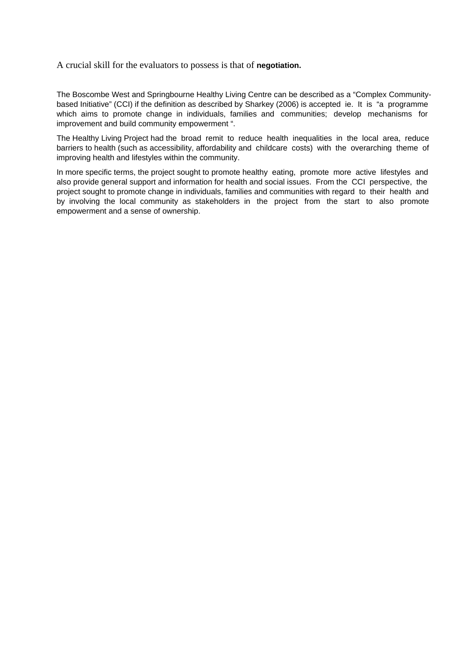A crucial skill for the evaluators to possess is that of **negotiation.**

The Boscombe West and Springbourne Healthy Living Centre can be described as a "Complex Communitybased Initiative" (CCI) if the definition as described by Sharkey (2006) is accepted ie. It is "a programme which aims to promote change in individuals, families and communities; develop mechanisms for improvement and build community empowerment ".

The Healthy Living Project had the broad remit to reduce health inequalities in the local area, reduce barriers to health (such as accessibility, affordability and childcare costs) with the overarching theme of improving health and lifestyles within the community.

In more specific terms, the project sought to promote healthy eating, promote more active lifestyles and also provide general support and information for health and social issues. From the CCI perspective, the project sought to promote change in individuals, families and communities with regard to their health and by involving the local community as stakeholders in the project from the start to also promote empowerment and a sense of ownership.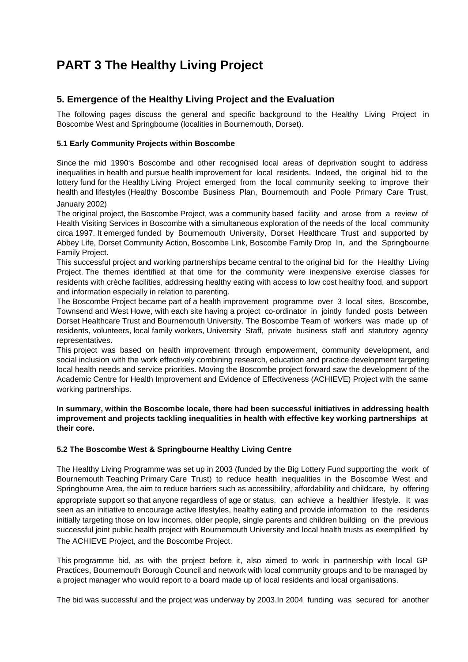# **PART 3 The Healthy Living Project**

## **5. Emergence of the Healthy Living Project and the Evaluation**

The following pages discuss the general and specific background to the Healthy Living Project in Boscombe West and Springbourne (localities in Bournemouth, Dorset).

### **5.1 Early Community Projects within Boscombe**

Since the mid 1990's Boscombe and other recognised local areas of deprivation sought to address inequalities in health and pursue health improvement for local residents. Indeed, the original bid to the lottery fund for the Healthy Living Project emerged from the local community seeking to improve their health and lifestyles (Healthy Boscombe Business Plan, Bournemouth and Poole Primary Care Trust,

## January 2002)

The original project, the Boscombe Project, was a community based facility and arose from a review of Health Visiting Services in Boscombe with a simultaneous exploration of the needs of the local community circa 1997. It emerged funded by Bournemouth University, Dorset Healthcare Trust and supported by Abbey Life, Dorset Community Action, Boscombe Link, Boscombe Family Drop In, and the Springbourne Family Project.

This successful project and working partnerships became central to the original bid for the Healthy Living Project. The themes identified at that time for the community were inexpensive exercise classes for residents with crèche facilities, addressing healthy eating with access to low cost healthy food, and support and information especially in relation to parenting.

The Boscombe Project became part of a health improvement programme over 3 local sites, Boscombe, Townsend and West Howe, with each site having a project co-ordinator in jointly funded posts between Dorset Healthcare Trust and Bournemouth University. The Boscombe Team of workers was made up of residents, volunteers, local family workers, University Staff, private business staff and statutory agency representatives.

This project was based on health improvement through empowerment, community development, and social inclusion with the work effectively combining research, education and practice development targeting local health needs and service priorities. Moving the Boscombe project forward saw the development of the Academic Centre for Health Improvement and Evidence of Effectiveness (ACHIEVE) Project with the same working partnerships.

#### **In summary, within the Boscombe locale, there had been successful initiatives in addressing health improvement and projects tackling inequalities in health with effective key working partnerships at their core.**

#### **5.2 The Boscombe West & Springbourne Healthy Living Centre**

The Healthy Living Programme was set up in 2003 (funded by the Big Lottery Fund supporting the work of Bournemouth Teaching Primary Care Trust) to reduce health inequalities in the Boscombe West and Springbourne Area, the aim to reduce barriers such as accessibility, affordability and childcare, by offering appropriate support so that anyone regardless of age or status, can achieve a healthier lifestyle. It was seen as an initiative to encourage active lifestyles, healthy eating and provide information to the residents initially targeting those on low incomes, older people, single parents and children building on the previous successful joint public health project with Bournemouth University and local health trusts as exemplified by The ACHIEVE Project, and the Boscombe Project.

This programme bid, as with the project before it, also aimed to work in partnership with local GP Practices, Bournemouth Borough Council and network with local community groups and to be managed by a project manager who would report to a board made up of local residents and local organisations.

The bid was successful and the project was underway by 2003.In 2004 funding was secured for another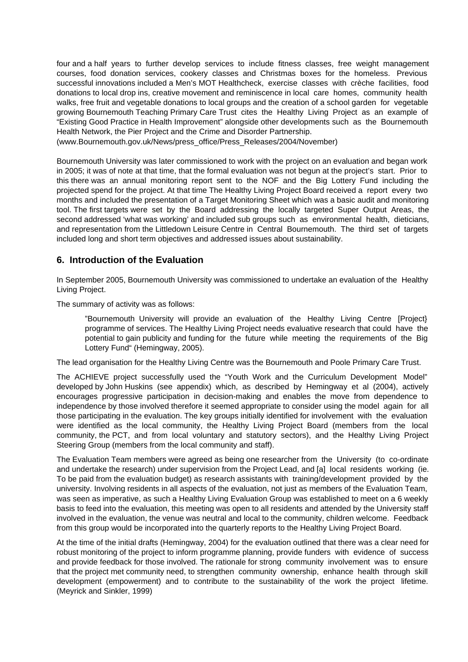four and a half years to further develop services to include fitness classes, free weight management courses, food donation services, cookery classes and Christmas boxes for the homeless. Previous successful innovations included a Men's MOT Healthcheck, exercise classes with crèche facilities, food donations to local drop ins, creative movement and reminiscence in local care homes, community health walks, free fruit and vegetable donations to local groups and the creation of a school garden for vegetable growing Bournemouth Teaching Primary Care Trust cites the Healthy Living Project as an example of "Existing Good Practice in Health Improvement" alongside other developments such as the Bournemouth Health Network, the Pier Project and the Crime and Disorder Partnership.

(www.Bournemouth.gov.uk/News/press\_office/Press\_Releases/2004/November)

Bournemouth University was later commissioned to work with the project on an evaluation and began work in 2005; it was of note at that time, that the formal evaluation was not begun at the project's start. Prior to this there was an annual monitoring report sent to the NOF and the Big Lottery Fund including the projected spend for the project. At that time The Healthy Living Project Board received a report every two months and included the presentation of a Target Monitoring Sheet which was a basic audit and monitoring tool. The first targets were set by the Board addressing the locally targeted Super Output Areas, the second addressed 'what was working' and included sub groups such as environmental health, dieticians, and representation from the Littledown Leisure Centre in Central Bournemouth. The third set of targets included long and short term objectives and addressed issues about sustainability.

## **6. Introduction of the Evaluation**

In September 2005, Bournemouth University was commissioned to undertake an evaluation of the Healthy Living Project.

The summary of activity was as follows:

"Bournemouth University will provide an evaluation of the Healthy Living Centre [Project} programme of services. The Healthy Living Project needs evaluative research that could have the potential to gain publicity and funding for the future while meeting the requirements of the Big Lottery Fund" (Hemingway, 2005).

The lead organisation for the Healthy Living Centre was the Bournemouth and Poole Primary Care Trust.

The ACHIEVE project successfully used the "Youth Work and the Curriculum Development Model" developed by John Huskins (see appendix) which, as described by Hemingway et al (2004), actively encourages progressive participation in decision-making and enables the move from dependence to independence by those involved therefore it seemed appropriate to consider using the model again for all those participating in the evaluation. The key groups initially identified for involvement with the evaluation were identified as the local community, the Healthy Living Project Board (members from the local community, the PCT, and from local voluntary and statutory sectors), and the Healthy Living Project Steering Group (members from the local community and staff).

The Evaluation Team members were agreed as being one researcher from the University (to co-ordinate and undertake the research) under supervision from the Project Lead, and [a] local residents working (ie. To be paid from the evaluation budget) as research assistants with training/development provided by the university. Involving residents in all aspects of the evaluation, not just as members of the Evaluation Team, was seen as imperative, as such a Healthy Living Evaluation Group was established to meet on a 6 weekly basis to feed into the evaluation, this meeting was open to all residents and attended by the University staff involved in the evaluation, the venue was neutral and local to the community, children welcome. Feedback from this group would be incorporated into the quarterly reports to the Healthy Living Project Board.

At the time of the initial drafts (Hemingway, 2004) for the evaluation outlined that there was a clear need for robust monitoring of the project to inform programme planning, provide funders with evidence of success and provide feedback for those involved. The rationale for strong community involvement was to ensure that the project met community need, to strengthen community ownership, enhance health through skill development (empowerment) and to contribute to the sustainability of the work the project lifetime. (Meyrick and Sinkler, 1999)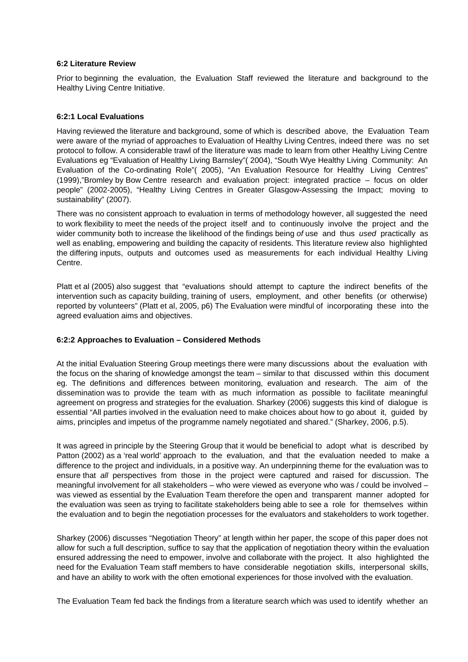#### **6:2 Literature Review**

Prior to beginning the evaluation, the Evaluation Staff reviewed the literature and background to the Healthy Living Centre Initiative.

#### **6:2:1 Local Evaluations**

Having reviewed the literature and background, some of which is described above, the Evaluation Team were aware of the myriad of approaches to Evaluation of Healthy Living Centres, indeed there was no set protocol to follow. A considerable trawl of the literature was made to learn from other Healthy Living Centre Evaluations eg "Evaluation of Healthy Living Barnsley"( 2004), "South Wye Healthy Living Community: An Evaluation of the Co-ordinating Role"( 2005), "An Evaluation Resource for Healthy Living Centres" (1999),"Bromley by Bow Centre research and evaluation project: integrated practice – focus on older people" (2002-2005), "Healthy Living Centres in Greater Glasgow-Assessing the Impact; moving to sustainability" (2007).

There was no consistent approach to evaluation in terms of methodology however, all suggested the need to work flexibility to meet the needs of the project itself and to continuously involve the project and the wider community both to increase the likelihood of the findings being of use and thus used practically as well as enabling, empowering and building the capacity of residents. This literature review also highlighted the differing inputs, outputs and outcomes used as measurements for each individual Healthy Living Centre.

Platt et al (2005) also suggest that "evaluations should attempt to capture the indirect benefits of the intervention such as capacity building, training of users, employment, and other benefits (or otherwise) reported by volunteers" (Platt et al, 2005, p6) The Evaluation were mindful of incorporating these into the agreed evaluation aims and objectives.

#### **6:2:2 Approaches to Evaluation – Considered Methods**

At the initial Evaluation Steering Group meetings there were many discussions about the evaluation with the focus on the sharing of knowledge amongst the team – similar to that discussed within this document eg. The definitions and differences between monitoring, evaluation and research. The aim of the dissemination was to provide the team with as much information as possible to facilitate meaningful agreement on progress and strategies for the evaluation. Sharkey (2006) suggests this kind of dialogue is essential "All parties involved in the evaluation need to make choices about how to go about it, guided by aims, principles and impetus of the programme namely negotiated and shared." (Sharkey, 2006, p.5).

It was agreed in principle by the Steering Group that it would be beneficial to adopt what is described by Patton (2002) as a 'real world' approach to the evaluation, and that the evaluation needed to make a difference to the project and individuals, in a positive way. An underpinning theme for the evaluation was to ensure that all perspectives from those in the project were captured and raised for discussion. The meaningful involvement for all stakeholders – who were viewed as everyone who was / could be involved – was viewed as essential by the Evaluation Team therefore the open and transparent manner adopted for the evaluation was seen as trying to facilitate stakeholders being able to see a role for themselves within the evaluation and to begin the negotiation processes for the evaluators and stakeholders to work together.

Sharkey (2006) discusses "Negotiation Theory" at length within her paper, the scope of this paper does not allow for such a full description, suffice to say that the application of negotiation theory within the evaluation ensured addressing the need to empower, involve and collaborate with the project. It also highlighted the need for the Evaluation Team staff members to have considerable negotiation skills, interpersonal skills, and have an ability to work with the often emotional experiences for those involved with the evaluation.

The Evaluation Team fed back the findings from a literature search which was used to identify whether an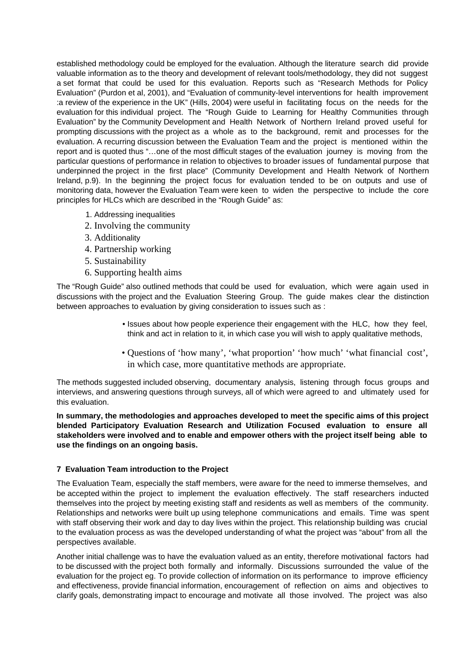established methodology could be employed for the evaluation. Although the literature search did provide valuable information as to the theory and development of relevant tools/methodology, they did not suggest a set format that could be used for this evaluation. Reports such as "Research Methods for Policy Evaluation" (Purdon et al, 2001), and "Evaluation of community-level interventions for health improvement :a review of the experience in the UK" (Hills, 2004) were useful in facilitating focus on the needs for the evaluation for this individual project. The "Rough Guide to Learning for Healthy Communities through Evaluation" by the Community Development and Health Network of Northern Ireland proved useful for prompting discussions with the project as a whole as to the background, remit and processes for the evaluation. A recurring discussion between the Evaluation Team and the project is mentioned within the report and is quoted thus "…one of the most difficult stages of the evaluation journey is moving from the particular questions of performance in relation to objectives to broader issues of fundamental purpose that underpinned the project in the first place" (Community Development and Health Network of Northern Ireland, p.9). In the beginning the project focus for evaluation tended to be on outputs and use of monitoring data, however the Evaluation Team were keen to widen the perspective to include the core principles for HLCs which are described in the "Rough Guide" as:

- 1. Addressing inequalities
- 2. Involving the community
- 3. Additionality
- 4. Partnership working
- 5. Sustainability
- 6. Supporting health aims

The "Rough Guide" also outlined methods that could be used for evaluation, which were again used in discussions with the project and the Evaluation Steering Group. The guide makes clear the distinction between approaches to evaluation by giving consideration to issues such as :

- Issues about how people experience their engagement with the HLC, how they feel, think and act in relation to it, in which case you will wish to apply qualitative methods,
- Questions of 'how many', 'what proportion' 'how much' 'what financial cost', in which case, more quantitative methods are appropriate.

The methods suggested included observing, documentary analysis, listening through focus groups and interviews, and answering questions through surveys, all of which were agreed to and ultimately used for this evaluation.

**In summary, the methodologies and approaches developed to meet the specific aims of this project blended Participatory Evaluation Research and Utilization Focused evaluation to ensure all stakeholders were involved and to enable and empower others with the project itself being able to use the findings on an ongoing basis.**

#### **7 Evaluation Team introduction to the Project**

The Evaluation Team, especially the staff members, were aware for the need to immerse themselves, and be accepted within the project to implement the evaluation effectively. The staff researchers inducted themselves into the project by meeting existing staff and residents as well as members of the community. Relationships and networks were built up using telephone communications and emails. Time was spent with staff observing their work and day to day lives within the project. This relationship building was crucial to the evaluation process as was the developed understanding of what the project was "about" from all the perspectives available.

Another initial challenge was to have the evaluation valued as an entity, therefore motivational factors had to be discussed with the project both formally and informally. Discussions surrounded the value of the evaluation for the project eg. To provide collection of information on its performance to improve efficiency and effectiveness, provide financial information, encouragement of reflection on aims and objectives to clarify goals, demonstrating impact to encourage and motivate all those involved. The project was also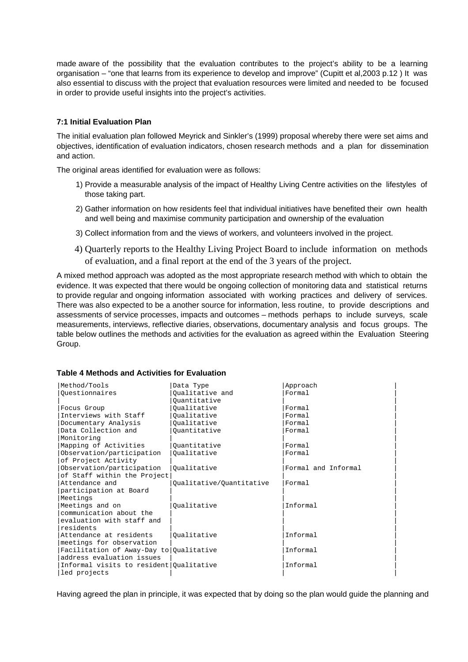made aware of the possibility that the evaluation contributes to the project's ability to be a learning organisation – "one that learns from its experience to develop and improve" (Cupitt et al,2003 p.12 ) It was also essential to discuss with the project that evaluation resources were limited and needed to be focused in order to provide useful insights into the project's activities.

#### **7:1 Initial Evaluation Plan**

The initial evaluation plan followed Meyrick and Sinkler's (1999) proposal whereby there were set aims and objectives, identification of evaluation indicators, chosen research methods and a plan for dissemination and action.

The original areas identified for evaluation were as follows:

- 1) Provide a measurable analysis of the impact of Healthy Living Centre activities on the lifestyles of those taking part.
- 2) Gather information on how residents feel that individual initiatives have benefited their own health and well being and maximise community participation and ownership of the evaluation
- 3) Collect information from and the views of workers, and volunteers involved in the project.
- 4) Quarterly reports to the Healthy Living Project Board to include information on methods of evaluation, and a final report at the end of the 3 years of the project.

A mixed method approach was adopted as the most appropriate research method with which to obtain the evidence. It was expected that there would be ongoing collection of monitoring data and statistical returns to provide regular and ongoing information associated with working practices and delivery of services. There was also expected to be a another source for information, less routine, to provide descriptions and assessments of service processes, impacts and outcomes – methods perhaps to include surveys, scale measurements, interviews, reflective diaries, observations, documentary analysis and focus groups. The table below outlines the methods and activities for the evaluation as agreed within the Evaluation Steering Group.

#### **Table 4 Methods and Activities for Evaluation**

| Method/Tools                            | Data Type                | Approach            |
|-----------------------------------------|--------------------------|---------------------|
| Ouestionnaires                          | Oualitative and          | Formal              |
|                                         | Ouantitative             |                     |
| Focus Group                             | Oualitative              | Formal              |
| Interviews with Staff                   | Oualitative              | Formal              |
| Documentary Analysis                    | Oualitative              | Formal              |
| Data Collection and                     | Ouantitative             | Formal              |
| Monitoring                              |                          |                     |
| Mapping of Activities                   | Ouantitative             | Formal              |
| Observation/participation               | Oualitative              | Formal              |
| of Project Activity                     |                          |                     |
| Observation/participation               | Oualitative              | Formal and Informal |
| of Staff within the Project             |                          |                     |
| Attendance and                          | Qualitative/Quantitative | Formal              |
| participation at Board                  |                          |                     |
| Meetings                                |                          |                     |
| Meetings and on                         | Oualitative              | Informal            |
| communication about the                 |                          |                     |
| evaluation with staff and               |                          |                     |
| residents                               |                          |                     |
| Attendance at residents                 | Oualitative              | Informal            |
| meetings for observation                |                          |                     |
| Facilitation of Away-Day to Qualitative |                          | Informal            |
| address evaluation issues               |                          |                     |
| Informal visits to resident Qualitative |                          | Informal            |
| led projects                            |                          |                     |

Having agreed the plan in principle, it was expected that by doing so the plan would guide the planning and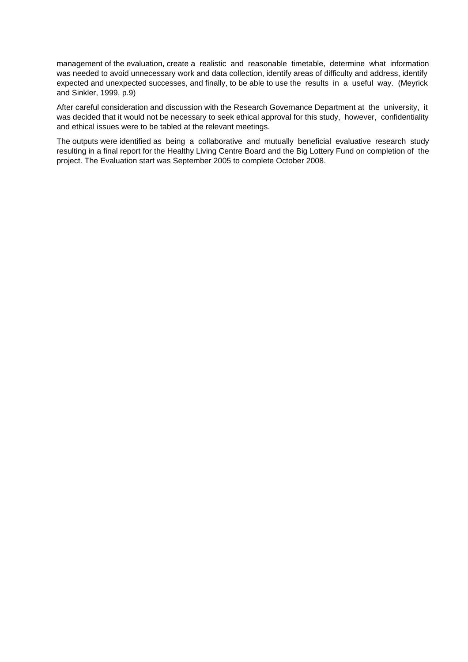management of the evaluation, create a realistic and reasonable timetable, determine what information was needed to avoid unnecessary work and data collection, identify areas of difficulty and address, identify expected and unexpected successes, and finally, to be able to use the results in a useful way. (Meyrick and Sinkler, 1999, p.9)

After careful consideration and discussion with the Research Governance Department at the university, it was decided that it would not be necessary to seek ethical approval for this study, however, confidentiality and ethical issues were to be tabled at the relevant meetings.

The outputs were identified as being a collaborative and mutually beneficial evaluative research study resulting in a final report for the Healthy Living Centre Board and the Big Lottery Fund on completion of the project. The Evaluation start was September 2005 to complete October 2008.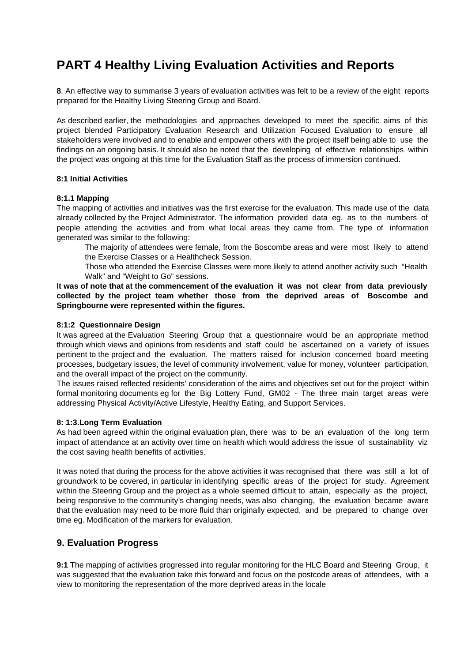# **PART 4 Healthy Living Evaluation Activities and Reports**

**8**. An effective way to summarise 3 years of evaluation activities was felt to be a review of the eight reports prepared for the Healthy Living Steering Group and Board.

As described earlier, the methodologies and approaches developed to meet the specific aims of this project blended Participatory Evaluation Research and Utilization Focused Evaluation to ensure all stakeholders were involved and to enable and empower others with the project itself being able to use the findings on an ongoing basis. It should also be noted that the developing of effective relationships within the project was ongoing at this time for the Evaluation Staff as the process of immersion continued.

#### **8:1 Initial Activities**

#### **8:1.1 Mapping**

The mapping of activities and initiatives was the first exercise for the evaluation. This made use of the data already collected by the Project Administrator. The information provided data eg. as to the numbers of people attending the activities and from what local areas they came from. The type of information generated was similar to the following:

The majority of attendees were female, from the Boscombe areas and were most likely to attend the Exercise Classes or a Healthcheck Session.

Those who attended the Exercise Classes were more likely to attend another activity such "Health Walk" and "Weight to Go" sessions.

**It was of note that at the commencement of the evaluation it was not clear from data previously collected by the project team whether those from the deprived areas of Boscombe and Springbourne were represented within the figures.**

#### **8:1:2 Questionnaire Design**

It was agreed at the Evaluation Steering Group that a questionnaire would be an appropriate method through which views and opinions from residents and staff could be ascertained on a variety of issues pertinent to the project and the evaluation. The matters raised for inclusion concerned board meeting processes, budgetary issues, the level of community involvement, value for money, volunteer participation, and the overall impact of the project on the community.

The issues raised reflected residents' consideration of the aims and objectives set out for the project within formal monitoring documents eg for the Big Lottery Fund, GM02 - The three main target areas were addressing Physical Activity/Active Lifestyle, Healthy Eating, and Support Services.

#### **8: 1:3.Long Term Evaluation**

As had been agreed within the original evaluation plan, there was to be an evaluation of the long term impact of attendance at an activity over time on health which would address the issue of sustainability viz the cost saving health benefits of activities.

It was noted that during the process for the above activities it was recognised that there was still a lot of groundwork to be covered, in particular in identifying specific areas of the project for study. Agreement within the Steering Group and the project as a whole seemed difficult to attain, especially as the project, being responsive to the community's changing needs, was also changing, the evaluation became aware that the evaluation may need to be more fluid than originally expected, and be prepared to change over time eg. Modification of the markers for evaluation.

## **9. Evaluation Progress**

**9:1** The mapping of activities progressed into regular monitoring for the HLC Board and Steering Group, it was suggested that the evaluation take this forward and focus on the postcode areas of attendees, with a view to monitoring the representation of the more deprived areas in the locale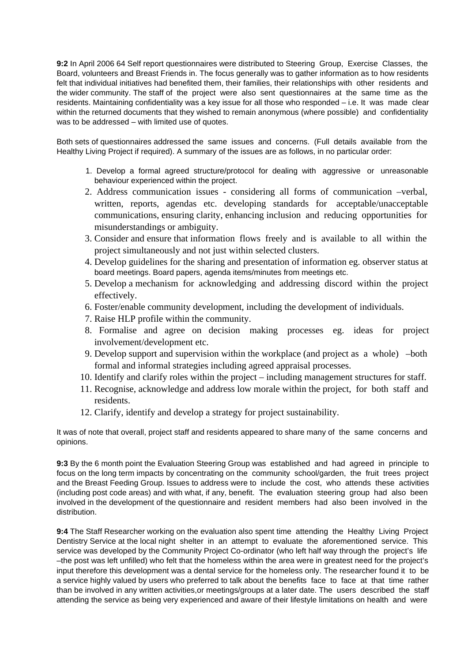**9:2** In April 2006 64 Self report questionnaires were distributed to Steering Group, Exercise Classes, the Board, volunteers and Breast Friends in. The focus generally was to gather information as to how residents felt that individual initiatives had benefited them, their families, their relationships with other residents and the wider community. The staff of the project were also sent questionnaires at the same time as the residents. Maintaining confidentiality was a key issue for all those who responded – i.e. It was made clear within the returned documents that they wished to remain anonymous (where possible) and confidentiality was to be addressed – with limited use of quotes.

Both sets of questionnaires addressed the same issues and concerns. (Full details available from the Healthy Living Project if required). A summary of the issues are as follows, in no particular order:

- 1. Develop a formal agreed structure/protocol for dealing with aggressive or unreasonable behaviour experienced within the project.
- 2. Address communication issues considering all forms of communication –verbal, written, reports, agendas etc. developing standards for acceptable/unacceptable communications, ensuring clarity, enhancing inclusion and reducing opportunities for misunderstandings or ambiguity.
- 3. Consider and ensure that information flows freely and is available to all within the project simultaneously and not just within selected clusters.
- 4. Develop guidelines for the sharing and presentation of information eg. observer status at board meetings. Board papers, agenda items/minutes from meetings etc.
- 5. Develop a mechanism for acknowledging and addressing discord within the project effectively.
- 6. Foster/enable community development, including the development of individuals.
- 7. Raise HLP profile within the community.
- 8. Formalise and agree on decision making processes eg. ideas for project involvement/development etc.
- 9. Develop support and supervision within the workplace (and project as a whole) –both formal and informal strategies including agreed appraisal processes.
- 10. Identify and clarify roles within the project including management structures for staff.
- 11. Recognise, acknowledge and address low morale within the project, for both staff and residents.
- 12. Clarify, identify and develop a strategy for project sustainability.

It was of note that overall, project staff and residents appeared to share many of the same concerns and opinions.

**9:3** By the 6 month point the Evaluation Steering Group was established and had agreed in principle to focus on the long term impacts by concentrating on the community school/garden, the fruit trees project and the Breast Feeding Group. Issues to address were to include the cost, who attends these activities (including post code areas) and with what, if any, benefit. The evaluation steering group had also been involved in the development of the questionnaire and resident members had also been involved in the distribution.

**9:4** The Staff Researcher working on the evaluation also spent time attending the Healthy Living Project Dentistry Service at the local night shelter in an attempt to evaluate the aforementioned service. This service was developed by the Community Project Co-ordinator (who left half way through the project's life –the post was left unfilled) who felt that the homeless within the area were in greatest need for the project's input therefore this development was a dental service for the homeless only. The researcher found it to be a service highly valued by users who preferred to talk about the benefits face to face at that time rather than be involved in any written activities,or meetings/groups at a later date. The users described the staff attending the service as being very experienced and aware of their lifestyle limitations on health and were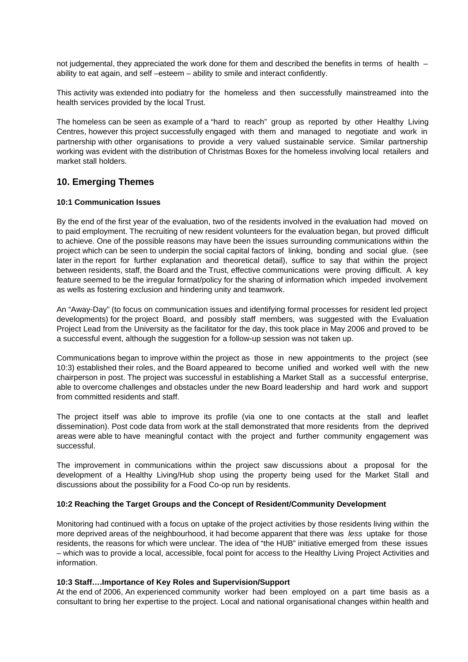not judgemental, they appreciated the work done for them and described the benefits in terms of health – ability to eat again, and self –esteem – ability to smile and interact confidently.

This activity was extended into podiatry for the homeless and then successfully mainstreamed into the health services provided by the local Trust.

The homeless can be seen as example of a "hard to reach" group as reported by other Healthy Living Centres, however this project successfully engaged with them and managed to negotiate and work in partnership with other organisations to provide a very valued sustainable service. Similar partnership working was evident with the distribution of Christmas Boxes for the homeless involving local retailers and market stall holders.

## **10. Emerging Themes**

#### **10:1 Communication Issues**

By the end of the first year of the evaluation, two of the residents involved in the evaluation had moved on to paid employment. The recruiting of new resident volunteers for the evaluation began, but proved difficult to achieve. One of the possible reasons may have been the issues surrounding communications within the project which can be seen to underpin the social capital factors of linking, bonding and social glue. (see later in the report for further explanation and theoretical detail), suffice to say that within the project between residents, staff, the Board and the Trust, effective communications were proving difficult. A key feature seemed to be the irregular format/policy for the sharing of information which impeded involvement as wells as fostering exclusion and hindering unity and teamwork.

An "Away-Day" (to focus on communication issues and identifying formal processes for resident led project developments) for the project Board, and possibly staff members, was suggested with the Evaluation Project Lead from the University as the facilitator for the day, this took place in May 2006 and proved to be a successful event, although the suggestion for a follow-up session was not taken up.

Communications began to improve within the project as those in new appointments to the project (see 10:3) established their roles, and the Board appeared to become unified and worked well with the new chairperson in post. The project was successful in establishing a Market Stall as a successful enterprise, able to overcome challenges and obstacles under the new Board leadership and hard work and support from committed residents and staff.

The project itself was able to improve its profile (via one to one contacts at the stall and leaflet dissemination). Post code data from work at the stall demonstrated that more residents from the deprived areas were able to have meaningful contact with the project and further community engagement was successful.

The improvement in communications within the project saw discussions about a proposal for the development of a Healthy Living/Hub shop using the property being used for the Market Stall and discussions about the possibility for a Food Co-op run by residents.

#### **10:2 Reaching the Target Groups and the Concept of Resident/Community Development**

Monitoring had continued with a focus on uptake of the project activities by those residents living within the more deprived areas of the neighbourhood, it had become apparent that there was less uptake for those residents, the reasons for which were unclear. The idea of "the HUB" initiative emerged from these issues – which was to provide a local, accessible, focal point for access to the Healthy Living Project Activities and information.

#### **10:3 Staff….Importance of Key Roles and Supervision/Support**

At the end of 2006, An experienced community worker had been employed on a part time basis as a consultant to bring her expertise to the project. Local and national organisational changes within health and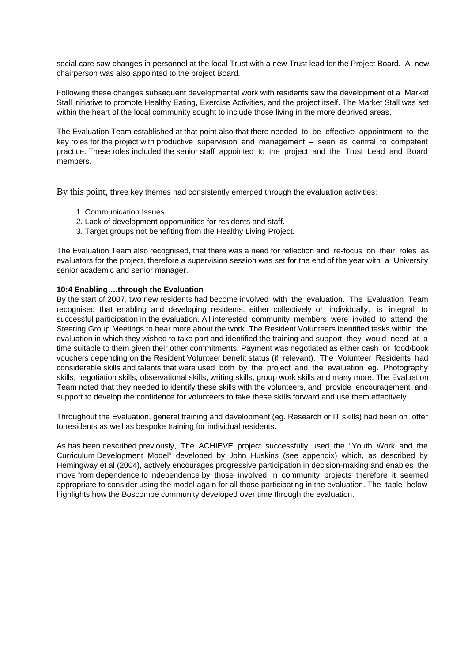social care saw changes in personnel at the local Trust with a new Trust lead for the Project Board. A new chairperson was also appointed to the project Board.

Following these changes subsequent developmental work with residents saw the development of a Market Stall initiative to promote Healthy Eating, Exercise Activities, and the project itself. The Market Stall was set within the heart of the local community sought to include those living in the more deprived areas.

The Evaluation Team established at that point also that there needed to be effective appointment to the key roles for the project with productive supervision and management – seen as central to competent practice. These roles included the senior staff appointed to the project and the Trust Lead and Board members.

By this point, three key themes had consistently emerged through the evaluation activities:

- 1. Communication Issues.
- 2. Lack of development opportunities for residents and staff.
- 3. Target groups not benefiting from the Healthy Living Project.

The Evaluation Team also recognised, that there was a need for reflection and re-focus on their roles as evaluators for the project, therefore a supervision session was set for the end of the year with a University senior academic and senior manager.

#### **10:4 Enabling….through the Evaluation**

By the start of 2007, two new residents had become involved with the evaluation. The Evaluation Team recognised that enabling and developing residents, either collectively or individually, is integral to successful participation in the evaluation. All interested community members were invited to attend the Steering Group Meetings to hear more about the work. The Resident Volunteers identified tasks within the evaluation in which they wished to take part and identified the training and support they would need at a time suitable to them given their other commitments. Payment was negotiated as either cash or food/book vouchers depending on the Resident Volunteer benefit status (if relevant). The Volunteer Residents had considerable skills and talents that were used both by the project and the evaluation eg. Photography skills, negotiation skills, observational skills, writing skills, group work skills and many more. The Evaluation Team noted that they needed to identify these skills with the volunteers, and provide encouragement and support to develop the confidence for volunteers to take these skills forward and use them effectively.

Throughout the Evaluation, general training and development (eg. Research or IT skills) had been on offer to residents as well as bespoke training for individual residents.

As has been described previously, The ACHIEVE project successfully used the "Youth Work and the Curriculum Development Model" developed by John Huskins (see appendix) which, as described by Hemingway et al (2004), actively encourages progressive participation in decision-making and enables the move from dependence to independence by those involved in community projects therefore it seemed appropriate to consider using the model again for all those participating in the evaluation. The table below highlights how the Boscombe community developed over time through the evaluation.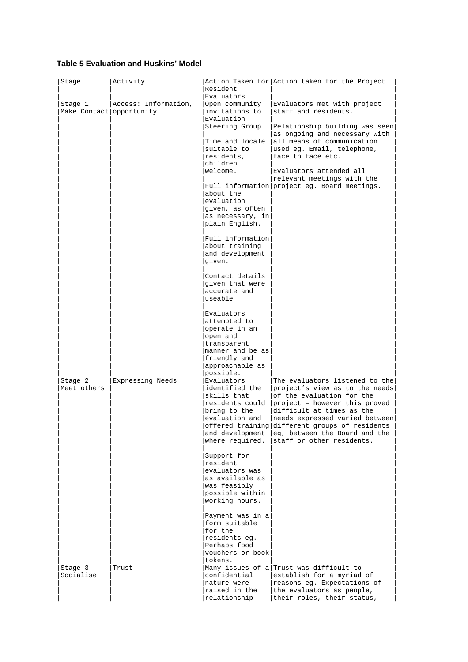#### **Table 5 Evaluation and Huskins' Model**

| Stage                               | Activity             | Resident                                                                                                                                                                                                                                                                                                                                                                                                                                                                                                                                                                                                               | Action Taken for Action taken for the Project                                                                                                                                                                                                                                                                                   |
|-------------------------------------|----------------------|------------------------------------------------------------------------------------------------------------------------------------------------------------------------------------------------------------------------------------------------------------------------------------------------------------------------------------------------------------------------------------------------------------------------------------------------------------------------------------------------------------------------------------------------------------------------------------------------------------------------|---------------------------------------------------------------------------------------------------------------------------------------------------------------------------------------------------------------------------------------------------------------------------------------------------------------------------------|
| Stage 1<br>Make Contact opportunity | Access: Information, | Evaluators<br>Open community<br>invitations to<br>Evaluation<br>Steering Group<br>Time and locale<br>suitable to<br>residents,<br>children<br>welcome.<br>about the<br>evaluation<br>given, as often<br>as necessary, in<br>plain English.<br>Full information                                                                                                                                                                                                                                                                                                                                                         | Evaluators met with project<br>staff and residents.<br>Relationship building was seen<br>as ongoing and necessary with<br>all means of communication<br>used eg. Email, telephone,<br>face to face etc.<br>Evaluators attended all<br>relevant meetings with the<br>Full information project eg. Board meetings.                |
| Stage 2<br>Meet others              | Expressing Needs     | about training<br>and development<br>given.<br>Contact details<br>given that were<br>accurate and<br>useable<br>Evaluators<br>attempted to<br>operate in an<br>open and<br>transparent<br>manner and be as<br>friendly and<br>approachable as<br>possible.<br>Evaluators<br>identified the<br>skills that<br>residents could<br>bring to the<br>evaluation and<br>where required.<br>Support for<br>resident<br>evaluators was<br>as available as<br>was feasibly<br>possible within<br>working hours.<br>Payment was in a<br>form suitable<br>for the<br>residents eq.<br>Perhaps food<br>vouchers or book<br>tokens. | The evaluators listened to the<br>project's view as to the needs<br>of the evaluation for the<br>project - however this proved<br>difficult at times as the<br>needs expressed varied between<br>offered training different groups of residents<br>and development   eq, between the Board and the<br>staff or other residents. |
| Stage 3<br>Socialise                | Trust                | confidential<br>nature were<br>raised in the<br>relationship                                                                                                                                                                                                                                                                                                                                                                                                                                                                                                                                                           | Many issues of a Trust was difficult to<br>establish for a myriad of<br>reasons eg. Expectations of<br>the evaluators as people,<br>their roles, their status,                                                                                                                                                                  |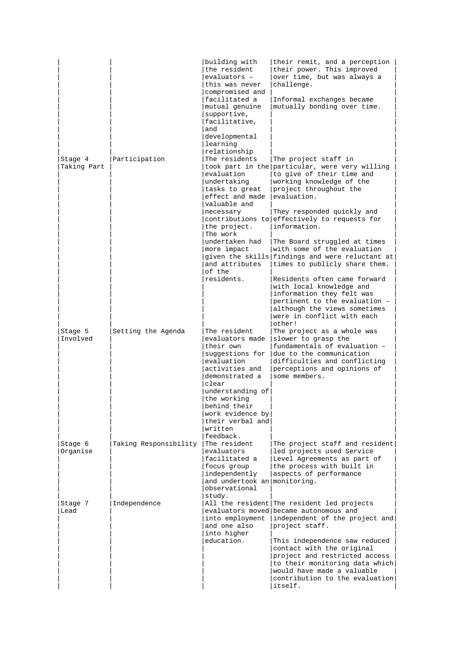| Stage 4<br>Taking Part | Participation         | building with<br>the resident<br>evaluators -<br>this was never<br>compromised and<br>facilitated a<br>mutual genuine<br>supportive,<br>facilitative,<br>and<br>developmental<br>learning<br>relationship<br>The residents<br>evaluation<br>undertaking<br>tasks to great<br>effect and made<br>valuable and<br>necessary<br>the project.<br>The work<br>undertaken had<br>more impact | their remit, and a perception<br>their power. This improved<br>over time, but was always a<br>challenge.<br>Informal exchanges became<br>mutually bonding over time.<br>The project staff in<br>took part in the particular, were very willing<br>to give of their time and<br>working knowledge of the<br>project throughout the<br>evaluation.<br>They responded quickly and<br>contributions to effectively to requests for<br>information.<br>The Board struggled at times<br>with some of the evaluation |
|------------------------|-----------------------|----------------------------------------------------------------------------------------------------------------------------------------------------------------------------------------------------------------------------------------------------------------------------------------------------------------------------------------------------------------------------------------|---------------------------------------------------------------------------------------------------------------------------------------------------------------------------------------------------------------------------------------------------------------------------------------------------------------------------------------------------------------------------------------------------------------------------------------------------------------------------------------------------------------|
| Stage 5<br>Involved    | Setting the Agenda    | and attributes<br>of the<br>residents.<br>The resident<br>evaluators made<br>their own<br>suggestions for<br>evaluation<br>activities and<br>demonstrated a<br>clear<br>understanding of<br>the working<br>behind their<br>work evidence by<br>their verbal and<br>written<br>feedback.                                                                                                | given the skills findings and were reluctant at<br>times to publicly share them.<br>Residents often came forward<br>with local knowledge and<br>information they felt was<br>pertinent to the evaluation -<br>although the views sometimes<br>were in conflict with each<br>other!<br>The project as a whole was<br>slower to grasp the<br>fundamentals of evaluation -<br>due to the communication<br>difficulties and conflicting<br>perceptions and opinions of<br>some members.                           |
| Stage 6<br>Organise    | Taking Responsibility | The resident<br>evaluators<br>facilitated a<br>focus group<br>independently<br>and undertook an monitoring.<br>observational<br>study.                                                                                                                                                                                                                                                 | The project staff and resident<br>led projects used Service<br>Level Agreements as part of<br>the process with built in<br>aspects of performance                                                                                                                                                                                                                                                                                                                                                             |
| Stage 7<br>Lead        | Independence          | into employment<br>and one also<br>into higher<br>education.                                                                                                                                                                                                                                                                                                                           | All the resident The resident led projects<br>evaluators moved became autonomous and<br>independent of the project and<br>project staff.<br>This independence saw reduced<br>contact with the original<br>project and restricted access<br>to their monitoring data which<br>would have made a valuable<br>contribution to the evaluation<br>itself.                                                                                                                                                          |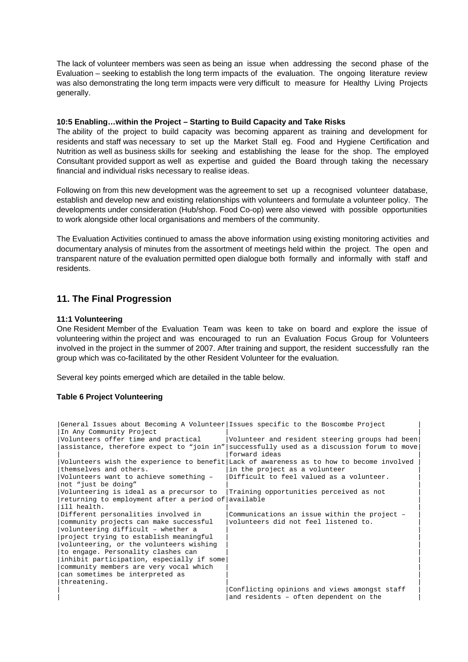The lack of volunteer members was seen as being an issue when addressing the second phase of the Evaluation – seeking to establish the long term impacts of the evaluation. The ongoing literature review was also demonstrating the long term impacts were very difficult to measure for Healthy Living Projects generally.

#### **10:5 Enabling…within the Project – Starting to Build Capacity and Take Risks**

The ability of the project to build capacity was becoming apparent as training and development for residents and staff was necessary to set up the Market Stall eg. Food and Hygiene Certification and Nutrition as well as business skills for seeking and establishing the lease for the shop. The employed Consultant provided support as well as expertise and guided the Board through taking the necessary financial and individual risks necessary to realise ideas.

Following on from this new development was the agreement to set up a recognised volunteer database, establish and develop new and existing relationships with volunteers and formulate a volunteer policy. The developments under consideration (Hub/shop. Food Co-op) were also viewed with possible opportunities to work alongside other local organisations and members of the community.

The Evaluation Activities continued to amass the above information using existing monitoring activities and documentary analysis of minutes from the assortment of meetings held within the project. The open and transparent nature of the evaluation permitted open dialogue both formally and informally with staff and residents.

## **11. The Final Progression**

#### **11:1 Volunteering**

One Resident Member of the Evaluation Team was keen to take on board and explore the issue of volunteering within the project and was encouraged to run an Evaluation Focus Group for Volunteers involved in the project in the summer of 2007. After training and support, the resident successfully ran the group which was co-facilitated by the other Resident Volunteer for the evaluation.

Several key points emerged which are detailed in the table below.

#### **Table 6 Project Volunteering**

|                                                     | General Issues about Becoming A Volunteer Issues specific to the Boscombe Project         |
|-----------------------------------------------------|-------------------------------------------------------------------------------------------|
| In Any Community Project                            |                                                                                           |
| Volunteers offer time and practical                 | Volunteer and resident steering groups had been                                           |
|                                                     | assistance, therefore expect to "join in" successfully used as a discussion forum to move |
|                                                     | forward ideas                                                                             |
|                                                     | Volunteers wish the experience to benefit Lack of awareness as to how to become involved  |
| themselves and others.                              | in the project as a volunteer                                                             |
| Volunteers want to achieve something -              | Difficult to feel valued as a volunteer.                                                  |
| not "just be doing"                                 |                                                                                           |
| Volunteering is ideal as a precursor to             | Training opportunities perceived as not                                                   |
| returning to employment after a period of available |                                                                                           |
| ill health.                                         |                                                                                           |
| Different personalities involved in                 | Communications an issue within the project -                                              |
|                                                     |                                                                                           |
| community projects can make successful              | volunteers did not feel listened to.                                                      |
| volunteering difficult - whether a                  |                                                                                           |
| project trying to establish meaningful              |                                                                                           |
| volunteering, or the volunteers wishing             |                                                                                           |
| to engage. Personality clashes can                  |                                                                                           |
| inhibit participation, especially if some           |                                                                                           |
| community members are very vocal which              |                                                                                           |
| can sometimes be interpreted as                     |                                                                                           |
| threatening.                                        |                                                                                           |
|                                                     | Conflicting opinions and views amongst staff<br>and residents - often dependent on the    |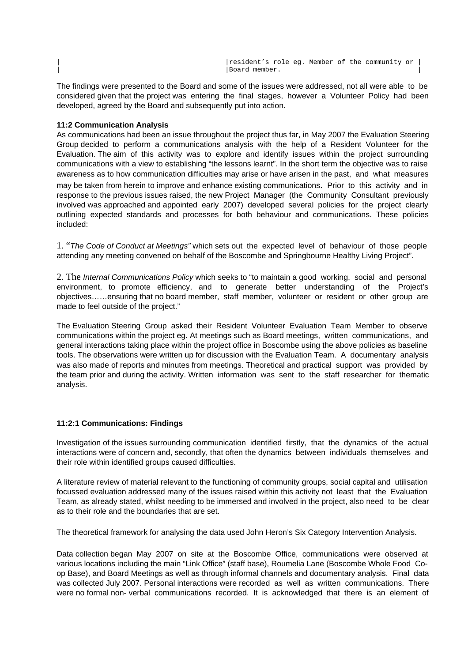resident's role eg. Member of the community or | |Board member. |

The findings were presented to the Board and some of the issues were addressed, not all were able to be considered given that the project was entering the final stages, however a Volunteer Policy had been developed, agreed by the Board and subsequently put into action.

#### **11:2 Communication Analysis**

As communications had been an issue throughout the project thus far, in May 2007 the Evaluation Steering Group decided to perform a communications analysis with the help of a Resident Volunteer for the Evaluation. The aim of this activity was to explore and identify issues within the project surrounding communications with a view to establishing "the lessons learnt". In the short term the objective was to raise awareness as to how communication difficulties may arise or have arisen in the past, and what measures may be taken from herein to improve and enhance existing communications. Prior to this activity and in response to the previous issues raised, the new Project Manager (the Community Consultant previously involved was approached and appointed early 2007) developed several policies for the project clearly outlining expected standards and processes for both behaviour and communications. These policies included:

1. "The Code of Conduct at Meetings" which sets out the expected level of behaviour of those people attending any meeting convened on behalf of the Boscombe and Springbourne Healthy Living Project".

2. The Internal Communications Policy which seeks to "to maintain a good working, social and personal environment, to promote efficiency, and to generate better understanding of the Project's objectives……ensuring that no board member, staff member, volunteer or resident or other group are made to feel outside of the project."

The Evaluation Steering Group asked their Resident Volunteer Evaluation Team Member to observe communications within the project eg. At meetings such as Board meetings, written communications, and general interactions taking place within the project office in Boscombe using the above policies as baseline tools. The observations were written up for discussion with the Evaluation Team. A documentary analysis was also made of reports and minutes from meetings. Theoretical and practical support was provided by the team prior and during the activity. Written information was sent to the staff researcher for thematic analysis.

#### **11:2:1 Communications: Findings**

Investigation of the issues surrounding communication identified firstly, that the dynamics of the actual interactions were of concern and, secondly, that often the dynamics between individuals themselves and their role within identified groups caused difficulties.

A literature review of material relevant to the functioning of community groups, social capital and utilisation focussed evaluation addressed many of the issues raised within this activity not least that the Evaluation Team, as already stated, whilst needing to be immersed and involved in the project, also need to be clear as to their role and the boundaries that are set.

The theoretical framework for analysing the data used John Heron's Six Category Intervention Analysis.

Data collection began May 2007 on site at the Boscombe Office, communications were observed at various locations including the main "Link Office" (staff base), Roumelia Lane (Boscombe Whole Food Coop Base), and Board Meetings as well as through informal channels and documentary analysis. Final data was collected July 2007. Personal interactions were recorded as well as written communications. There were no formal non- verbal communications recorded. It is acknowledged that there is an element of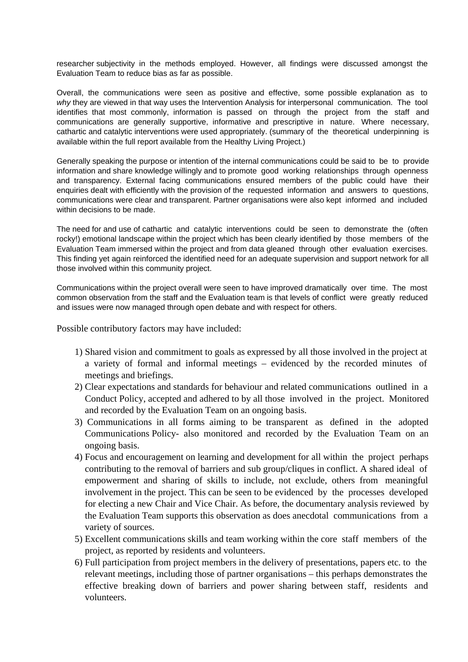researcher subjectivity in the methods employed. However, all findings were discussed amongst the Evaluation Team to reduce bias as far as possible.

Overall, the communications were seen as positive and effective, some possible explanation as to why they are viewed in that way uses the Intervention Analysis for interpersonal communication. The tool identifies that most commonly, information is passed on through the project from the staff and communications are generally supportive, informative and prescriptive in nature. Where necessary, cathartic and catalytic interventions were used appropriately. (summary of the theoretical underpinning is available within the full report available from the Healthy Living Project.)

Generally speaking the purpose or intention of the internal communications could be said to be to provide information and share knowledge willingly and to promote good working relationships through openness and transparency. External facing communications ensured members of the public could have their enquiries dealt with efficiently with the provision of the requested information and answers to questions, communications were clear and transparent. Partner organisations were also kept informed and included within decisions to be made.

The need for and use of cathartic and catalytic interventions could be seen to demonstrate the (often rocky!) emotional landscape within the project which has been clearly identified by those members of the Evaluation Team immersed within the project and from data gleaned through other evaluation exercises. This finding yet again reinforced the identified need for an adequate supervision and support network for all those involved within this community project.

Communications within the project overall were seen to have improved dramatically over time. The most common observation from the staff and the Evaluation team is that levels of conflict were greatly reduced and issues were now managed through open debate and with respect for others.

Possible contributory factors may have included:

- 1) Shared vision and commitment to goals as expressed by all those involved in the project at a variety of formal and informal meetings – evidenced by the recorded minutes of meetings and briefings.
- 2) Clear expectations and standards for behaviour and related communications outlined in a Conduct Policy, accepted and adhered to by all those involved in the project. Monitored and recorded by the Evaluation Team on an ongoing basis.
- 3) Communications in all forms aiming to be transparent as defined in the adopted Communications Policy- also monitored and recorded by the Evaluation Team on an ongoing basis.
- 4) Focus and encouragement on learning and development for all within the project perhaps contributing to the removal of barriers and sub group/cliques in conflict. A shared ideal of empowerment and sharing of skills to include, not exclude, others from meaningful involvement in the project. This can be seen to be evidenced by the processes developed for electing a new Chair and Vice Chair. As before, the documentary analysis reviewed by the Evaluation Team supports this observation as does anecdotal communications from a variety of sources.
- 5) Excellent communications skills and team working within the core staff members of the project, as reported by residents and volunteers.
- 6) Full participation from project members in the delivery of presentations, papers etc. to the relevant meetings, including those of partner organisations – this perhaps demonstrates the effective breaking down of barriers and power sharing between staff, residents and volunteers.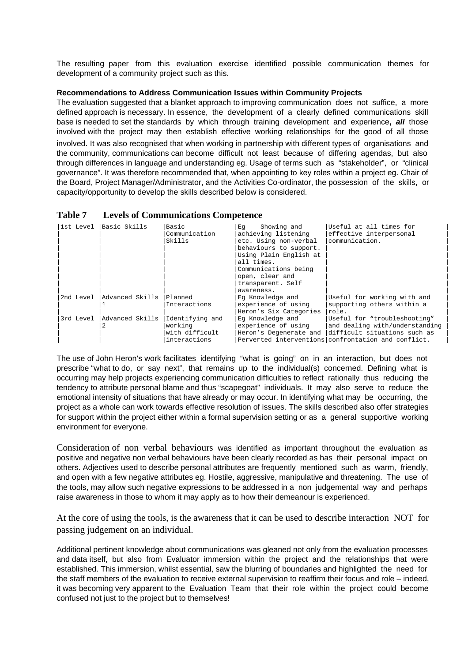The resulting paper from this evaluation exercise identified possible communication themes for development of a community project such as this.

#### **Recommendations to Address Communication Issues within Community Projects**

The evaluation suggested that a blanket approach to improving communication does not suffice, a more defined approach is necessary. In essence, the development of a clearly defined communications skill base is needed to set the standards by which through training development and experience**, all** those involved with the project may then establish effective working relationships for the good of all those involved. It was also recognised that when working in partnership with different types of organisations and the community, communications can become difficult not least because of differing agendas, but also through differences in language and understanding eg. Usage of terms such as "stakeholder", or "clinical governance". It was therefore recommended that, when appointing to key roles within a project eg. Chair of the Board, Project Manager/Administrator, and the Activities Co-ordinator, the possession of the skills, or capacity/opportunity to develop the skills described below is considered.

| <b>Table 7</b> | <b>Levels of Communications Competence</b> |  |
|----------------|--------------------------------------------|--|
|----------------|--------------------------------------------|--|

| l1st Level | Basic Skills                | Basic           | Showing and<br>Eq      | Useful at all times for                             |
|------------|-----------------------------|-----------------|------------------------|-----------------------------------------------------|
|            |                             | Communication   | achieving listening    | effective interpersonal                             |
|            |                             | Skills          | etc. Using non-verbal  | communication.                                      |
|            |                             |                 | behaviours to support. |                                                     |
|            |                             |                 | Using Plain English at |                                                     |
|            |                             |                 | all times.             |                                                     |
|            |                             |                 | Communications being   |                                                     |
|            |                             |                 | open, clear and        |                                                     |
|            |                             |                 | transparent. Self      |                                                     |
|            |                             |                 | awareness.             |                                                     |
| 2nd Level  | Advanced Skills             | Planned         | Eq Knowledge and       | Useful for working with and                         |
|            |                             | Interactions    | experience of using    | supporting others within a                          |
|            |                             |                 | Heron's Six Categories | role.                                               |
|            | 3rd Level   Advanced Skills | Identifying and | Eq Knowledge and       | Useful for "troubleshooting"                        |
|            |                             | working         | experience of using    | and dealing with/understanding                      |
|            |                             | with difficult  | Heron's Degenerate and | difficult situations such as                        |
|            |                             | interactions    |                        | Perverted interventions confrontation and conflict. |

The use of John Heron's work facilitates identifying "what is going" on in an interaction, but does not prescribe "what to do, or say next", that remains up to the individual(s) concerned. Defining what is occurring may help projects experiencing communication difficulties to reflect rationally thus reducing the tendency to attribute personal blame and thus "scapegoat" individuals. It may also serve to reduce the emotional intensity of situations that have already or may occur. In identifying what may be occurring, the project as a whole can work towards effective resolution of issues. The skills described also offer strategies for support within the project either within a formal supervision setting or as a general supportive working environment for everyone.

Consideration of non verbal behaviours was identified as important throughout the evaluation as positive and negative non verbal behaviours have been clearly recorded as has their personal impact on others. Adjectives used to describe personal attributes are frequently mentioned such as warm, friendly, and open with a few negative attributes eg. Hostile, aggressive, manipulative and threatening. The use of the tools, may allow such negative expressions to be addressed in a non judgemental way and perhaps raise awareness in those to whom it may apply as to how their demeanour is experienced.

At the core of using the tools, is the awareness that it can be used to describe interaction NOT for passing judgement on an individual.

Additional pertinent knowledge about communications was gleaned not only from the evaluation processes and data itself, but also from Evaluator immersion within the project and the relationships that were established. This immersion, whilst essential, saw the blurring of boundaries and highlighted the need for the staff members of the evaluation to receive external supervision to reaffirm their focus and role – indeed, it was becoming very apparent to the Evaluation Team that their role within the project could become confused not just to the project but to themselves!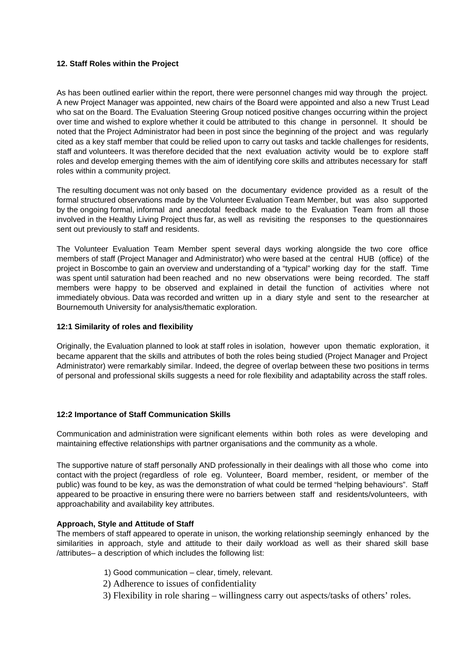#### **12. Staff Roles within the Project**

As has been outlined earlier within the report, there were personnel changes mid way through the project. A new Project Manager was appointed, new chairs of the Board were appointed and also a new Trust Lead who sat on the Board. The Evaluation Steering Group noticed positive changes occurring within the project over time and wished to explore whether it could be attributed to this change in personnel. It should be noted that the Project Administrator had been in post since the beginning of the project and was regularly cited as a key staff member that could be relied upon to carry out tasks and tackle challenges for residents, staff and volunteers. It was therefore decided that the next evaluation activity would be to explore staff roles and develop emerging themes with the aim of identifying core skills and attributes necessary for staff roles within a community project.

The resulting document was not only based on the documentary evidence provided as a result of the formal structured observations made by the Volunteer Evaluation Team Member, but was also supported by the ongoing formal, informal and anecdotal feedback made to the Evaluation Team from all those involved in the Healthy Living Project thus far, as well as revisiting the responses to the questionnaires sent out previously to staff and residents.

The Volunteer Evaluation Team Member spent several days working alongside the two core office members of staff (Project Manager and Administrator) who were based at the central HUB (office) of the project in Boscombe to gain an overview and understanding of a "typical" working day for the staff. Time was spent until saturation had been reached and no new observations were being recorded. The staff members were happy to be observed and explained in detail the function of activities where not immediately obvious. Data was recorded and written up in a diary style and sent to the researcher at Bournemouth University for analysis/thematic exploration.

#### **12:1 Similarity of roles and flexibility**

Originally, the Evaluation planned to look at staff roles in isolation, however upon thematic exploration, it became apparent that the skills and attributes of both the roles being studied (Project Manager and Project Administrator) were remarkably similar. Indeed, the degree of overlap between these two positions in terms of personal and professional skills suggests a need for role flexibility and adaptability across the staff roles.

#### **12:2 Importance of Staff Communication Skills**

Communication and administration were significant elements within both roles as were developing and maintaining effective relationships with partner organisations and the community as a whole.

The supportive nature of staff personally AND professionally in their dealings with all those who come into contact with the project (regardless of role eg. Volunteer, Board member, resident, or member of the public) was found to be key, as was the demonstration of what could be termed "helping behaviours". Staff appeared to be proactive in ensuring there were no barriers between staff and residents/volunteers, with approachability and availability key attributes.

#### **Approach, Style and Attitude of Staff**

The members of staff appeared to operate in unison, the working relationship seemingly enhanced by the similarities in approach, style and attitude to their daily workload as well as their shared skill base /attributes– a description of which includes the following list:

- 1) Good communication clear, timely, relevant.
- 2) Adherence to issues of confidentiality
- 3) Flexibility in role sharing willingness carry out aspects/tasks of others' roles.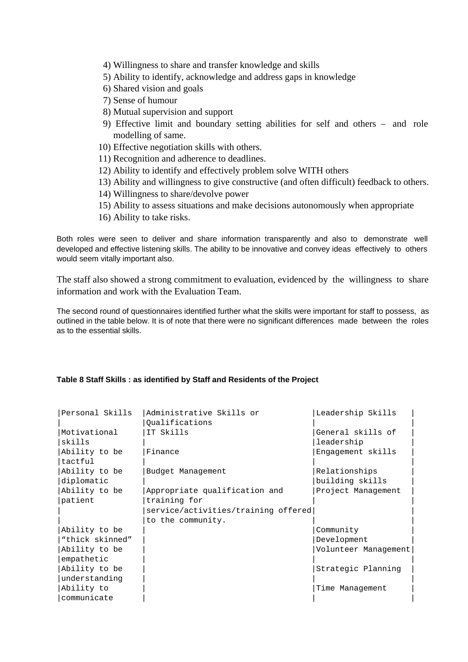- 4) Willingness to share and transfer knowledge and skills
- 5) Ability to identify, acknowledge and address gaps in knowledge
- 6) Shared vision and goals
- 7) Sense of humour
- 8) Mutual supervision and support
- 9) Effective limit and boundary setting abilities for self and others and role modelling of same.
- 10) Effective negotiation skills with others.
- 11) Recognition and adherence to deadlines.
- 12) Ability to identify and effectively problem solve WITH others
- 13) Ability and willingness to give constructive (and often difficult) feedback to others.
- 14) Willingness to share/devolve power
- 15) Ability to assess situations and make decisions autonomously when appropriate
- 16) Ability to take risks.

Both roles were seen to deliver and share information transparently and also to demonstrate well developed and effective listening skills. The ability to be innovative and convey ideas effectively to others would seem vitally important also.

The staff also showed a strong commitment to evaluation, evidenced by the willingness to share information and work with the Evaluation Team.

The second round of questionnaires identified further what the skills were important for staff to possess, as outlined in the table below. It is of note that there were no significant differences made between the roles as to the essential skills.

#### **Table 8 Staff Skills : as identified by Staff and Residents of the Project**

| Personal Skills | Administrative Skills or            | Leadership Skills    |
|-----------------|-------------------------------------|----------------------|
|                 | Oualifications                      |                      |
| Motivational    | IT Skills                           | General skills of    |
| skills          |                                     | leadership           |
| Ability to be   | Finance                             | Engagement skills    |
| tactful         |                                     |                      |
| Ability to be   | Budget Management                   | Relationships        |
| diplomatic      |                                     | building skills      |
| Ability to be   | Appropriate qualification and       | Project Management   |
| patient         | training for                        |                      |
|                 | service/activities/training offered |                      |
|                 | to the community.                   |                      |
| Ability to be   |                                     | Community            |
| "thick skinned" |                                     | Development          |
| Ability to be   |                                     | Volunteer Management |
| empathetic      |                                     |                      |
| Ability to be   |                                     | Strategic Planning   |
| understanding   |                                     |                      |
| Ability to      |                                     | Time Management      |
| communicate     |                                     |                      |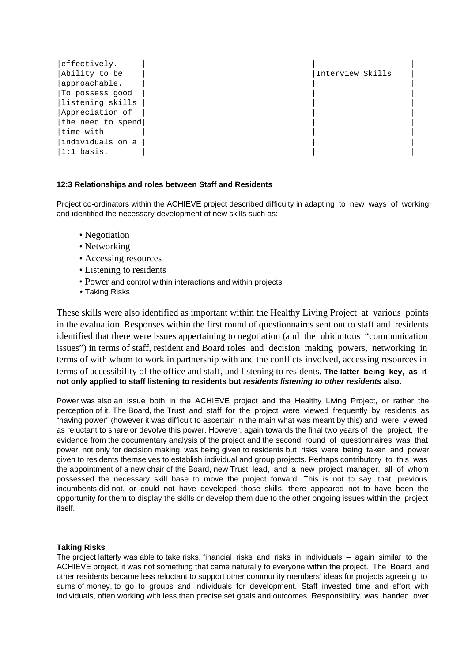| effectively.      |                  |
|-------------------|------------------|
| Ability to be     | Interview Skills |
| approachable.     |                  |
| To possess good   |                  |
| listening skills  |                  |
| Appreciation of   |                  |
| the need to spend |                  |
| time with         |                  |
| individuals on a  |                  |
| $ 1:1$ basis.     |                  |

#### **12:3 Relationships and roles between Staff and Residents**

Project co-ordinators within the ACHIEVE project described difficulty in adapting to new ways of working and identified the necessary development of new skills such as:

- Negotiation
- Networking
- Accessing resources
- Listening to residents
- Power and control within interactions and within projects
- Taking Risks

These skills were also identified as important within the Healthy Living Project at various points in the evaluation. Responses within the first round of questionnaires sent out to staff and residents identified that there were issues appertaining to negotiation (and the ubiquitous "communication issues") in terms of staff, resident and Board roles and decision making powers, networking in terms of with whom to work in partnership with and the conflicts involved, accessing resources in terms of accessibility of the office and staff, and listening to residents. **The latter being key, as it not only applied to staff listening to residents but residents listening to other residents also.**

Power was also an issue both in the ACHIEVE project and the Healthy Living Project, or rather the perception of it. The Board, the Trust and staff for the project were viewed frequently by residents as "having power" (however it was difficult to ascertain in the main what was meant by this) and were viewed as reluctant to share or devolve this power. However, again towards the final two years of the project, the evidence from the documentary analysis of the project and the second round of questionnaires was that power, not only for decision making, was being given to residents but risks were being taken and power given to residents themselves to establish individual and group projects. Perhaps contributory to this was the appointment of a new chair of the Board, new Trust lead, and a new project manager, all of whom possessed the necessary skill base to move the project forward. This is not to say that previous incumbents did not, or could not have developed those skills, there appeared not to have been the opportunity for them to display the skills or develop them due to the other ongoing issues within the project itself.

#### **Taking Risks**

The project latterly was able to take risks, financial risks and risks in individuals – again similar to the ACHIEVE project, it was not something that came naturally to everyone within the project. The Board and other residents became less reluctant to support other community members' ideas for projects agreeing to sums of money, to go to groups and individuals for development. Staff invested time and effort with individuals, often working with less than precise set goals and outcomes. Responsibility was handed over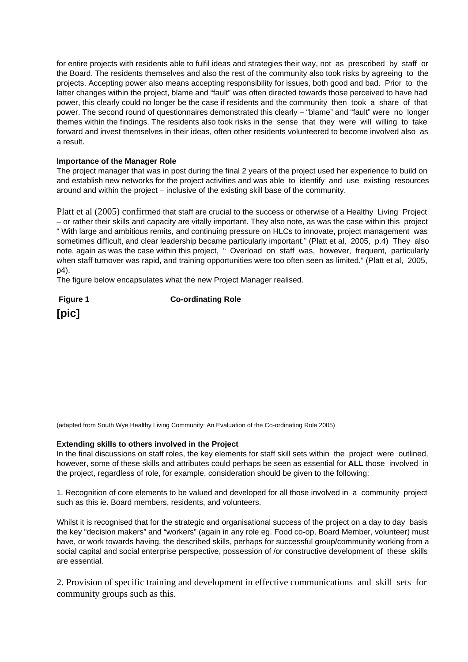for entire projects with residents able to fulfil ideas and strategies their way, not as prescribed by staff or the Board. The residents themselves and also the rest of the community also took risks by agreeing to the projects. Accepting power also means accepting responsibility for issues, both good and bad. Prior to the latter changes within the project, blame and "fault" was often directed towards those perceived to have had power, this clearly could no longer be the case if residents and the community then took a share of that power. The second round of questionnaires demonstrated this clearly – "blame" and "fault" were no longer themes within the findings. The residents also took risks in the sense that they were will willing to take forward and invest themselves in their ideas, often other residents volunteered to become involved also as a result.

#### **Importance of the Manager Role**

The project manager that was in post during the final 2 years of the project used her experience to build on and establish new networks for the project activities and was able to identify and use existing resources around and within the project – inclusive of the existing skill base of the community.

Platt et al (2005) confirmed that staff are crucial to the success or otherwise of a Healthy Living Project – or rather their skills and capacity are vitally important. They also note, as was the case within this project " With large and ambitious remits, and continuing pressure on HLCs to innovate, project management was sometimes difficult, and clear leadership became particularly important." (Platt et al, 2005, p.4) They also note, again as was the case within this project, " Overload on staff was, however, frequent, particularly when staff turnover was rapid, and training opportunities were too often seen as limited." (Platt et al, 2005, p4).

The figure below encapsulates what the new Project Manager realised.

**Figure 1** Co-ordinating Role **[pic]**

(adapted from South Wye Healthy Living Community: An Evaluation of the Co-ordinating Role 2005)

#### **Extending skills to others involved in the Project**

In the final discussions on staff roles, the key elements for staff skill sets within the project were outlined, however, some of these skills and attributes could perhaps be seen as essential for **ALL** those involved in the project, regardless of role, for example, consideration should be given to the following:

1. Recognition of core elements to be valued and developed for all those involved in a community project such as this ie. Board members, residents, and volunteers.

Whilst it is recognised that for the strategic and organisational success of the project on a day to day basis the key "decision makers" and "workers" (again in any role eg. Food co-op, Board Member, volunteer) must have, or work towards having, the described skills, perhaps for successful group/community working from a social capital and social enterprise perspective, possession of /or constructive development of these skills are essential.

2. Provision of specific training and development in effective communications and skill sets for community groups such as this.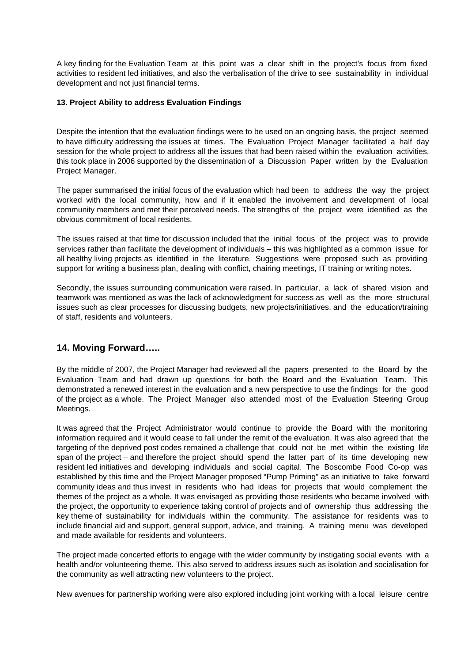A key finding for the Evaluation Team at this point was a clear shift in the project's focus from fixed activities to resident led initiatives, and also the verbalisation of the drive to see sustainability in individual development and not just financial terms.

#### **13. Project Ability to address Evaluation Findings**

Despite the intention that the evaluation findings were to be used on an ongoing basis, the project seemed to have difficulty addressing the issues at times. The Evaluation Project Manager facilitated a half day session for the whole project to address all the issues that had been raised within the evaluation activities, this took place in 2006 supported by the dissemination of a Discussion Paper written by the Evaluation Project Manager.

The paper summarised the initial focus of the evaluation which had been to address the way the project worked with the local community, how and if it enabled the involvement and development of local community members and met their perceived needs. The strengths of the project were identified as the obvious commitment of local residents.

The issues raised at that time for discussion included that the initial focus of the project was to provide services rather than facilitate the development of individuals – this was highlighted as a common issue for all healthy living projects as identified in the literature. Suggestions were proposed such as providing support for writing a business plan, dealing with conflict, chairing meetings, IT training or writing notes.

Secondly, the issues surrounding communication were raised. In particular, a lack of shared vision and teamwork was mentioned as was the lack of acknowledgment for success as well as the more structural issues such as clear processes for discussing budgets, new projects/initiatives, and the education/training of staff, residents and volunteers.

## **14. Moving Forward…..**

By the middle of 2007, the Project Manager had reviewed all the papers presented to the Board by the Evaluation Team and had drawn up questions for both the Board and the Evaluation Team. This demonstrated a renewed interest in the evaluation and a new perspective to use the findings for the good of the project as a whole. The Project Manager also attended most of the Evaluation Steering Group Meetings.

It was agreed that the Project Administrator would continue to provide the Board with the monitoring information required and it would cease to fall under the remit of the evaluation. It was also agreed that the targeting of the deprived post codes remained a challenge that could not be met within the existing life span of the project – and therefore the project should spend the latter part of its time developing new resident led initiatives and developing individuals and social capital. The Boscombe Food Co-op was established by this time and the Project Manager proposed "Pump Priming" as an initiative to take forward community ideas and thus invest in residents who had ideas for projects that would complement the themes of the project as a whole. It was envisaged as providing those residents who became involved with the project, the opportunity to experience taking control of projects and of ownership thus addressing the key theme of sustainability for individuals within the community. The assistance for residents was to include financial aid and support, general support, advice, and training. A training menu was developed and made available for residents and volunteers.

The project made concerted efforts to engage with the wider community by instigating social events with a health and/or volunteering theme. This also served to address issues such as isolation and socialisation for the community as well attracting new volunteers to the project.

New avenues for partnership working were also explored including joint working with a local leisure centre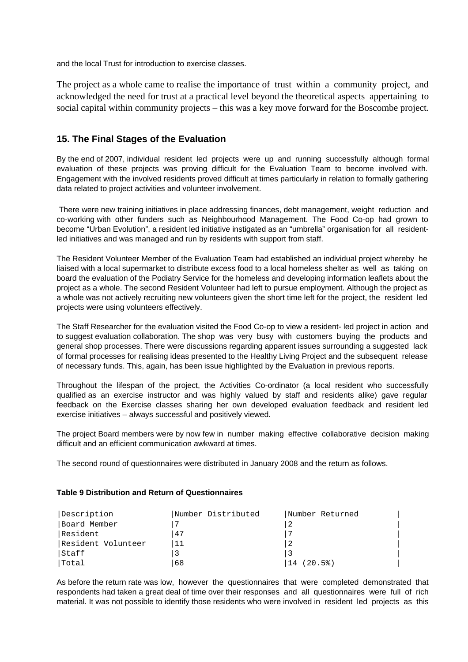and the local Trust for introduction to exercise classes.

The project as a whole came to realise the importance of trust within a community project, and acknowledged the need for trust at a practical level beyond the theoretical aspects appertaining to social capital within community projects – this was a key move forward for the Boscombe project.

## **15. The Final Stages of the Evaluation**

By the end of 2007, individual resident led projects were up and running successfully although formal evaluation of these projects was proving difficult for the Evaluation Team to become involved with. Engagement with the involved residents proved difficult at times particularly in relation to formally gathering data related to project activities and volunteer involvement.

There were new training initiatives in place addressing finances, debt management, weight reduction and co-working with other funders such as Neighbourhood Management. The Food Co-op had grown to become "Urban Evolution", a resident led initiative instigated as an "umbrella" organisation for all residentled initiatives and was managed and run by residents with support from staff.

The Resident Volunteer Member of the Evaluation Team had established an individual project whereby he liaised with a local supermarket to distribute excess food to a local homeless shelter as well as taking on board the evaluation of the Podiatry Service for the homeless and developing information leaflets about the project as a whole. The second Resident Volunteer had left to pursue employment. Although the project as a whole was not actively recruiting new volunteers given the short time left for the project, the resident led projects were using volunteers effectively.

The Staff Researcher for the evaluation visited the Food Co-op to view a resident- led project in action and to suggest evaluation collaboration. The shop was very busy with customers buying the products and general shop processes. There were discussions regarding apparent issues surrounding a suggested lack of formal processes for realising ideas presented to the Healthy Living Project and the subsequent release of necessary funds. This, again, has been issue highlighted by the Evaluation in previous reports.

Throughout the lifespan of the project, the Activities Co-ordinator (a local resident who successfully qualified as an exercise instructor and was highly valued by staff and residents alike) gave regular feedback on the Exercise classes sharing her own developed evaluation feedback and resident led exercise initiatives – always successful and positively viewed.

The project Board members were by now few in number making effective collaborative decision making difficult and an efficient communication awkward at times.

The second round of questionnaires were distributed in January 2008 and the return as follows.

#### **Table 9 Distribution and Return of Questionnaires**

| Description        | Number Distributed | Number Returned |
|--------------------|--------------------|-----------------|
| Board Member       |                    |                 |
| lResident          | 47                 |                 |
| Resident Volunteer | 11                 | -2              |
| Staff              |                    |                 |
| Total              | 68                 | (20.5)<br>$+14$ |

As before the return rate was low, however the questionnaires that were completed demonstrated that respondents had taken a great deal of time over their responses and all questionnaires were full of rich material. It was not possible to identify those residents who were involved in resident led projects as this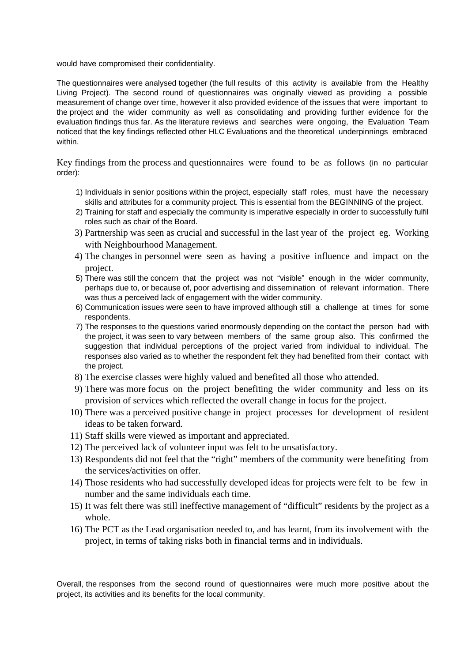would have compromised their confidentiality.

The questionnaires were analysed together (the full results of this activity is available from the Healthy Living Project). The second round of questionnaires was originally viewed as providing a possible measurement of change over time, however it also provided evidence of the issues that were important to the project and the wider community as well as consolidating and providing further evidence for the evaluation findings thus far. As the literature reviews and searches were ongoing, the Evaluation Team noticed that the key findings reflected other HLC Evaluations and the theoretical underpinnings embraced within.

Key findings from the process and questionnaires were found to be as follows (in no particular order):

- 1) Individuals in senior positions within the project, especially staff roles, must have the necessary skills and attributes for a community project. This is essential from the BEGINNING of the project.
- 2) Training for staff and especially the community is imperative especially in order to successfully fulfil roles such as chair of the Board.
- 3) Partnership was seen as crucial and successful in the last year of the project eg. Working with Neighbourhood Management.
- 4) The changes in personnel were seen as having a positive influence and impact on the project.
- 5) There was still the concern that the project was not "visible" enough in the wider community, perhaps due to, or because of, poor advertising and dissemination of relevant information. There was thus a perceived lack of engagement with the wider community.
- 6) Communication issues were seen to have improved although still a challenge at times for some respondents.
- 7) The responses to the questions varied enormously depending on the contact the person had with the project, it was seen to vary between members of the same group also. This confirmed the suggestion that individual perceptions of the project varied from individual to individual. The responses also varied as to whether the respondent felt they had benefited from their contact with the project.
- 8) The exercise classes were highly valued and benefited all those who attended.
- 9) There was more focus on the project benefiting the wider community and less on its provision of services which reflected the overall change in focus for the project.
- 10) There was a perceived positive change in project processes for development of resident ideas to be taken forward.
- 11) Staff skills were viewed as important and appreciated.
- 12) The perceived lack of volunteer input was felt to be unsatisfactory.
- 13) Respondents did not feel that the "right" members of the community were benefiting from the services/activities on offer.
- 14) Those residents who had successfully developed ideas for projects were felt to be few in number and the same individuals each time.
- 15) It was felt there was still ineffective management of "difficult" residents by the project as a whole.
- 16) The PCT as the Lead organisation needed to, and has learnt, from its involvement with the project, in terms of taking risks both in financial terms and in individuals.

Overall, the responses from the second round of questionnaires were much more positive about the project, its activities and its benefits for the local community.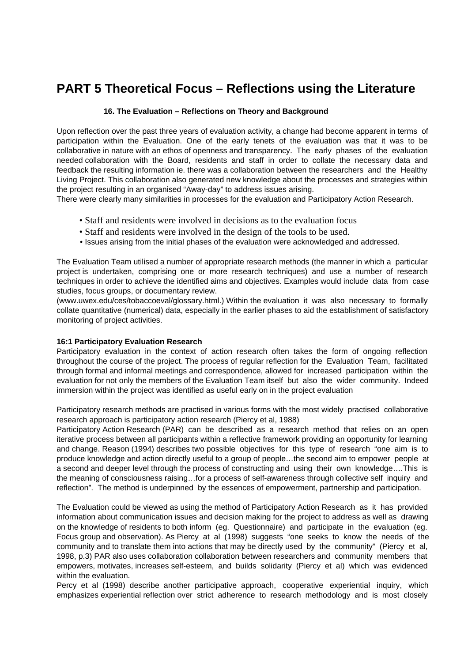# **PART 5 Theoretical Focus – Reflections using the Literature**

#### **16. The Evaluation – Reflections on Theory and Background**

Upon reflection over the past three years of evaluation activity, a change had become apparent in terms of participation within the Evaluation. One of the early tenets of the evaluation was that it was to be collaborative in nature with an ethos of openness and transparency. The early phases of the evaluation needed collaboration with the Board, residents and staff in order to collate the necessary data and feedback the resulting information ie. there was a collaboration between the researchers and the Healthy Living Project. This collaboration also generated new knowledge about the processes and strategies within the project resulting in an organised "Away-day" to address issues arising.

There were clearly many similarities in processes for the evaluation and Participatory Action Research.

- Staff and residents were involved in decisions as to the evaluation focus
- Staff and residents were involved in the design of the tools to be used.
- Issues arising from the initial phases of the evaluation were acknowledged and addressed.

The Evaluation Team utilised a number of appropriate research methods (the manner in which a particular project is undertaken, comprising one or more research techniques) and use a number of research techniques in order to achieve the identified aims and objectives. Examples would include data from case studies, focus groups, or documentary review.

(www.uwex.edu/ces/tobaccoeval/glossary.html.) Within the evaluation it was also necessary to formally collate quantitative (numerical) data, especially in the earlier phases to aid the establishment of satisfactory monitoring of project activities.

#### **16:1 Participatory Evaluation Research**

Participatory evaluation in the context of action research often takes the form of ongoing reflection throughout the course of the project. The process of regular reflection for the Evaluation Team, facilitated through formal and informal meetings and correspondence, allowed for increased participation within the evaluation for not only the members of the Evaluation Team itself but also the wider community. Indeed immersion within the project was identified as useful early on in the project evaluation

Participatory research methods are practised in various forms with the most widely practised collaborative research approach is participatory action research (Piercy et al, 1988)

Participatory Action Research (PAR) can be described as a research method that relies on an open iterative process between all participants within a reflective framework providing an opportunity for learning and change. Reason (1994) describes two possible objectives for this type of research "one aim is to produce knowledge and action directly useful to a group of people…the second aim to empower people at a second and deeper level through the process of constructing and using their own knowledge….This is the meaning of consciousness raising…for a process of self-awareness through collective self inquiry and reflection". The method is underpinned by the essences of empowerment, partnership and participation.

The Evaluation could be viewed as using the method of Participatory Action Research as it has provided information about communication issues and decision making for the project to address as well as drawing on the knowledge of residents to both inform (eg. Questionnaire) and participate in the evaluation (eg. Focus group and observation). As Piercy at al (1998) suggests "one seeks to know the needs of the community and to translate them into actions that may be directly used by the community" (Piercy et al, 1998, p.3) PAR also uses collaboration collaboration between researchers and community members that empowers, motivates, increases self-esteem, and builds solidarity (Piercy et al) which was evidenced within the evaluation.

Percy et al (1998) describe another participative approach, cooperative experiential inquiry, which emphasizes experiential reflection over strict adherence to research methodology and is most closely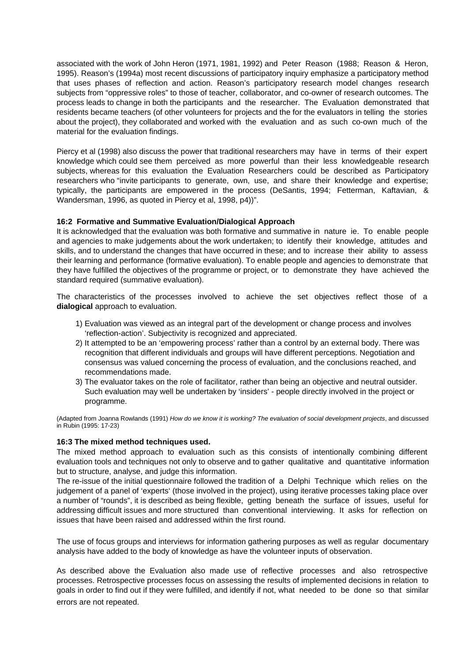associated with the work of John Heron (1971, 1981, 1992) and Peter Reason (1988; Reason & Heron, 1995). Reason's (1994a) most recent discussions of participatory inquiry emphasize a participatory method that uses phases of reflection and action. Reason's participatory research model changes research subjects from "oppressive roles" to those of teacher, collaborator, and co-owner of research outcomes. The process leads to change in both the participants and the researcher. The Evaluation demonstrated that residents became teachers (of other volunteers for projects and the for the evaluators in telling the stories about the project), they collaborated and worked with the evaluation and as such co-own much of the material for the evaluation findings.

Piercy et al (1998) also discuss the power that traditional researchers may have in terms of their expert knowledge which could see them perceived as more powerful than their less knowledgeable research subjects, whereas for this evaluation the Evaluation Researchers could be described as Participatory researchers who "invite participants to generate, own, use, and share their knowledge and expertise; typically, the participants are empowered in the process (DeSantis, 1994; Fetterman, Kaftavian, & Wandersman, 1996, as quoted in Piercy et al, 1998, p4))".

#### **16:2 Formative and Summative Evaluation/Dialogical Approach**

It is acknowledged that the evaluation was both formative and summative in nature ie. To enable people and agencies to make judgements about the work undertaken; to identify their knowledge, attitudes and skills, and to understand the changes that have occurred in these; and to increase their ability to assess their learning and performance (formative evaluation). To enable people and agencies to demonstrate that they have fulfilled the objectives of the programme or project, or to demonstrate they have achieved the standard required (summative evaluation).

The characteristics of the processes involved to achieve the set objectives reflect those of a **dialogical** approach to evaluation.

- 1) Evaluation was viewed as an integral part of the development or change process and involves 'reflection-action'. Subjectivity is recognized and appreciated.
- 2) It attempted to be an 'empowering process' rather than a control by an external body. There was recognition that different individuals and groups will have different perceptions. Negotiation and consensus was valued concerning the process of evaluation, and the conclusions reached, and recommendations made.
- 3) The evaluator takes on the role of facilitator, rather than being an objective and neutral outsider. Such evaluation may well be undertaken by 'insiders' - people directly involved in the project or programme.

(Adapted from Joanna Rowlands (1991) How do we know it is working? The evaluation of social development projects, and discussed in Rubin (1995: 17-23)

#### **16:3 The mixed method techniques used.**

The mixed method approach to evaluation such as this consists of intentionally combining different evaluation tools and techniques not only to observe and to gather qualitative and quantitative information but to structure, analyse, and judge this information.

The re-issue of the initial questionnaire followed the tradition of a Delphi Technique which relies on the judgement of a panel of 'experts' (those involved in the project), using iterative processes taking place over a number of "rounds", it is described as being flexible, getting beneath the surface of issues, useful for addressing difficult issues and more structured than conventional interviewing. It asks for reflection on issues that have been raised and addressed within the first round.

The use of focus groups and interviews for information gathering purposes as well as regular documentary analysis have added to the body of knowledge as have the volunteer inputs of observation.

As described above the Evaluation also made use of reflective processes and also retrospective processes. Retrospective processes focus on assessing the results of implemented decisions in relation to goals in order to find out if they were fulfilled, and identify if not, what needed to be done so that similar errors are not repeated.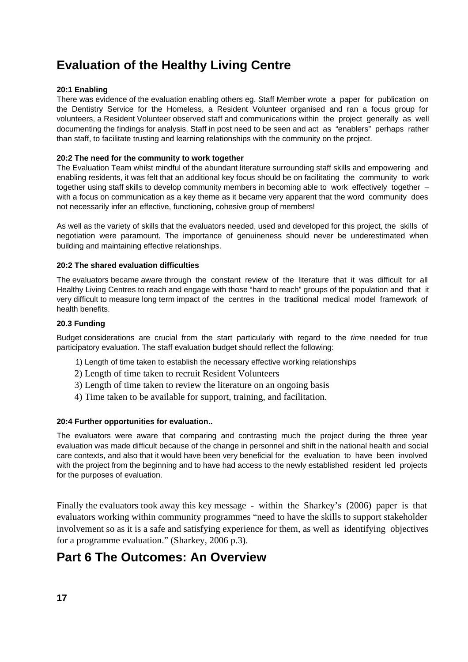# **Evaluation of the Healthy Living Centre**

#### **20:1 Enabling**

There was evidence of the evaluation enabling others eg. Staff Member wrote a paper for publication on the Dentistry Service for the Homeless, a Resident Volunteer organised and ran a focus group for volunteers, a Resident Volunteer observed staff and communications within the project generally as well documenting the findings for analysis. Staff in post need to be seen and act as "enablers" perhaps rather than staff, to facilitate trusting and learning relationships with the community on the project.

#### **20:2 The need for the community to work together**

The Evaluation Team whilst mindful of the abundant literature surrounding staff skills and empowering and enabling residents, it was felt that an additional key focus should be on facilitating the community to work together using staff skills to develop community members in becoming able to work effectively together – with a focus on communication as a key theme as it became very apparent that the word community does not necessarily infer an effective, functioning, cohesive group of members!

As well as the variety of skills that the evaluators needed, used and developed for this project, the skills of negotiation were paramount. The importance of genuineness should never be underestimated when building and maintaining effective relationships.

#### **20:2 The shared evaluation difficulties**

The evaluators became aware through the constant review of the literature that it was difficult for all Healthy Living Centres to reach and engage with those "hard to reach" groups of the population and that it very difficult to measure long term impact of the centres in the traditional medical model framework of health benefits.

#### **20.3 Funding**

Budget considerations are crucial from the start particularly with regard to the time needed for true participatory evaluation. The staff evaluation budget should reflect the following:

- 1) Length of time taken to establish the necessary effective working relationships
- 2) Length of time taken to recruit Resident Volunteers
- 3) Length of time taken to review the literature on an ongoing basis
- 4) Time taken to be available for support, training, and facilitation.

#### **20:4 Further opportunities for evaluation..**

The evaluators were aware that comparing and contrasting much the project during the three year evaluation was made difficult because of the change in personnel and shift in the national health and social care contexts, and also that it would have been very beneficial for the evaluation to have been involved with the project from the beginning and to have had access to the newly established resident led projects for the purposes of evaluation.

Finally the evaluators took away this key message - within the Sharkey's (2006) paper is that evaluators working within community programmes "need to have the skills to support stakeholder involvement so as it is a safe and satisfying experience for them, as well as identifying objectives for a programme evaluation." (Sharkey, 2006 p.3).

## **Part 6 The Outcomes: An Overview**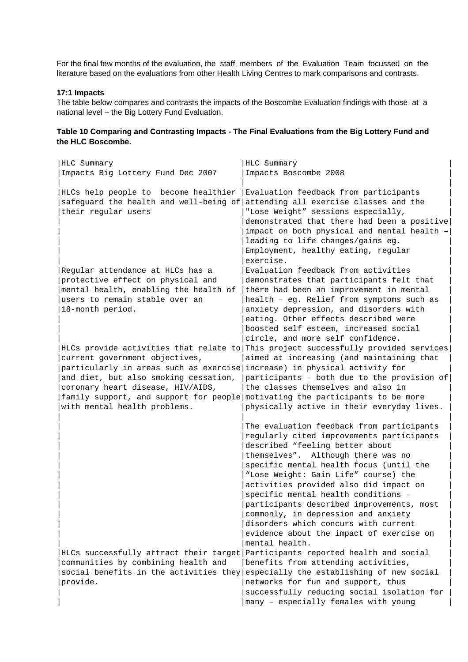For the final few months of the evaluation, the staff members of the Evaluation Team focussed on the literature based on the evaluations from other Health Living Centres to mark comparisons and contrasts.

#### **17:1 Impacts**

The table below compares and contrasts the impacts of the Boscombe Evaluation findings with those at a national level – the Big Lottery Fund Evaluation.

#### **Table 10 Comparing and Contrasting Impacts - The Final Evaluations from the Big Lottery Fund and the HLC Boscombe.**

| HLC Summary                                                               | HLC Summary                                                                        |
|---------------------------------------------------------------------------|------------------------------------------------------------------------------------|
| Impacts Big Lottery Fund Dec 2007                                         | Impacts Boscombe 2008                                                              |
|                                                                           |                                                                                    |
| HLCs help people to become healthier                                      | Evaluation feedback from participants                                              |
|                                                                           | safeguard the health and well-being of attending all exercise classes and the      |
| their regular users                                                       | "Lose Weight" sessions especially,                                                 |
|                                                                           | demonstrated that there had been a positive                                        |
|                                                                           | impact on both physical and mental health -                                        |
|                                                                           | leading to life changes/gains eg.                                                  |
|                                                                           | Employment, healthy eating, regular                                                |
|                                                                           | exercise.                                                                          |
| Regular attendance at HLCs has a                                          | Evaluation feedback from activities                                                |
| protective effect on physical and                                         | demonstrates that participants felt that                                           |
| mental health, enabling the health of                                     | there had been an improvement in mental                                            |
| users to remain stable over an                                            | health - eg. Relief from symptoms such as                                          |
| 18-month period.                                                          | anxiety depression, and disorders with                                             |
|                                                                           | eating. Other effects described were                                               |
|                                                                           | boosted self esteem, increased social                                              |
|                                                                           | circle, and more self confidence.                                                  |
|                                                                           | HLCs provide activities that relate to This project successfully provided services |
| current government objectives,                                            | aimed at increasing (and maintaining that                                          |
| particularly in areas such as exercise increase) in physical activity for |                                                                                    |
| and diet, but also smoking cessation,                                     | participants - both due to the provision of                                        |
| coronary heart disease, HIV/AIDS,                                         | the classes themselves and also in                                                 |
|                                                                           | family support, and support for people motivating the participants to be more      |
| with mental health problems.                                              | physically active in their everyday lives.                                         |
|                                                                           |                                                                                    |
|                                                                           | The evaluation feedback from participants                                          |
|                                                                           | regularly cited improvements participants                                          |
|                                                                           | described "feeling better about                                                    |
|                                                                           | themselves". Although there was no                                                 |
|                                                                           | specific mental health focus (until the                                            |
|                                                                           | "Lose Weight: Gain Life" course) the                                               |
|                                                                           | activities provided also did impact on                                             |
|                                                                           | specific mental health conditions -                                                |
|                                                                           | participants described improvements, most                                          |
|                                                                           | commonly, in depression and anxiety                                                |
|                                                                           | disorders which concurs with current                                               |
|                                                                           | evidence about the impact of exercise on                                           |
|                                                                           | mental health.                                                                     |
|                                                                           | HLCs successfully attract their target Participants reported health and social     |
| communities by combining health and                                       | benefits from attending activities,                                                |
| social benefits in the activities they                                    | especially the establishing of new social                                          |
| provide.                                                                  | networks for fun and support, thus                                                 |
|                                                                           | successfully reducing social isolation for                                         |
|                                                                           | many - especially females with young                                               |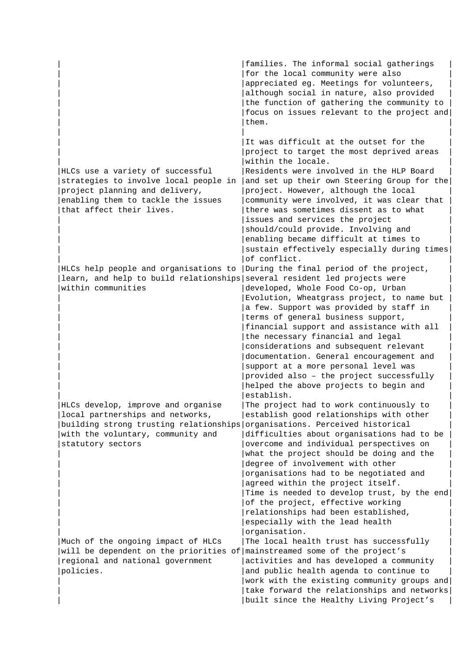|                                                                            | families. The informal social gatherings<br>for the local community were also |
|----------------------------------------------------------------------------|-------------------------------------------------------------------------------|
|                                                                            | appreciated eg. Meetings for volunteers,                                      |
|                                                                            | although social in nature, also provided                                      |
|                                                                            | the function of gathering the community to                                    |
|                                                                            | focus on issues relevant to the project and                                   |
|                                                                            | them.                                                                         |
|                                                                            |                                                                               |
|                                                                            | It was difficult at the outset for the                                        |
|                                                                            | project to target the most deprived areas<br>within the locale.               |
| HLCs use a variety of successful                                           | Residents were involved in the HLP Board                                      |
| strategies to involve local people in                                      | and set up their own Steering Group for the                                   |
| project planning and delivery,                                             | project. However, although the local                                          |
| enabling them to tackle the issues                                         | community were involved, it was clear that                                    |
| that affect their lives.                                                   | there was sometimes dissent as to what                                        |
|                                                                            | issues and services the project                                               |
|                                                                            | should/could provide. Involving and                                           |
|                                                                            | enabling became difficult at times to                                         |
|                                                                            | sustain effectively especially during times                                   |
|                                                                            | of conflict.                                                                  |
| HLCs help people and organisations to                                      | During the final period of the project,                                       |
| learn, and help to build relationships                                     | several resident led projects were                                            |
| within communities                                                         | developed, Whole Food Co-op, Urban                                            |
|                                                                            | Evolution, Wheatgrass project, to name but                                    |
|                                                                            | a few. Support was provided by staff in                                       |
|                                                                            | terms of general business support,                                            |
|                                                                            | financial support and assistance with all                                     |
|                                                                            | the necessary financial and legal                                             |
|                                                                            | considerations and subsequent relevant                                        |
|                                                                            | documentation. General encouragement and                                      |
|                                                                            | support at a more personal level was                                          |
|                                                                            | provided also - the project successfully                                      |
|                                                                            | helped the above projects to begin and                                        |
|                                                                            | establish.                                                                    |
| HLCs develop, improve and organise                                         | The project had to work continuously to                                       |
| local partnerships and networks,                                           | establish good relationships with other                                       |
| building strong trusting relationships organisations. Perceived historical | difficulties about organisations had to be                                    |
| with the voluntary, community and<br>statutory sectors                     | overcome and individual perspectives on                                       |
|                                                                            | what the project should be doing and the                                      |
|                                                                            | degree of involvement with other                                              |
|                                                                            | organisations had to be negotiated and                                        |
|                                                                            | agreed within the project itself.                                             |
|                                                                            | Time is needed to develop trust, by the end                                   |
|                                                                            | of the project, effective working                                             |
|                                                                            | relationships had been established,                                           |
|                                                                            | especially with the lead health                                               |
|                                                                            | organisation.                                                                 |
| Much of the ongoing impact of HLCs                                         | The local health trust has successfully                                       |
| will be dependent on the priorities of mainstreamed some of the project's  |                                                                               |
| regional and national government                                           | activities and has developed a community                                      |
| policies.                                                                  | and public health agenda to continue to                                       |
|                                                                            | work with the existing community groups and                                   |
|                                                                            | take forward the relationships and networks                                   |
|                                                                            | built since the Healthy Living Project's                                      |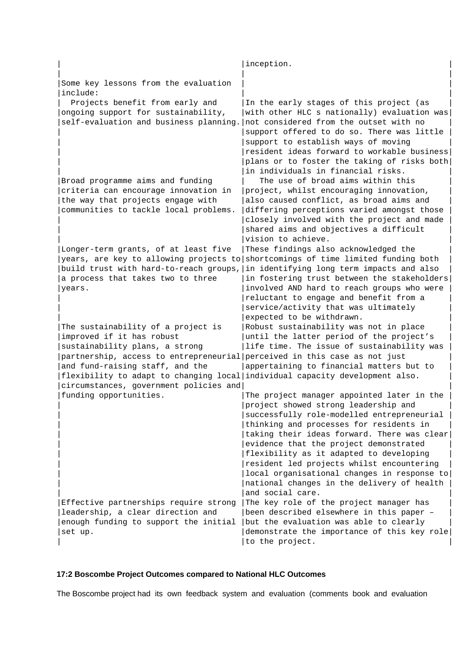|                                                                                                                                                                                                                                                                                                                                             | inception.                                                                                                                                                                                                                                                                                                                                                                                                                                                                    |
|---------------------------------------------------------------------------------------------------------------------------------------------------------------------------------------------------------------------------------------------------------------------------------------------------------------------------------------------|-------------------------------------------------------------------------------------------------------------------------------------------------------------------------------------------------------------------------------------------------------------------------------------------------------------------------------------------------------------------------------------------------------------------------------------------------------------------------------|
| Some key lessons from the evaluation<br>include:                                                                                                                                                                                                                                                                                            |                                                                                                                                                                                                                                                                                                                                                                                                                                                                               |
| Projects benefit from early and<br>ongoing support for sustainability,<br>self-evaluation and business planning.                                                                                                                                                                                                                            | In the early stages of this project (as<br>with other HLC s nationally) evaluation was<br>not considered from the outset with no<br>support offered to do so. There was little<br>support to establish ways of moving<br>resident ideas forward to workable business<br>plans or to foster the taking of risks both<br>in individuals in financial risks.                                                                                                                     |
| Broad programme aims and funding<br>criteria can encourage innovation in<br>the way that projects engage with<br>communities to tackle local problems.                                                                                                                                                                                      | The use of broad aims within this<br>project, whilst encouraging innovation,<br>also caused conflict, as broad aims and<br>differing perceptions varied amongst those<br>closely involved with the project and made<br>shared aims and objectives a difficult<br>vision to achieve.                                                                                                                                                                                           |
| Longer-term grants, of at least five<br>build trust with hard-to-reach groups,<br>a process that takes two to three<br>years.                                                                                                                                                                                                               | These findings also acknowledged the<br>years, are key to allowing projects to shortcomings of time limited funding both<br>in identifying long term impacts and also<br>in fostering trust between the stakeholders<br>involved AND hard to reach groups who were<br>reluctant to engage and benefit from a<br>service/activity that was ultimately<br>expected to be withdrawn.                                                                                             |
| The sustainability of a project is<br>improved if it has robust<br>sustainability plans, a strong<br>partnership, access to entrepreneurial perceived in this case as not just<br>and fund-raising staff, and the<br>flexibility to adapt to changing local individual capacity development also.<br>circumstances, government policies and | Robust sustainability was not in place<br>until the latter period of the project's<br>life time. The issue of sustainability was<br>appertaining to financial matters but to                                                                                                                                                                                                                                                                                                  |
| funding opportunities.                                                                                                                                                                                                                                                                                                                      | The project manager appointed later in the<br>project showed strong leadership and<br>successfully role-modelled entrepreneurial<br>thinking and processes for residents in<br>taking their ideas forward. There was clear<br>evidence that the project demonstrated<br>flexibility as it adapted to developing<br>resident led projects whilst encountering<br>local organisational changes in response to<br>national changes in the delivery of health<br>and social care. |
| Effective partnerships require strong<br>leadership, a clear direction and<br>enough funding to support the initial<br>set up.                                                                                                                                                                                                              | The key role of the project manager has<br>been described elsewhere in this paper -<br>but the evaluation was able to clearly<br>demonstrate the importance of this key role<br>to the project.                                                                                                                                                                                                                                                                               |

## **17:2 Boscombe Project Outcomes compared to National HLC Outcomes**

The Boscombe project had its own feedback system and evaluation (comments book and evaluation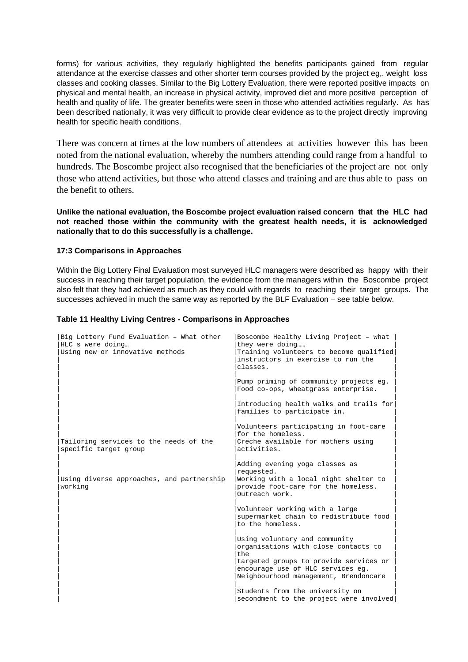forms) for various activities, they regularly highlighted the benefits participants gained from regular attendance at the exercise classes and other shorter term courses provided by the project eg,. weight loss classes and cooking classes. Similar to the Big Lottery Evaluation, there were reported positive impacts on physical and mental health, an increase in physical activity, improved diet and more positive perception of health and quality of life. The greater benefits were seen in those who attended activities regularly. As has been described nationally, it was very difficult to provide clear evidence as to the project directly improving health for specific health conditions.

There was concern at times at the low numbers of attendees at activities however this has been noted from the national evaluation, whereby the numbers attending could range from a handful to hundreds. The Boscombe project also recognised that the beneficiaries of the project are not only those who attend activities, but those who attend classes and training and are thus able to pass on the benefit to others.

**Unlike the national evaluation, the Boscombe project evaluation raised concern that the HLC had not reached those within the community with the greatest health needs, it is acknowledged nationally that to do this successfully is a challenge.**

#### **17:3 Comparisons in Approaches**

Within the Big Lottery Final Evaluation most surveyed HLC managers were described as happy with their success in reaching their target population, the evidence from the managers within the Boscombe project also felt that they had achieved as much as they could with regards to reaching their target groups. The successes achieved in much the same way as reported by the BLF Evaluation – see table below.

#### **Table 11 Healthy Living Centres - Comparisons in Approaches**

| Big Lottery Fund Evaluation - What other<br>HLC s were doing<br>Using new or innovative methods | Boscombe Healthy Living Project - what<br>they were doing<br>Training volunteers to become qualified<br>instructors in exercise to run the<br>classes.                                               |
|-------------------------------------------------------------------------------------------------|------------------------------------------------------------------------------------------------------------------------------------------------------------------------------------------------------|
|                                                                                                 | Pump priming of community projects eq.<br>Food co-ops, wheatgrass enterprise.                                                                                                                        |
|                                                                                                 | Introducing health walks and trails for<br>families to participate in.                                                                                                                               |
| Tailoring services to the needs of the<br>specific target group                                 | Volunteers participating in foot-care<br>for the homeless.<br>Creche available for mothers using<br>activities.                                                                                      |
| Using diverse approaches, and partnership<br>working                                            | Adding evening yoga classes as<br>requested.<br>Working with a local night shelter to<br>provide foot-care for the homeless.<br>Outreach work.                                                       |
|                                                                                                 | Volunteer working with a large<br>supermarket chain to redistribute food<br>to the homeless.                                                                                                         |
|                                                                                                 | Using voluntary and community<br>organisations with close contacts to<br>the<br>targeted groups to provide services or<br>encourage use of HLC services eq.<br>Neighbourhood management, Brendoncare |
|                                                                                                 | Students from the university on<br>secondment to the project were involved                                                                                                                           |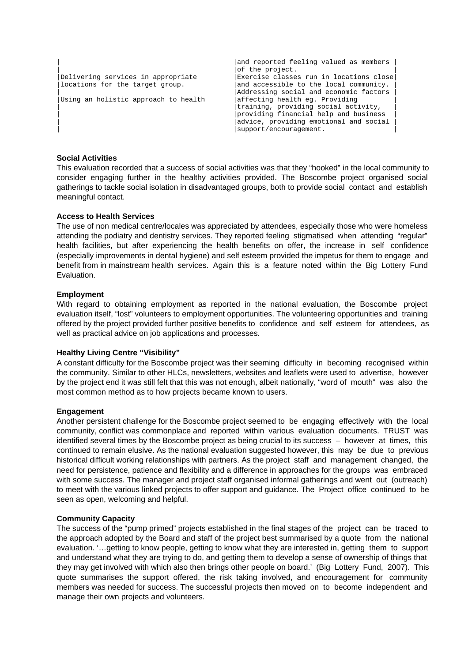```
and reported feeling valued as members
|of the project.<br>| Delivering services in appropriate | Exercise classe
Delivering services in appropriate | Exercise classes run in locations close locations for the target group. | and accessible to the local community.
                                                        and accessible to the local community.
                                                        Addressing social and economic factors<br>affecting health eg. Providing
Using an holistic approach to health
                                                        training, providing social activity,
                                                        providing financial help and business
                                                        advice, providing emotional and social
                                                       | support/encouragement.
```
#### **Social Activities**

This evaluation recorded that a success of social activities was that they "hooked" in the local community to consider engaging further in the healthy activities provided. The Boscombe project organised social gatherings to tackle social isolation in disadvantaged groups, both to provide social contact and establish meaningful contact.

#### **Access to Health Services**

The use of non medical centre/locales was appreciated by attendees, especially those who were homeless attending the podiatry and dentistry services. They reported feeling stigmatised when attending "regular" health facilities, but after experiencing the health benefits on offer, the increase in self confidence (especially improvements in dental hygiene) and self esteem provided the impetus for them to engage and benefit from in mainstream health services. Again this is a feature noted within the Big Lottery Fund Evaluation.

#### **Employment**

With regard to obtaining employment as reported in the national evaluation, the Boscombe project evaluation itself, "lost" volunteers to employment opportunities. The volunteering opportunities and training offered by the project provided further positive benefits to confidence and self esteem for attendees, as well as practical advice on job applications and processes.

#### **Healthy Living Centre "Visibility"**

A constant difficulty for the Boscombe project was their seeming difficulty in becoming recognised within the community. Similar to other HLCs, newsletters, websites and leaflets were used to advertise, however by the project end it was still felt that this was not enough, albeit nationally, "word of mouth" was also the most common method as to how projects became known to users.

#### **Engagement**

Another persistent challenge for the Boscombe project seemed to be engaging effectively with the local community, conflict was commonplace and reported within various evaluation documents. TRUST was identified several times by the Boscombe project as being crucial to its success – however at times, this continued to remain elusive. As the national evaluation suggested however, this may be due to previous historical difficult working relationships with partners. As the project staff and management changed, the need for persistence, patience and flexibility and a difference in approaches for the groups was embraced with some success. The manager and project staff organised informal gatherings and went out (outreach) to meet with the various linked projects to offer support and guidance. The Project office continued to be seen as open, welcoming and helpful.

#### **Community Capacity**

The success of the "pump primed" projects established in the final stages of the project can be traced to the approach adopted by the Board and staff of the project best summarised by a quote from the national evaluation. '…getting to know people, getting to know what they are interested in, getting them to support and understand what they are trying to do, and getting them to develop a sense of ownership of things that they may get involved with which also then brings other people on board.' (Big Lottery Fund, 2007). This quote summarises the support offered, the risk taking involved, and encouragement for community members was needed for success. The successful projects then moved on to become independent and manage their own projects and volunteers.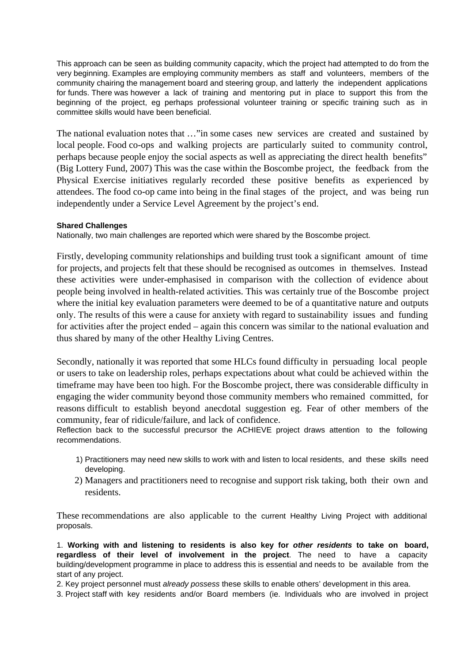This approach can be seen as building community capacity, which the project had attempted to do from the very beginning. Examples are employing community members as staff and volunteers, members of the community chairing the management board and steering group, and latterly the independent applications for funds. There was however a lack of training and mentoring put in place to support this from the beginning of the project, eg perhaps professional volunteer training or specific training such as in committee skills would have been beneficial.

The national evaluation notes that …"in some cases new services are created and sustained by local people. Food co-ops and walking projects are particularly suited to community control, perhaps because people enjoy the social aspects as well as appreciating the direct health benefits" (Big Lottery Fund, 2007) This was the case within the Boscombe project, the feedback from the Physical Exercise initiatives regularly recorded these positive benefits as experienced by attendees. The food co-op came into being in the final stages of the project, and was being run independently under a Service Level Agreement by the project's end.

#### **Shared Challenges**

Nationally, two main challenges are reported which were shared by the Boscombe project.

Firstly, developing community relationships and building trust took a significant amount of time for projects, and projects felt that these should be recognised as outcomes in themselves. Instead these activities were under-emphasised in comparison with the collection of evidence about people being involved in health-related activities. This was certainly true of the Boscombe project where the initial key evaluation parameters were deemed to be of a quantitative nature and outputs only. The results of this were a cause for anxiety with regard to sustainability issues and funding for activities after the project ended – again this concern was similar to the national evaluation and thus shared by many of the other Healthy Living Centres.

Secondly, nationally it was reported that some HLCs found difficulty in persuading local people or users to take on leadership roles, perhaps expectations about what could be achieved within the timeframe may have been too high. For the Boscombe project, there was considerable difficulty in engaging the wider community beyond those community members who remained committed, for reasons difficult to establish beyond anecdotal suggestion eg. Fear of other members of the community, fear of ridicule/failure, and lack of confidence.

Reflection back to the successful precursor the ACHIEVE project draws attention to the following recommendations.

- 1) Practitioners may need new skills to work with and listen to local residents, and these skills need developing.
- 2) Managers and practitioners need to recognise and support risk taking, both their own and residents.

These recommendations are also applicable to the current Healthy Living Project with additional proposals.

1. **Working with and listening to residents is also key for other residents to take on board, regardless of their level of involvement in the project**. The need to have a capacity building/development programme in place to address this is essential and needs to be available from the start of any project.

2. Key project personnel must already possess these skills to enable others' development in this area.

3. Project staff with key residents and/or Board members (ie. Individuals who are involved in project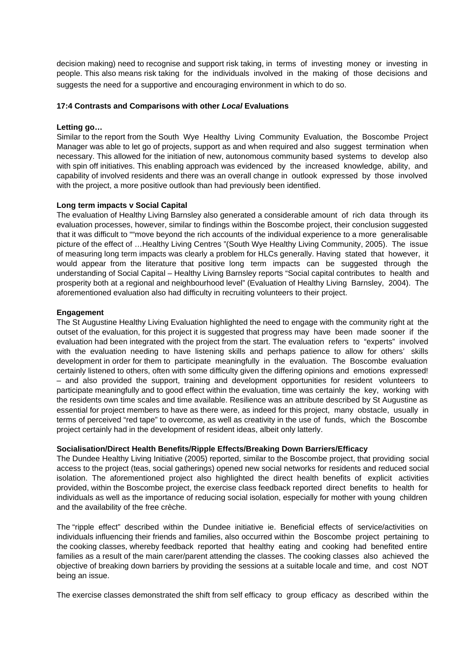decision making) need to recognise and support risk taking, in terms of investing money or investing in people. This also means risk taking for the individuals involved in the making of those decisions and suggests the need for a supportive and encouraging environment in which to do so.

#### **17:4 Contrasts and Comparisons with other Local Evaluations**

#### **Letting go…**

Similar to the report from the South Wye Healthy Living Community Evaluation, the Boscombe Project Manager was able to let go of projects, support as and when required and also suggest termination when necessary. This allowed for the initiation of new, autonomous community based systems to develop also with spin off initiatives. This enabling approach was evidenced by the increased knowledge, ability, and capability of involved residents and there was an overall change in outlook expressed by those involved with the project, a more positive outlook than had previously been identified.

#### **Long term impacts v Social Capital**

The evaluation of Healthy Living Barnsley also generated a considerable amount of rich data through its evaluation processes, however, similar to findings within the Boscombe project, their conclusion suggested that it was difficult to ""move beyond the rich accounts of the individual experience to a more generalisable picture of the effect of …Healthy Living Centres "(South Wye Healthy Living Community, 2005). The issue of measuring long term impacts was clearly a problem for HLCs generally. Having stated that however, it would appear from the literature that positive long term impacts can be suggested through the understanding of Social Capital – Healthy Living Barnsley reports "Social capital contributes to health and prosperity both at a regional and neighbourhood level" (Evaluation of Healthy Living Barnsley, 2004). The aforementioned evaluation also had difficulty in recruiting volunteers to their project.

#### **Engagement**

The St Augustine Healthy Living Evaluation highlighted the need to engage with the community right at the outset of the evaluation, for this project it is suggested that progress may have been made sooner if the evaluation had been integrated with the project from the start. The evaluation refers to "experts" involved with the evaluation needing to have listening skills and perhaps patience to allow for others' skills development in order for them to participate meaningfully in the evaluation. The Boscombe evaluation certainly listened to others, often with some difficulty given the differing opinions and emotions expressed! – and also provided the support, training and development opportunities for resident volunteers to participate meaningfully and to good effect within the evaluation, time was certainly the key, working with the residents own time scales and time available. Resilience was an attribute described by St Augustine as essential for project members to have as there were, as indeed for this project, many obstacle, usually in terms of perceived "red tape" to overcome, as well as creativity in the use of funds, which the Boscombe project certainly had in the development of resident ideas, albeit only latterly.

#### **Socialisation/Direct Health Benefits/Ripple Effects/Breaking Down Barriers/Efficacy**

The Dundee Healthy Living Initiative (2005) reported, similar to the Boscombe project, that providing social access to the project (teas, social gatherings) opened new social networks for residents and reduced social isolation. The aforementioned project also highlighted the direct health benefits of explicit activities provided, within the Boscombe project, the exercise class feedback reported direct benefits to health for individuals as well as the importance of reducing social isolation, especially for mother with young children and the availability of the free crèche.

The "ripple effect" described within the Dundee initiative ie. Beneficial effects of service/activities on individuals influencing their friends and families, also occurred within the Boscombe project pertaining to the cooking classes, whereby feedback reported that healthy eating and cooking had benefited entire families as a result of the main carer/parent attending the classes. The cooking classes also achieved the objective of breaking down barriers by providing the sessions at a suitable locale and time, and cost NOT being an issue.

The exercise classes demonstrated the shift from self efficacy to group efficacy as described within the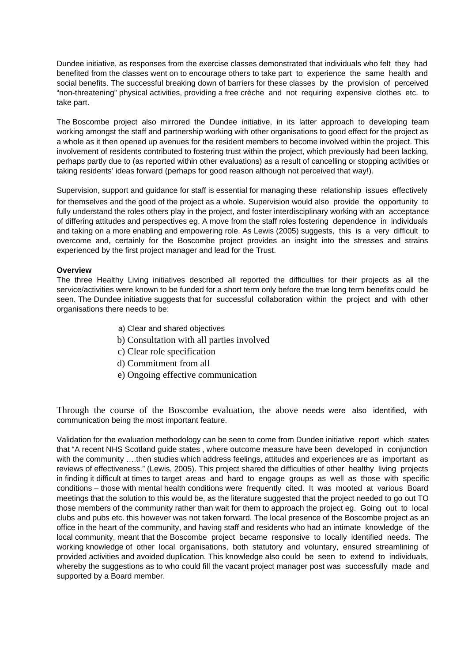Dundee initiative, as responses from the exercise classes demonstrated that individuals who felt they had benefited from the classes went on to encourage others to take part to experience the same health and social benefits. The successful breaking down of barriers for these classes by the provision of perceived "non-threatening" physical activities, providing a free crèche and not requiring expensive clothes etc. to take part.

The Boscombe project also mirrored the Dundee initiative, in its latter approach to developing team working amongst the staff and partnership working with other organisations to good effect for the project as a whole as it then opened up avenues for the resident members to become involved within the project. This involvement of residents contributed to fostering trust within the project, which previously had been lacking, perhaps partly due to (as reported within other evaluations) as a result of cancelling or stopping activities or taking residents' ideas forward (perhaps for good reason although not perceived that way!).

Supervision, support and guidance for staff is essential for managing these relationship issues effectively for themselves and the good of the project as a whole. Supervision would also provide the opportunity to fully understand the roles others play in the project, and foster interdisciplinary working with an acceptance of differing attitudes and perspectives eg. A move from the staff roles fostering dependence in individuals and taking on a more enabling and empowering role. As Lewis (2005) suggests, this is a very difficult to overcome and, certainly for the Boscombe project provides an insight into the stresses and strains experienced by the first project manager and lead for the Trust.

#### **Overview**

The three Healthy Living initiatives described all reported the difficulties for their projects as all the service/activities were known to be funded for a short term only before the true long term benefits could be seen. The Dundee initiative suggests that for successful collaboration within the project and with other organisations there needs to be:

- a) Clear and shared objectives
- b) Consultation with all parties involved
- c) Clear role specification
- d) Commitment from all
- e) Ongoing effective communication

Through the course of the Boscombe evaluation, the above needs were also identified, with communication being the most important feature.

Validation for the evaluation methodology can be seen to come from Dundee initiative report which states that "A recent NHS Scotland guide states , where outcome measure have been developed in conjunction with the community ....then studies which address feelings, attitudes and experiences are as important as reviews of effectiveness." (Lewis, 2005). This project shared the difficulties of other healthy living projects in finding it difficult at times to target areas and hard to engage groups as well as those with specific conditions – those with mental health conditions were frequently cited. It was mooted at various Board meetings that the solution to this would be, as the literature suggested that the project needed to go out TO those members of the community rather than wait for them to approach the project eg. Going out to local clubs and pubs etc. this however was not taken forward. The local presence of the Boscombe project as an office in the heart of the community, and having staff and residents who had an intimate knowledge of the local community, meant that the Boscombe project became responsive to locally identified needs. The working knowledge of other local organisations, both statutory and voluntary, ensured streamlining of provided activities and avoided duplication. This knowledge also could be seen to extend to individuals, whereby the suggestions as to who could fill the vacant project manager post was successfully made and supported by a Board member.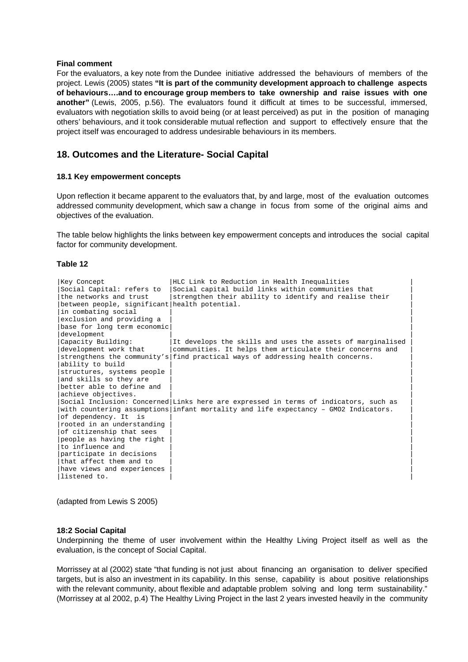#### **Final comment**

For the evaluators, a key note from the Dundee initiative addressed the behaviours of members of the project. Lewis (2005) states **"It is part of the community development approach to challenge aspects of behaviours….and to encourage group members to take ownership and raise issues with one another"** (Lewis, 2005, p.56). The evaluators found it difficult at times to be successful, immersed, evaluators with negotiation skills to avoid being (or at least perceived) as put in the position of managing others' behaviours, and it took considerable mutual reflection and support to effectively ensure that the project itself was encouraged to address undesirable behaviours in its members.

#### **18. Outcomes and the Literature- Social Capital**

#### **18.1 Key empowerment concepts**

Upon reflection it became apparent to the evaluators that, by and large, most of the evaluation outcomes addressed community development, which saw a change in focus from some of the original aims and objectives of the evaluation.

The table below highlights the links between key empowerment concepts and introduces the social capital factor for community development.

#### **Table 12**

| Key Concept                                   | HLC Link to Reduction in Health Inequalities                                         |
|-----------------------------------------------|--------------------------------------------------------------------------------------|
| Social Capital: refers to                     | Social capital build links within communities that                                   |
| the networks and trust                        | strengthen their ability to identify and realise their                               |
| between people, significant health potential. |                                                                                      |
| in combating social                           |                                                                                      |
| exclusion and providing a                     |                                                                                      |
| base for long term economic                   |                                                                                      |
| development                                   |                                                                                      |
| Capacity Building:                            | It develops the skills and uses the assets of marginalised                           |
| development work that                         | communities. It helps them articulate their concerns and                             |
|                                               | strengthens the community's find practical ways of addressing health concerns.       |
| ability to build                              |                                                                                      |
| structures, systems people                    |                                                                                      |
| and skills so they are                        |                                                                                      |
| better able to define and                     |                                                                                      |
| achieve objectives.                           |                                                                                      |
|                                               | Social Inclusion: Concerned Links here are expressed in terms of indicators, such as |
|                                               | with countering assumptions infant mortality and life expectancy - GMO2 Indicators.  |
| of dependency. It is                          |                                                                                      |
| rooted in an understanding                    |                                                                                      |
| of citizenship that sees                      |                                                                                      |
| people as having the right                    |                                                                                      |
| to influence and                              |                                                                                      |
| participate in decisions                      |                                                                                      |
| that affect them and to                       |                                                                                      |
| have views and experiences                    |                                                                                      |
| listened to.                                  |                                                                                      |

(adapted from Lewis S 2005)

#### **18:2 Social Capital**

Underpinning the theme of user involvement within the Healthy Living Project itself as well as the evaluation, is the concept of Social Capital.

Morrissey at al (2002) state "that funding is not just about financing an organisation to deliver specified targets, but is also an investment in its capability. In this sense, capability is about positive relationships with the relevant community, about flexible and adaptable problem solving and long term sustainability." (Morrissey at al 2002, p.4) The Healthy Living Project in the last 2 years invested heavily in the community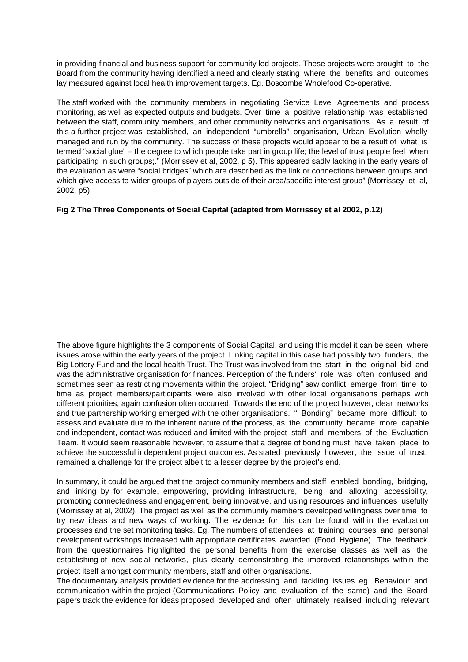in providing financial and business support for community led projects. These projects were brought to the Board from the community having identified a need and clearly stating where the benefits and outcomes lay measured against local health improvement targets. Eg. Boscombe Wholefood Co-operative.

The staff worked with the community members in negotiating Service Level Agreements and process monitoring, as well as expected outputs and budgets. Over time a positive relationship was established between the staff, community members, and other community networks and organisations. As a result of this a further project was established, an independent "umbrella" organisation, Urban Evolution wholly managed and run by the community. The success of these projects would appear to be a result of what is termed "social glue" – the degree to which people take part in group life; the level of trust people feel when participating in such groups;." (Morrissey et al, 2002, p 5). This appeared sadly lacking in the early years of the evaluation as were "social bridges" which are described as the link or connections between groups and which give access to wider groups of players outside of their area/specific interest group" (Morrissey et al, 2002, p5)

#### **Fig 2 The Three Components of Social Capital (adapted from Morrissey et al 2002, p.12)**

The above figure highlights the 3 components of Social Capital, and using this model it can be seen where issues arose within the early years of the project. Linking capital in this case had possibly two funders, the Big Lottery Fund and the local health Trust. The Trust was involved from the start in the original bid and was the administrative organisation for finances. Perception of the funders' role was often confused and sometimes seen as restricting movements within the project. "Bridging" saw conflict emerge from time to time as project members/participants were also involved with other local organisations perhaps with different priorities, again confusion often occurred. Towards the end of the project however, clear networks and true partnership working emerged with the other organisations. " Bonding" became more difficult to assess and evaluate due to the inherent nature of the process, as the community became more capable and independent, contact was reduced and limited with the project staff and members of the Evaluation Team. It would seem reasonable however, to assume that a degree of bonding must have taken place to achieve the successful independent project outcomes. As stated previously however, the issue of trust, remained a challenge for the project albeit to a lesser degree by the project's end.

In summary, it could be argued that the project community members and staff enabled bonding, bridging, and linking by for example, empowering, providing infrastructure, being and allowing accessibility, promoting connectedness and engagement, being innovative, and using resources and influences usefully (Morrissey at al, 2002). The project as well as the community members developed willingness over time to try new ideas and new ways of working. The evidence for this can be found within the evaluation processes and the set monitoring tasks. Eg. The numbers of attendees at training courses and personal development workshops increased with appropriate certificates awarded (Food Hygiene). The feedback from the questionnaires highlighted the personal benefits from the exercise classes as well as the establishing of new social networks, plus clearly demonstrating the improved relationships within the project itself amongst community members, staff and other organisations.

The documentary analysis provided evidence for the addressing and tackling issues eg. Behaviour and communication within the project (Communications Policy and evaluation of the same) and the Board papers track the evidence for ideas proposed, developed and often ultimately realised including relevant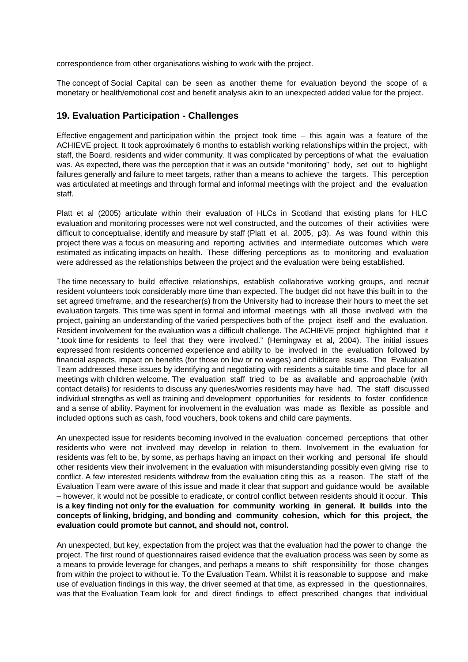correspondence from other organisations wishing to work with the project.

The concept of Social Capital can be seen as another theme for evaluation beyond the scope of a monetary or health/emotional cost and benefit analysis akin to an unexpected added value for the project.

#### **19. Evaluation Participation - Challenges**

Effective engagement and participation within the project took time  $-$  this again was a feature of the ACHIEVE project. It took approximately 6 months to establish working relationships within the project, with staff, the Board, residents and wider community. It was complicated by perceptions of what the evaluation was. As expected, there was the perception that it was an outside "monitoring" body, set out to highlight failures generally and failure to meet targets, rather than a means to achieve the targets. This perception was articulated at meetings and through formal and informal meetings with the project and the evaluation staff.

Platt et al (2005) articulate within their evaluation of HLCs in Scotland that existing plans for HLC evaluation and monitoring processes were not well constructed, and the outcomes of their activities were difficult to conceptualise, identify and measure by staff (Platt et al, 2005, p3). As was found within this project there was a focus on measuring and reporting activities and intermediate outcomes which were estimated as indicating impacts on health. These differing perceptions as to monitoring and evaluation were addressed as the relationships between the project and the evaluation were being established.

The time necessary to build effective relationships, establish collaborative working groups, and recruit resident volunteers took considerably more time than expected. The budget did not have this built in to the set agreed timeframe, and the researcher(s) from the University had to increase their hours to meet the set evaluation targets. This time was spent in formal and informal meetings with all those involved with the project, gaining an understanding of the varied perspectives both of the project itself and the evaluation. Resident involvement for the evaluation was a difficult challenge. The ACHIEVE project highlighted that it ".took time for residents to feel that they were involved." (Hemingway et al, 2004). The initial issues expressed from residents concerned experience and ability to be involved in the evaluation followed by financial aspects, impact on benefits (for those on low or no wages) and childcare issues. The Evaluation Team addressed these issues by identifying and negotiating with residents a suitable time and place for all meetings with children welcome. The evaluation staff tried to be as available and approachable (with contact details) for residents to discuss any queries/worries residents may have had. The staff discussed individual strengths as well as training and development opportunities for residents to foster confidence and a sense of ability. Payment for involvement in the evaluation was made as flexible as possible and included options such as cash, food vouchers, book tokens and child care payments.

An unexpected issue for residents becoming involved in the evaluation concerned perceptions that other residents who were not involved may develop in relation to them. Involvement in the evaluation for residents was felt to be, by some, as perhaps having an impact on their working and personal life should other residents view their involvement in the evaluation with misunderstanding possibly even giving rise to conflict. A few interested residents withdrew from the evaluation citing this as a reason. The staff of the Evaluation Team were aware of this issue and made it clear that support and guidance would be available – however, it would not be possible to eradicate, or control conflict between residents should it occur. **This is a key finding not only for the evaluation for community working in general. It builds into the concepts of linking, bridging, and bonding and community cohesion, which for this project, the evaluation could promote but cannot, and should not, control.**

An unexpected, but key, expectation from the project was that the evaluation had the power to change the project. The first round of questionnaires raised evidence that the evaluation process was seen by some as a means to provide leverage for changes, and perhaps a means to shift responsibility for those changes from within the project to without ie. To the Evaluation Team. Whilst it is reasonable to suppose and make use of evaluation findings in this way, the driver seemed at that time, as expressed in the questionnaires, was that the Evaluation Team look for and direct findings to effect prescribed changes that individual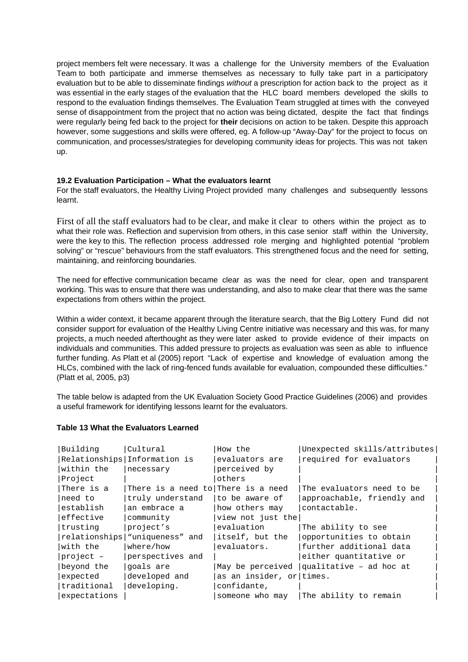project members felt were necessary. It was a challenge for the University members of the Evaluation Team to both participate and immerse themselves as necessary to fully take part in a participatory evaluation but to be able to disseminate findings without a prescription for action back to the project as it was essential in the early stages of the evaluation that the HLC board members developed the skills to respond to the evaluation findings themselves. The Evaluation Team struggled at times with the conveyed sense of disappointment from the project that no action was being dictated, despite the fact that findings were regularly being fed back to the project for **their** decisions on action to be taken. Despite this approach however, some suggestions and skills were offered, eg. A follow-up "Away-Day" for the project to focus on communication, and processes/strategies for developing community ideas for projects. This was not taken up.

#### **19.2 Evaluation Participation – What the evaluators learnt**

For the staff evaluators, the Healthy Living Project provided many challenges and subsequently lessons learnt.

First of all the staff evaluators had to be clear, and make it clear to others within the project as to what their role was. Reflection and supervision from others, in this case senior staff within the University, were the key to this. The reflection process addressed role merging and highlighted potential "problem solving" or "rescue" behaviours from the staff evaluators. This strengthened focus and the need for setting, maintaining, and reinforcing boundaries.

The need for effective communication became clear as was the need for clear, open and transparent working. This was to ensure that there was understanding, and also to make clear that there was the same expectations from others within the project.

Within a wider context, it became apparent through the literature search, that the Big Lottery Fund did not consider support for evaluation of the Healthy Living Centre initiative was necessary and this was, for many projects, a much needed afterthought as they were later asked to provide evidence of their impacts on individuals and communities. This added pressure to projects as evaluation was seen as able to influence further funding. As Platt et al (2005) report "Lack of expertise and knowledge of evaluation among the HLCs, combined with the lack of ring-fenced funds available for evaluation, compounded these difficulties." (Platt et al, 2005, p3)

The table below is adapted from the UK Evaluation Society Good Practice Guidelines (2006) and provides a useful framework for identifying lessons learnt for the evaluators.

#### **Table 13 What the Evaluators Learned**

| Building     | Cultural                           | How the                  | Unexpected skills/attributes |
|--------------|------------------------------------|--------------------------|------------------------------|
|              | Relationships Information is       | evaluators are           | required for evaluators      |
| within the   | necessary                          | perceived by             |                              |
| Project      |                                    | others                   |                              |
| There is a   | There is a need to There is a need |                          | The evaluators need to be    |
| need to      | truly understand                   | to be aware of           | approachable, friendly and   |
| establish    | an embrace a                       | how others may           | contactable.                 |
| effective    | community                          | view not just the        |                              |
| trusting     | project's                          | evaluation               | The ability to see           |
|              | relationships wuniqueness" and     | itself, but the          | opportunities to obtain      |
| with the     | where/how                          | evaluators.              | further additional data      |
| $project -$  | perspectives and                   |                          | either quantitative or       |
| beyond the   | goals are                          | May be perceived         | qualitative - ad hoc at      |
| expected     | developed and                      | as an insider, or times. |                              |
| traditional  | developing.                        | confidante,              |                              |
| expectations |                                    | someone who may          | The ability to remain        |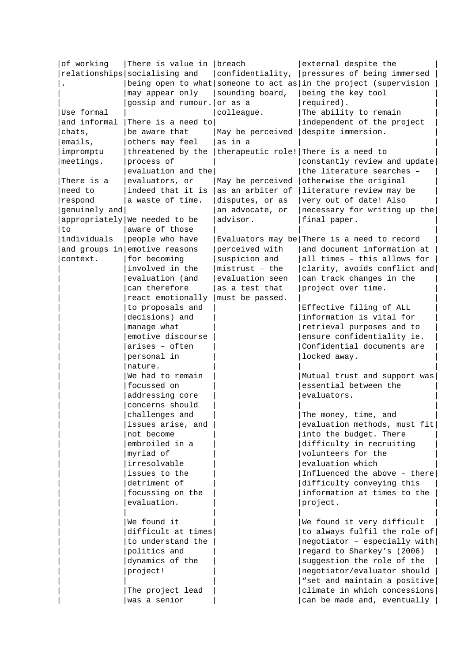| of working    | There is value in breach        |                  | external despite the                                             |
|---------------|---------------------------------|------------------|------------------------------------------------------------------|
|               | relationships socialising and   | confidentiality, | pressures of being immersed                                      |
|               |                                 |                  | being open to what someone to act as in the project (supervision |
|               | may appear only                 | sounding board,  | being the key tool                                               |
|               | gossip and rumour. or as a      |                  | required).                                                       |
| Use formal    |                                 | colleague.       | The ability to remain                                            |
| and informal  | There is a need to              |                  | independent of the project                                       |
| chats,        | be aware that                   | May be perceived | despite immersion.                                               |
| emails,       | others may feel                 | as in a          |                                                                  |
| impromptu     | threatened by the               |                  | therapeutic role! There is a need to                             |
| meetings.     | process of                      |                  | constantly review and update                                     |
|               | evaluation and the              |                  | the literature searches -                                        |
| There is a    | evaluators, or                  | May be perceived | otherwise the original                                           |
| need to       | indeed that it is               | as an arbiter of | literature review may be                                         |
| respond       | a waste of time.                | disputes, or as  | very out of date! Also                                           |
| genuinely and |                                 | an advocate, or  | necessary for writing up the                                     |
|               | appropriately   We needed to be | advisor.         | final paper.                                                     |
| to            | aware of those                  |                  |                                                                  |
| individuals   | people who have                 |                  | Evaluators may be There is a need to record                      |
|               | and groups in emotive reasons   | perceived with   | and document information at                                      |
| context.      | for becoming                    | suspicion and    | all times - this allows for                                      |
|               | involved in the                 | $mistrust - the$ | clarity, avoids conflict and                                     |
|               | evaluation (and                 | evaluation seen  | can track changes in the                                         |
|               | can therefore                   | as a test that   | project over time.                                               |
|               | react emotionally               | must be passed.  |                                                                  |
|               | to proposals and                |                  | Effective filing of ALL                                          |
|               | decisions) and                  |                  | information is vital for                                         |
|               | manage what                     |                  | retrieval purposes and to                                        |
|               | emotive discourse               |                  | ensure confidentiality ie.                                       |
|               | arises - often                  |                  | Confidential documents are                                       |
|               | personal in                     |                  | locked away.                                                     |
|               | nature.                         |                  |                                                                  |
|               | We had to remain                |                  | Mutual trust and support was                                     |
|               | focussed on                     |                  | essential between the                                            |
|               | addressing core                 |                  | evaluators.                                                      |
|               | concerns should                 |                  |                                                                  |
|               | challenges and                  |                  | The money, time, and                                             |
|               | issues arise, and               |                  | evaluation methods, must fit                                     |
|               | not become                      |                  | into the budget. There                                           |
|               | embroiled in a                  |                  | difficulty in recruiting                                         |
|               | myriad of                       |                  | volunteers for the                                               |
|               | irresolvable                    |                  | evaluation which                                                 |
|               | issues to the                   |                  | Influenced the above - there                                     |
|               | detriment of                    |                  | difficulty conveying this                                        |
|               | focussing on the                |                  | information at times to the                                      |
|               | evaluation.                     |                  | project.                                                         |
|               |                                 |                  |                                                                  |
|               | We found it                     |                  | We found it very difficult                                       |
|               | difficult at times              |                  | to always fulfil the role of                                     |
|               | to understand the               |                  | $negotiator - especially with$                                   |
|               | politics and                    |                  | regard to Sharkey's (2006)                                       |
|               | dynamics of the                 |                  | suggestion the role of the                                       |
|               | project!                        |                  | negotiator/evaluator should                                      |
|               |                                 |                  | "set and maintain a positive<br>climate in which concessions     |
|               | The project lead                |                  |                                                                  |
|               | was a senior                    |                  | can be made and, eventually                                      |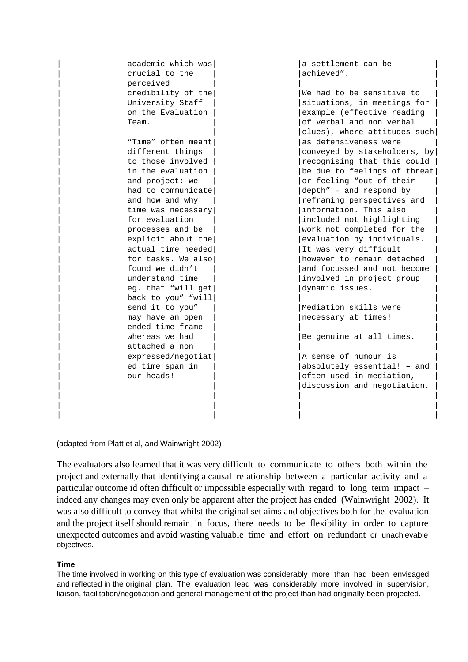| academic which was<br>crucial to the | a settlement can be<br>achieved". |
|--------------------------------------|-----------------------------------|
| perceived                            |                                   |
| credibility of the                   | We had to be sensitive to         |
| University Staff                     | situations, in meetings for       |
| on the Evaluation                    | example (effective reading        |
| Team.                                | of verbal and non verbal          |
|                                      | clues), where attitudes such      |
| "Time" often meant                   | as defensiveness were             |
| different things                     | conveyed by stakeholders, by      |
| to those involved                    | recognising that this could       |
| in the evaluation                    | be due to feelings of threat      |
| and project: we                      | or feeling "out of their          |
| had to communicate                   | depth" - and respond by           |
| and how and why                      | reframing perspectives and        |
| time was necessary                   | information. This also            |
| for evaluation                       | included not highlighting         |
| processes and be                     | work not completed for the        |
| explicit about the                   | evaluation by individuals.        |
| actual time needed                   | It was very difficult             |
| for tasks. We also                   | however to remain detached        |
| found we didn't                      | and focussed and not become       |
| understand time                      | involved in project group         |
| eg. that "will get                   | dynamic issues.                   |
| back to you" "will                   |                                   |
| send it to you"                      | Mediation skills were             |
| may have an open                     | necessary at times!               |
| ended time frame                     |                                   |
| whereas we had                       | Be genuine at all times.          |
| attached a non                       |                                   |
| expressed/negotiat                   | A sense of humour is              |
| ed time span in                      | absolutely essential! - and       |
| our heads!                           | often used in mediation,          |
|                                      | discussion and negotiation.       |
|                                      |                                   |
|                                      |                                   |
|                                      |                                   |

(adapted from Platt et al, and Wainwright 2002)

The evaluators also learned that it was very difficult to communicate to others both within the project and externally that identifying a causal relationship between a particular activity and a particular outcome id often difficult or impossible especially with regard to long term impact – indeed any changes may even only be apparent after the project has ended (Wainwright 2002). It was also difficult to convey that whilst the original set aims and objectives both for the evaluation and the project itself should remain in focus, there needs to be flexibility in order to capture unexpected outcomes and avoid wasting valuable time and effort on redundant or unachievable objectives.

#### **Time**

The time involved in working on this type of evaluation was considerably more than had been envisaged and reflected in the original plan. The evaluation lead was considerably more involved in supervision, liaison, facilitation/negotiation and general management of the project than had originally been projected.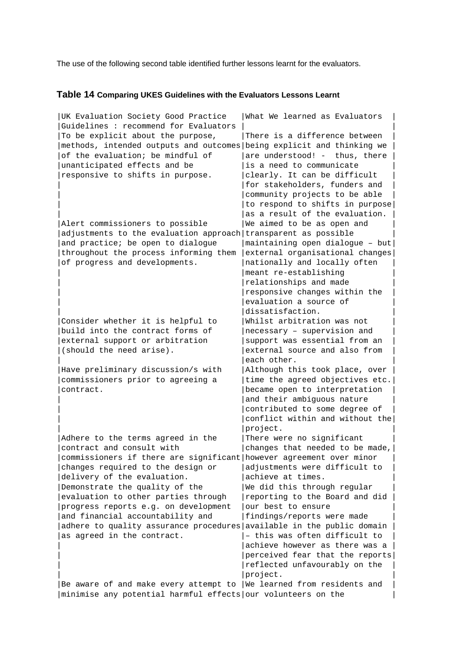The use of the following second table identified further lessons learnt for the evaluators.

## **Table 14 Comparing UKES Guidelines with the Evaluators Lessons Learnt**

| UK Evaluation Society Good Practice                                     | What We learned as Evaluators   |
|-------------------------------------------------------------------------|---------------------------------|
| Guidelines : recommend for Evaluators                                   |                                 |
| To be explicit about the purpose,                                       | There is a difference between   |
| methods, intended outputs and outcomes being explicit and thinking we   |                                 |
| of the evaluation; be mindful of                                        | are understood! - thus, there   |
| unanticipated effects and be                                            | is a need to communicate        |
| responsive to shifts in purpose.                                        | clearly. It can be difficult    |
|                                                                         | for stakeholders, funders and   |
|                                                                         | community projects to be able   |
|                                                                         | to respond to shifts in purpose |
|                                                                         | as a result of the evaluation.  |
|                                                                         |                                 |
| Alert commissioners to possible                                         | We aimed to be as open and      |
| adjustments to the evaluation approach transparent as possible          |                                 |
| and practice; be open to dialogue                                       | maintaining open dialogue - but |
| throughout the process informing them                                   | external organisational changes |
| of progress and developments.                                           | nationally and locally often    |
|                                                                         | meant re-establishing           |
|                                                                         | relationships and made          |
|                                                                         | responsive changes within the   |
|                                                                         | evaluation a source of          |
|                                                                         | dissatisfaction.                |
| Consider whether it is helpful to                                       | Whilst arbitration was not      |
| build into the contract forms of                                        | necessary - supervision and     |
| external support or arbitration                                         | support was essential from an   |
| (should the need arise).                                                | external source and also from   |
|                                                                         | each other.                     |
| Have preliminary discussion/s with                                      | Although this took place, over  |
| commissioners prior to agreeing a                                       | time the agreed objectives etc. |
| contract.                                                               | became open to interpretation   |
|                                                                         | and their ambiguous nature      |
|                                                                         | contributed to some degree of   |
|                                                                         | conflict within and without the |
|                                                                         | project.                        |
| Adhere to the terms agreed in the                                       | There were no significant       |
| contract and consult with                                               | changes that needed to be made, |
|                                                                         |                                 |
| commissioners if there are significant   however agreement over minor   |                                 |
| changes required to the design or                                       | adjustments were difficult to   |
| delivery of the evaluation.                                             | achieve at times.               |
| Demonstrate the quality of the                                          | We did this through regular     |
| evaluation to other parties through                                     | reporting to the Board and did  |
| progress reports e.g. on development                                    | our best to ensure              |
| and financial accountability and                                        | findings/reports were made      |
| adhere to quality assurance procedures available in the public domain   |                                 |
| as agreed in the contract.                                              | - this was often difficult to   |
|                                                                         | achieve however as there was a  |
|                                                                         | perceived fear that the reports |
|                                                                         | reflected unfavourably on the   |
|                                                                         | project.                        |
| Be aware of and make every attempt to $ $ We learned from residents and |                                 |
| minimise any potential harmful effects our volunteers on the            |                                 |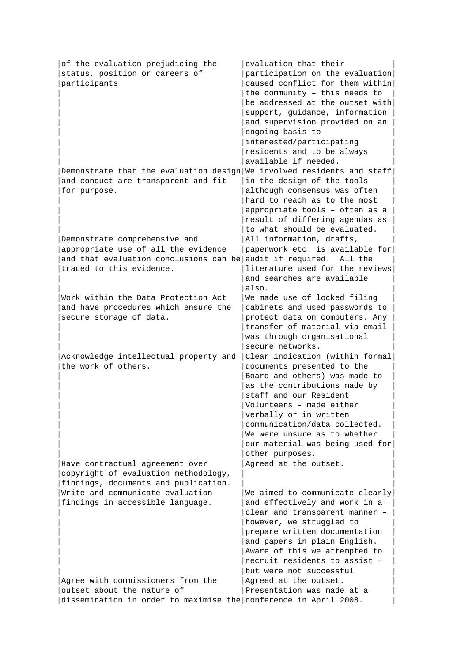| of the evaluation prejudicing the                                      | evaluation that their           |
|------------------------------------------------------------------------|---------------------------------|
| status, position or careers of                                         | participation on the evaluation |
| participants                                                           | caused conflict for them within |
|                                                                        | the community $-$ this needs to |
|                                                                        | be addressed at the outset with |
|                                                                        | support, guidance, information  |
|                                                                        | and supervision provided on an  |
|                                                                        | ongoing basis to                |
|                                                                        | interested/participating        |
|                                                                        | residents and to be always      |
|                                                                        | available if needed.            |
| Demonstrate that the evaluation design We involved residents and staff |                                 |
| and conduct are transparent and fit                                    | in the design of the tools      |
| for purpose.                                                           | although consensus was often    |
|                                                                        | hard to reach as to the most    |
|                                                                        | appropriate tools - often as a  |
|                                                                        | result of differing agendas as  |
|                                                                        | to what should be evaluated.    |
| Demonstrate comprehensive and                                          | All information, drafts,        |
| appropriate use of all the evidence                                    | paperwork etc. is available for |
| and that evaluation conclusions can be audit if required. All the      |                                 |
| traced to this evidence.                                               | literature used for the reviews |
|                                                                        | and searches are available      |
|                                                                        | also.                           |
| Work within the Data Protection Act                                    | We made use of locked filing    |
| and have procedures which ensure the                                   | cabinets and used passwords to  |
| secure storage of data.                                                | protect data on computers. Any  |
|                                                                        | transfer of material via email  |
|                                                                        | was through organisational      |
|                                                                        | secure networks.                |
| Acknowledge intellectual property and                                  | Clear indication (within formal |
| the work of others.                                                    | documents presented to the      |
|                                                                        | Board and others) was made to   |
|                                                                        | as the contributions made by    |
|                                                                        | staff and our Resident          |
|                                                                        | Volunteers - made either        |
|                                                                        | verbally or in written          |
|                                                                        | communication/data collected.   |
|                                                                        | We were unsure as to whether    |
|                                                                        | our material was being used for |
|                                                                        | other purposes.                 |
| Have contractual agreement over                                        | Agreed at the outset.           |
| copyright of evaluation methodology,                                   |                                 |
| findings, documents and publication.                                   |                                 |
| Write and communicate evaluation                                       | We aimed to communicate clearly |
| findings in accessible language.                                       | and effectively and work in a   |
|                                                                        | clear and transparent manner -  |
|                                                                        | however, we struggled to        |
|                                                                        | prepare written documentation   |
|                                                                        | and papers in plain English.    |
|                                                                        | Aware of this we attempted to   |
|                                                                        | recruit residents to assist -   |
|                                                                        | but were not successful         |
| Agree with commissioners from the                                      | Agreed at the outset.           |
| outset about the nature of                                             | Presentation was made at a      |
| dissemination in order to maximise the conference in April 2008.       |                                 |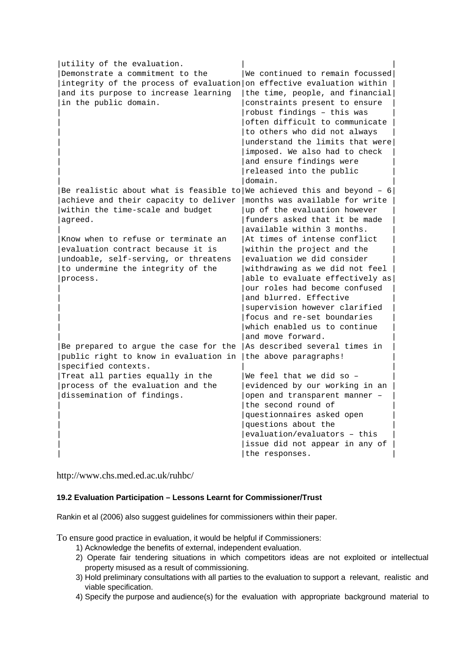| utility of the evaluation.                                             |                                 |
|------------------------------------------------------------------------|---------------------------------|
| Demonstrate a commitment to the                                        | We continued to remain focussed |
| integrity of the process of evaluation on effective evaluation within  |                                 |
| and its purpose to increase learning                                   | the time, people, and financial |
| in the public domain.                                                  | constraints present to ensure   |
|                                                                        | robust findings - this was      |
|                                                                        | often difficult to communicate  |
|                                                                        | to others who did not always    |
|                                                                        | understand the limits that were |
|                                                                        | imposed. We also had to check   |
|                                                                        | and ensure findings were        |
|                                                                        | released into the public        |
|                                                                        | domain.                         |
| Be realistic about what is feasible to We achieved this and beyond - 6 |                                 |
| achieve and their capacity to deliver                                  | months was available for write  |
| within the time-scale and budget                                       | up of the evaluation however    |
| agreed.                                                                | funders asked that it be made   |
|                                                                        | available within 3 months.      |
| Know when to refuse or terminate an                                    | At times of intense conflict    |
| evaluation contract because it is                                      | within the project and the      |
| undoable, self-serving, or threatens                                   | evaluation we did consider      |
| to undermine the integrity of the                                      | withdrawing as we did not feel  |
| process.                                                               | able to evaluate effectively as |
|                                                                        | our roles had become confused   |
|                                                                        | and blurred. Effective          |
|                                                                        | supervision however clarified   |
|                                                                        | focus and re-set boundaries     |
|                                                                        | which enabled us to continue    |
|                                                                        | and move forward.               |
| Be prepared to argue the case for the                                  | As described several times in   |
| public right to know in evaluation in                                  | the above paragraphs!           |
|                                                                        |                                 |
| specified contexts.                                                    |                                 |
| Treat all parties equally in the                                       | We feel that we did so -        |
| process of the evaluation and the                                      | evidenced by our working in an  |
| dissemination of findings.                                             | open and transparent manner -   |
|                                                                        | the second round of             |
|                                                                        | questionnaires asked open       |
|                                                                        | questions about the             |
|                                                                        | evaluation/evaluators - this    |
|                                                                        | issue did not appear in any of  |
|                                                                        | the responses.                  |

http://www.chs.med.ed.ac.uk/ruhbc/

#### **19.2 Evaluation Participation – Lessons Learnt for Commissioner/Trust**

Rankin et al (2006) also suggest guidelines for commissioners within their paper.

To ensure good practice in evaluation, it would be helpful if Commissioners:

- 1) Acknowledge the benefits of external, independent evaluation.
- 2) Operate fair tendering situations in which competitors ideas are not exploited or intellectual property misused as a result of commissioning.
- 3) Hold preliminary consultations with all parties to the evaluation to support a relevant, realistic and viable specification.
- 4) Specify the purpose and audience(s) for the evaluation with appropriate background material to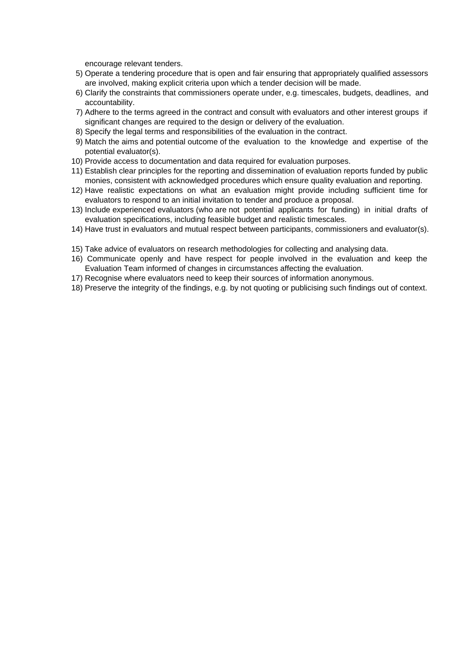encourage relevant tenders.

- 5) Operate a tendering procedure that is open and fair ensuring that appropriately qualified assessors are involved, making explicit criteria upon which a tender decision will be made.
- 6) Clarify the constraints that commissioners operate under, e.g. timescales, budgets, deadlines, and accountability.
- 7) Adhere to the terms agreed in the contract and consult with evaluators and other interest groups if significant changes are required to the design or delivery of the evaluation.
- 8) Specify the legal terms and responsibilities of the evaluation in the contract.
- 9) Match the aims and potential outcome of the evaluation to the knowledge and expertise of the potential evaluator(s).
- 10) Provide access to documentation and data required for evaluation purposes.
- 11) Establish clear principles for the reporting and dissemination of evaluation reports funded by public monies, consistent with acknowledged procedures which ensure quality evaluation and reporting.
- 12) Have realistic expectations on what an evaluation might provide including sufficient time for evaluators to respond to an initial invitation to tender and produce a proposal.
- 13) Include experienced evaluators (who are not potential applicants for funding) in initial drafts of evaluation specifications, including feasible budget and realistic timescales.
- 14) Have trust in evaluators and mutual respect between participants, commissioners and evaluator(s).
- 15) Take advice of evaluators on research methodologies for collecting and analysing data.
- 16) Communicate openly and have respect for people involved in the evaluation and keep the Evaluation Team informed of changes in circumstances affecting the evaluation.
- 17) Recognise where evaluators need to keep their sources of information anonymous.
- 18) Preserve the integrity of the findings, e.g. by not quoting or publicising such findings out of context.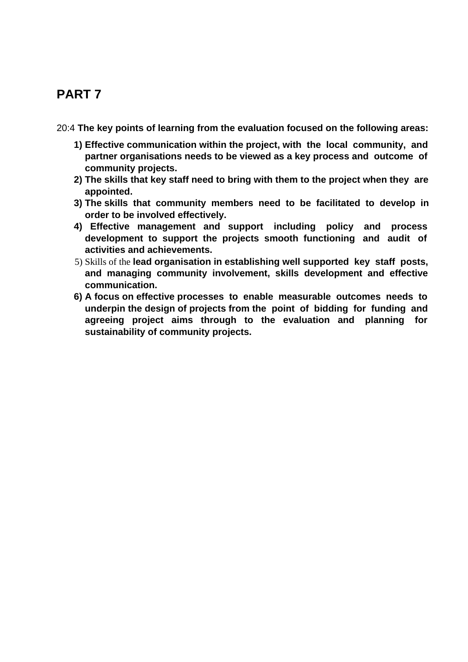# **PART 7**

20:4 **The key points of learning from the evaluation focused on the following areas:**

- **1) Effective communication within the project, with the local community, and partner organisations needs to be viewed as a key process and outcome of community projects.**
- **2) The skills that key staff need to bring with them to the project when they are appointed.**
- **3) The skills that community members need to be facilitated to develop in order to be involved effectively.**
- **4) Effective management and support including policy and process development to support the projects smooth functioning and audit of activities and achievements.**
- 5) Skills of the **lead organisation in establishing well supported key staff posts, and managing community involvement, skills development and effective communication.**
- **6) A focus on effective processes to enable measurable outcomes needs to underpin the design of projects from the point of bidding for funding and agreeing project aims through to the evaluation and planning for sustainability of community projects.**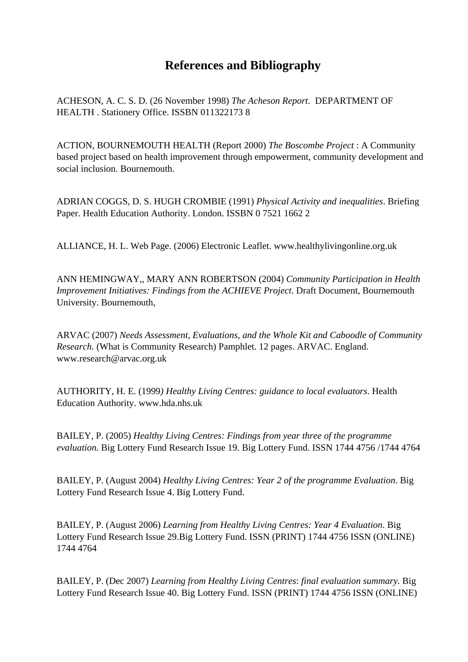## **References and Bibliography**

ACHESON, A. C. S. D. (26 November 1998) *The Acheson Report*. DEPARTMENT OF HEALTH . Stationery Office. ISSBN 011322173 8

ACTION, BOURNEMOUTH HEALTH (Report 2000) *The Boscombe Project* : A Community based project based on health improvement through empowerment, community development and social inclusion. Bournemouth.

ADRIAN COGGS, D. S. HUGH CROMBIE (1991) *Physical Activity and inequalities*. Briefing Paper. Health Education Authority. London. ISSBN 0 7521 1662 2

ALLIANCE, H. L. Web Page. (2006) Electronic Leaflet. www.healthylivingonline.org.uk

ANN HEMINGWAY,, MARY ANN ROBERTSON (2004) *Community Participation in Health Improvement Initiatives: Findings from the ACHIEVE Project*. Draft Document, Bournemouth University. Bournemouth,

ARVAC (2007) *Needs Assessment, Evaluations, and the Whole Kit and Caboodle of Community Research.* (What is Community Research) Pamphlet. 12 pages. ARVAC. England. www.research@arvac.org.uk

AUTHORITY, H. E. (1999*) Healthy Living Centres: guidance to local evaluators*. Health Education Authority. www.hda.nhs.uk

BAILEY, P. (2005) *Healthy Living Centres: Findings from year three of the programme evaluation.* Big Lottery Fund Research Issue 19. Big Lottery Fund. ISSN 1744 4756 /1744 4764

BAILEY, P. (August 2004) *Healthy Living Centres: Year 2 of the programme Evaluation*. Big Lottery Fund Research Issue 4. Big Lottery Fund.

BAILEY, P. (August 2006) *Learning from Healthy Living Centres: Year 4 Evaluation*. Big Lottery Fund Research Issue 29.Big Lottery Fund. ISSN (PRINT) 1744 4756 ISSN (ONLINE) 1744 4764

BAILEY, P. (Dec 2007) *Learning from Healthy Living Centres*: *final evaluation summary.* Big Lottery Fund Research Issue 40. Big Lottery Fund. ISSN (PRINT) 1744 4756 ISSN (ONLINE)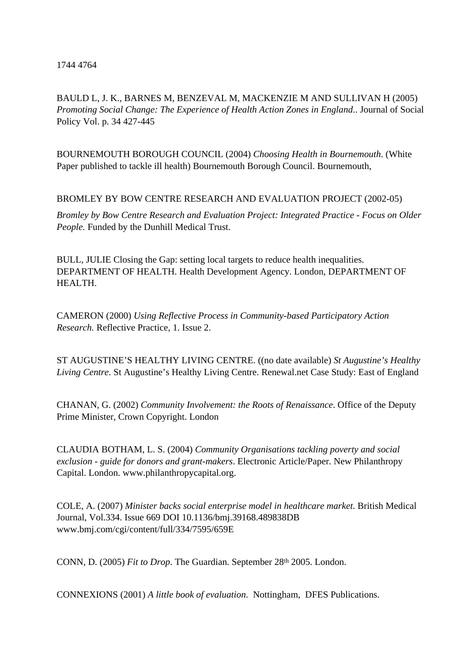1744 4764

BAULD L, J. K., BARNES M, BENZEVAL M, MACKENZIE M AND SULLIVAN H (2005) *Promoting Social Change: The Experience of Health Action Zones in England*.. Journal of Social Policy Vol. p. 34 427-445

BOURNEMOUTH BOROUGH COUNCIL (2004) *Choosing Health in Bournemouth*. (White Paper published to tackle ill health) Bournemouth Borough Council. Bournemouth,

BROMLEY BY BOW CENTRE RESEARCH AND EVALUATION PROJECT (2002-05)

*Bromley by Bow Centre Research and Evaluation Project: Integrated Practice - Focus on Older People.* Funded by the Dunhill Medical Trust.

BULL, JULIE Closing the Gap: setting local targets to reduce health inequalities. DEPARTMENT OF HEALTH. Health Development Agency. London, DEPARTMENT OF HEALTH.

CAMERON (2000) *Using Reflective Process in Community-based Participatory Action Research.* Reflective Practice, 1. Issue 2.

ST AUGUSTINE'S HEALTHY LIVING CENTRE. ((no date available) *St Augustine's Healthy Living Centre*. St Augustine's Healthy Living Centre. Renewal.net Case Study: East of England

CHANAN, G. (2002) *Community Involvement: the Roots of Renaissance*. Office of the Deputy Prime Minister, Crown Copyright. London

CLAUDIA BOTHAM, L. S. (2004) *Community Organisations tackling poverty and social exclusion - guide for donors and grant-makers*. Electronic Article/Paper. New Philanthropy Capital. London. www.philanthropycapital.org.

COLE, A. (2007) *Minister backs social enterprise model in healthcare market*. British Medical Journal, Vol.334. Issue 669 DOI 10.1136/bmj.39168.489838DB www.bmj.com/cgi/content/full/334/7595/659E

CONN, D. (2005) *Fit to Drop*. The Guardian. September 28<sup>th</sup> 2005. London.

CONNEXIONS (2001) *A little book of evaluation*. Nottingham, DFES Publications.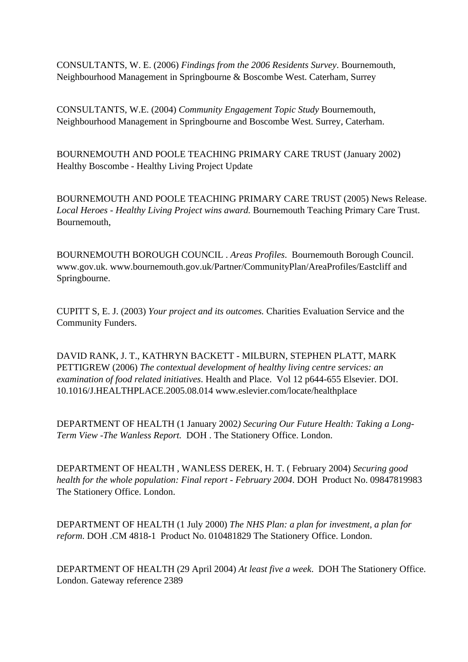CONSULTANTS, W. E. (2006) *Findings from the 2006 Residents Survey*. Bournemouth, Neighbourhood Management in Springbourne & Boscombe West. Caterham, Surrey

CONSULTANTS, W.E. (2004) *Community Engagement Topic Study* Bournemouth, Neighbourhood Management in Springbourne and Boscombe West. Surrey, Caterham.

BOURNEMOUTH AND POOLE TEACHING PRIMARY CARE TRUST (January 2002) Healthy Boscombe - Healthy Living Project Update

BOURNEMOUTH AND POOLE TEACHING PRIMARY CARE TRUST (2005) News Release. *Local Heroes - Healthy Living Project wins award.* Bournemouth Teaching Primary Care Trust. Bournemouth,

BOURNEMOUTH BOROUGH COUNCIL . *Areas Profiles*. Bournemouth Borough Council. www.gov.uk. www.bournemouth.gov.uk/Partner/CommunityPlan/AreaProfiles/Eastcliff and Springbourne.

CUPITT S, E. J. (2003) *Your project and its outcomes.* Charities Evaluation Service and the Community Funders.

DAVID RANK, J. T., KATHRYN BACKETT - MILBURN, STEPHEN PLATT, MARK PETTIGREW (2006) *The contextual development of healthy living centre services: an examination of food related initiatives*. Health and Place. Vol 12 p644-655 Elsevier. DOI. 10.1016/J.HEALTHPLACE.2005.08.014 www.eslevier.com/locate/healthplace

DEPARTMENT OF HEALTH (1 January 2002*) Securing Our Future Health: Taking a Long-Term View -The Wanless Report.* DOH . The Stationery Office. London.

DEPARTMENT OF HEALTH , WANLESS DEREK, H. T. ( February 2004) *Securing good health for the whole population: Final report - February 2004*. DOH Product No. 09847819983 The Stationery Office. London.

DEPARTMENT OF HEALTH (1 July 2000) *The NHS Plan: a plan for investment, a plan for reform*. DOH .CM 4818-1 Product No. 010481829 The Stationery Office. London.

DEPARTMENT OF HEALTH (29 April 2004) *At least five a week*. DOH The Stationery Office. London. Gateway reference 2389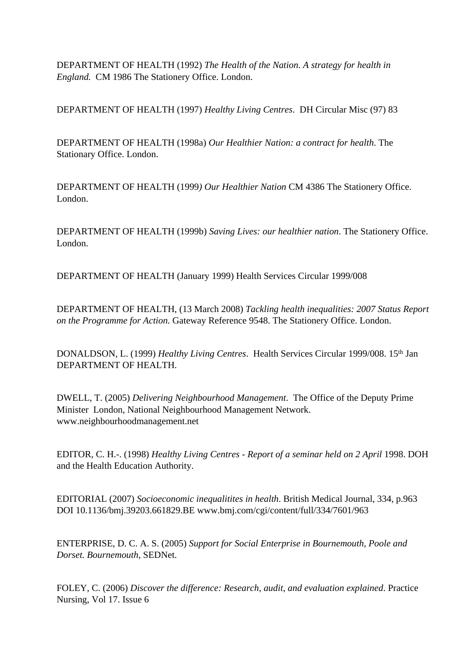DEPARTMENT OF HEALTH (1992) *The Health of the Nation*. *A strategy for health in England.* CM 1986 The Stationery Office. London.

DEPARTMENT OF HEALTH (1997) *Healthy Living Centres*. DH Circular Misc (97) 83

DEPARTMENT OF HEALTH (1998a) *Our Healthier Nation: a contract for health*. The Stationary Office. London.

DEPARTMENT OF HEALTH (1999*) Our Healthier Nation* CM 4386 The Stationery Office. London.

DEPARTMENT OF HEALTH (1999b) *Saving Lives: our healthier nation*. The Stationery Office. London.

DEPARTMENT OF HEALTH (January 1999) Health Services Circular 1999/008

DEPARTMENT OF HEALTH, (13 March 2008) *Tackling health inequalities: 2007 Status Report on the Programme for Action.* Gateway Reference 9548. The Stationery Office. London.

DONALDSON, L. (1999) *Healthy Living Centres*. Health Services Circular 1999/008. 15<sup>th</sup> Jan DEPARTMENT OF HEALTH.

DWELL, T. (2005) *Delivering Neighbourhood Management*. The Office of the Deputy Prime Minister London, National Neighbourhood Management Network. www.neighbourhoodmanagement.net

EDITOR, C. H.-. (1998) *Healthy Living Centres - Report of a seminar held on 2 April* 1998. DOH and the Health Education Authority.

EDITORIAL (2007) *Socioeconomic inequalitites in health*. British Medical Journal, 334, p.963 DOI 10.1136/bmj.39203.661829.BE www.bmj.com/cgi/content/full/334/7601/963

ENTERPRISE, D. C. A. S. (2005) *Support for Social Enterprise in Bournemouth, Poole and Dorset. Bournemouth*, SEDNet.

FOLEY, C. (2006) *Discover the difference: Research, audit, and evaluation explained*. Practice Nursing, Vol 17. Issue 6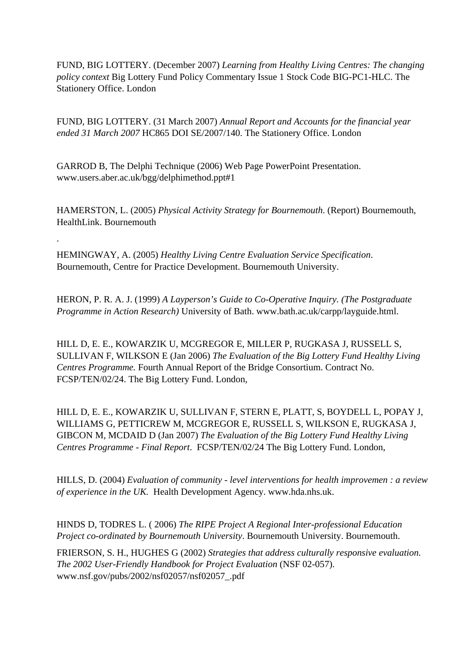FUND, BIG LOTTERY. (December 2007) *Learning from Healthy Living Centres: The changing policy context* Big Lottery Fund Policy Commentary Issue 1 Stock Code BIG-PC1-HLC. The Stationery Office. London

FUND, BIG LOTTERY. (31 March 2007) *Annual Report and Accounts for the financial year ended 31 March 2007* HC865 DOI SE/2007/140. The Stationery Office. London

GARROD B, The Delphi Technique (2006) Web Page PowerPoint Presentation. www.users.aber.ac.uk/bgg/delphimethod.ppt#1

HAMERSTON, L. (2005) *Physical Activity Strategy for Bournemouth*. (Report) Bournemouth, HealthLink. Bournemouth

HEMINGWAY, A. (2005) *Healthy Living Centre Evaluation Service Specification*. Bournemouth, Centre for Practice Development. Bournemouth University.

.

HERON, P. R. A. J. (1999) *A Layperson's Guide to Co-Operative Inquiry. (The Postgraduate Programme in Action Research)* University of Bath. www.bath.ac.uk/carpp/layguide.html.

HILL D, E. E., KOWARZIK U, MCGREGOR E, MILLER P, RUGKASA J, RUSSELL S, SULLIVAN F, WILKSON E (Jan 2006) *The Evaluation of the Big Lottery Fund Healthy Living Centres Programme.* Fourth Annual Report of the Bridge Consortium. Contract No. FCSP/TEN/02/24. The Big Lottery Fund. London,

HILL D, E. E., KOWARZIK U, SULLIVAN F, STERN E, PLATT, S, BOYDELL L, POPAY J, WILLIAMS G, PETTICREW M, MCGREGOR E, RUSSELL S, WILKSON E, RUGKASA J, GIBCON M, MCDAID D (Jan 2007) *The Evaluation of the Big Lottery Fund Healthy Living Centres Programme - Final Report*. FCSP/TEN/02/24 The Big Lottery Fund. London,

HILLS, D. (2004) *Evaluation of community - level interventions for health improvemen : a review of experience in the UK.* Health Development Agency. www.hda.nhs.uk.

HINDS D, TODRES L. ( 2006) *The RIPE Project A Regional Inter-professional Education Project co-ordinated by Bournemouth University*. Bournemouth University. Bournemouth.

FRIERSON, S. H., HUGHES G (2002) *Strategies that address culturally responsive evaluation. The 2002 User-Friendly Handbook for Project Evaluation* (NSF 02-057). www.nsf.gov/pubs/2002/nsf02057/nsf02057\_.pdf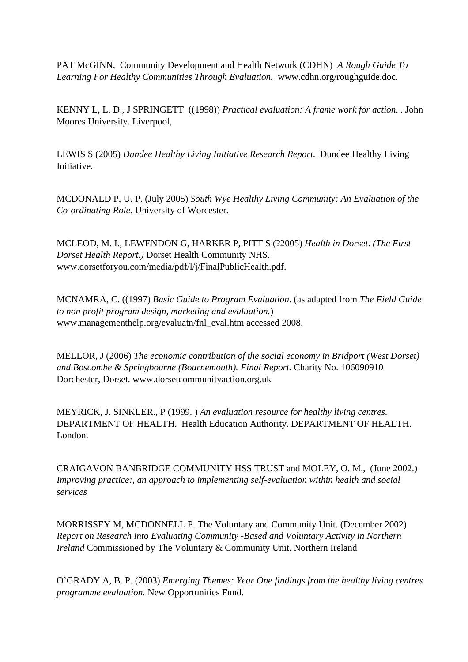PAT McGINN, Community Development and Health Network (CDHN) *A Rough Guide To Learning For Healthy Communities Through Evaluation.* www.cdhn.org/roughguide.doc.

KENNY L, L. D., J SPRINGETT ((1998)) *Practical evaluation: A frame work for action*. . John Moores University. Liverpool,

LEWIS S (2005) *Dundee Healthy Living Initiative Research Report*. Dundee Healthy Living Initiative.

MCDONALD P, U. P. (July 2005) *South Wye Healthy Living Community: An Evaluation of the Co-ordinating Role.* University of Worcester.

MCLEOD, M. I., LEWENDON G, HARKER P, PITT S (?2005) *Health in Dorset*. *(The First Dorset Health Report.)* Dorset Health Community NHS. www.dorsetforyou.com/media/pdf/l/j/FinalPublicHealth.pdf.

MCNAMRA, C. ((1997) *Basic Guide to Program Evaluation*. (as adapted from *The Field Guide to non profit program design, marketing and evaluation.*) www.managementhelp.org/evaluatn/fnl\_eval.htm accessed 2008.

MELLOR, J (2006) *The economic contribution of the social economy in Bridport (West Dorset) and Boscombe & Springbourne (Bournemouth). Final Report.* Charity No. 106090910 Dorchester, Dorset. www.dorsetcommunityaction.org.uk

MEYRICK, J. SINKLER., P (1999. ) *An evaluation resource for healthy living centres.* DEPARTMENT OF HEALTH. Health Education Authority. DEPARTMENT OF HEALTH. London.

CRAIGAVON BANBRIDGE COMMUNITY HSS TRUST and MOLEY, O. M., (June 2002.) *Improving practice:, an approach to implementing self-evaluation within health and social services*

MORRISSEY M, MCDONNELL P. The Voluntary and Community Unit. (December 2002) *Report on Research into Evaluating Community -Based and Voluntary Activity in Northern Ireland* Commissioned by The Voluntary & Community Unit. Northern Ireland

O'GRADY A, B. P. (2003) *Emerging Themes: Year One findings from the healthy living centres programme evaluation.* New Opportunities Fund.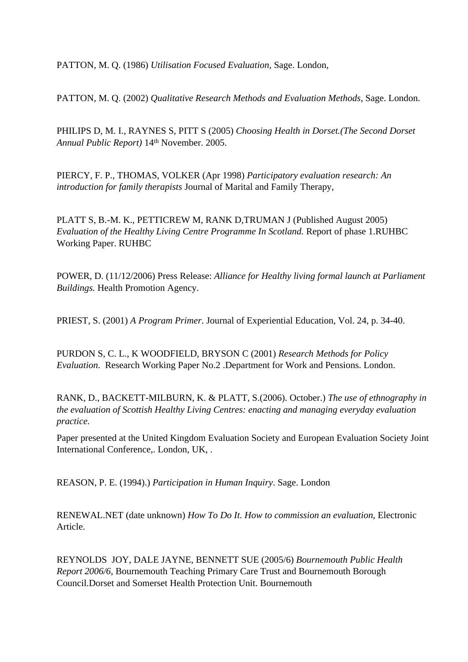PATTON, M. Q. (1986) *Utilisation Focused Evaluation,* Sage. London,

PATTON, M. Q. (2002) *Qualitative Research Methods and Evaluation Methods*, Sage. London.

PHILIPS D, M. I., RAYNES S, PITT S (2005) *Choosing Health in Dorset.(The Second Dorset Annual Public Report)* 14th November. 2005.

PIERCY, F. P., THOMAS, VOLKER (Apr 1998) *Participatory evaluation research: An introduction for family therapists* Journal of Marital and Family Therapy,

PLATT S, B.-M. K., PETTICREW M, RANK D,TRUMAN J (Published August 2005) *Evaluation of the Healthy Living Centre Programme In Scotland.* Report of phase 1.RUHBC Working Paper. RUHBC

POWER, D. (11/12/2006) Press Release: *Alliance for Healthy living formal launch at Parliament Buildings.* Health Promotion Agency.

PRIEST, S. (2001) *A Program Primer*. Journal of Experiential Education, Vol. 24, p. 34-40.

PURDON S, C. L., K WOODFIELD, BRYSON C (2001) *Research Methods for Policy Evaluation*. Research Working Paper No.2 .Department for Work and Pensions. London.

RANK, D., BACKETT-MILBURN, K. & PLATT, S.(2006). October.) *The use of ethnography in the evaluation of Scottish Healthy Living Centres: enacting and managing everyday evaluation practice.*

Paper presented at the United Kingdom Evaluation Society and European Evaluation Society Joint International Conference,. London, UK, .

REASON, P. E. (1994).) *Participation in Human Inquiry*. Sage. London

RENEWAL.NET (date unknown) *How To Do It. How to commission an evaluation*, Electronic Article.

REYNOLDS JOY, DALE JAYNE, BENNETT SUE (2005/6) *Bournemouth Public Health Report 2006/6*, Bournemouth Teaching Primary Care Trust and Bournemouth Borough Council.Dorset and Somerset Health Protection Unit. Bournemouth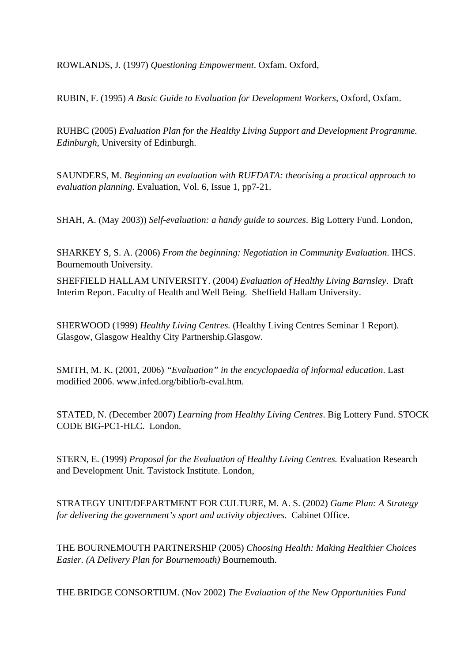ROWLANDS, J. (1997) *Questioning Empowerment*. Oxfam. Oxford,

RUBIN, F. (1995) *A Basic Guide to Evaluation for Development Workers*, Oxford, Oxfam.

RUHBC (2005) *Evaluation Plan for the Healthy Living Support and Development Programme. Edinburgh,* University of Edinburgh.

SAUNDERS, M. *Beginning an evaluation with RUFDATA: theorising a practical approach to evaluation planning.* Evaluation, Vol. 6, Issue 1, pp7-21.

SHAH, A. (May 2003)) *Self-evaluation: a handy guide to sources*. Big Lottery Fund. London,

SHARKEY S, S. A. (2006) *From the beginning: Negotiation in Community Evaluation*. IHCS. Bournemouth University.

SHEFFIELD HALLAM UNIVERSITY. (2004) *Evaluation of Healthy Living Barnsley*. Draft Interim Report. Faculty of Health and Well Being. Sheffield Hallam University.

SHERWOOD (1999) *Healthy Living Centres.* (Healthy Living Centres Seminar 1 Report). Glasgow, Glasgow Healthy City Partnership.Glasgow.

SMITH, M. K. (2001, 2006) *"Evaluation" in the encyclopaedia of informal education*. Last modified 2006. www.infed.org/biblio/b-eval.htm.

STATED, N. (December 2007) *Learning from Healthy Living Centres*. Big Lottery Fund. STOCK CODE BIG-PC1-HLC. London.

STERN, E. (1999) *Proposal for the Evaluation of Healthy Living Centres.* Evaluation Research and Development Unit. Tavistock Institute. London,

STRATEGY UNIT/DEPARTMENT FOR CULTURE, M. A. S. (2002) *Game Plan: A Strategy for delivering the government's sport and activity objectives.* Cabinet Office.

THE BOURNEMOUTH PARTNERSHIP (2005) *Choosing Health: Making Healthier Choices Easier. (A Delivery Plan for Bournemouth)* Bournemouth.

THE BRIDGE CONSORTIUM. (Nov 2002) *The Evaluation of the New Opportunities Fund*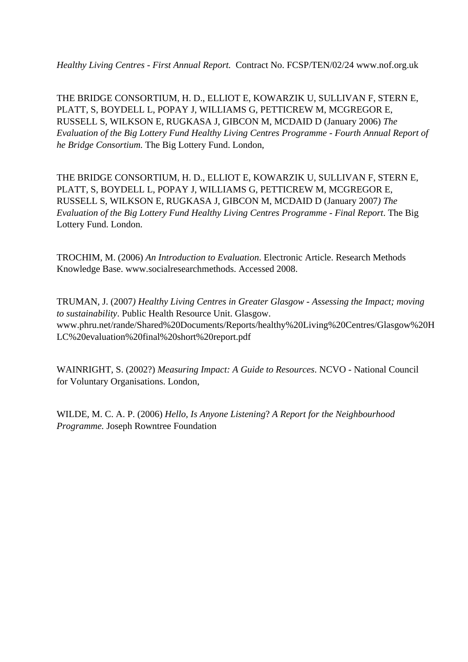*Healthy Living Centres - First Annual Report.* Contract No. FCSP/TEN/02/24 www.nof.org.uk

THE BRIDGE CONSORTIUM, H. D., ELLIOT E, KOWARZIK U, SULLIVAN F, STERN E, PLATT, S, BOYDELL L, POPAY J, WILLIAMS G, PETTICREW M, MCGREGOR E, RUSSELL S, WILKSON E, RUGKASA J, GIBCON M, MCDAID D (January 2006) *The Evaluation of the Big Lottery Fund Healthy Living Centres Programme - Fourth Annual Report of he Bridge Consortium.* The Big Lottery Fund. London,

THE BRIDGE CONSORTIUM, H. D., ELLIOT E, KOWARZIK U, SULLIVAN F, STERN E, PLATT, S, BOYDELL L, POPAY J, WILLIAMS G, PETTICREW M, MCGREGOR E, RUSSELL S, WILKSON E, RUGKASA J, GIBCON M, MCDAID D (January 2007*) The Evaluation of the Big Lottery Fund Healthy Living Centres Programme - Final Report*. The Big Lottery Fund. London.

TROCHIM, M. (2006) *An Introduction to Evaluation*. Electronic Article. Research Methods Knowledge Base. www.socialresearchmethods. Accessed 2008.

TRUMAN, J. (2007*) Healthy Living Centres in Greater Glasgow - Assessing the Impact; moving to sustainability*. Public Health Resource Unit. Glasgow. www.phru.net/rande/Shared%20Documents/Reports/healthy%20Living%20Centres/Glasgow%20H LC%20evaluation%20final%20short%20report.pdf

WAINRIGHT, S. (2002?) *Measuring Impact: A Guide to Resources*. NCVO - National Council for Voluntary Organisations. London,

WILDE, M. C. A. P. (2006) *Hello, Is Anyone Listening*? *A Report for the Neighbourhood Programme.* Joseph Rowntree Foundation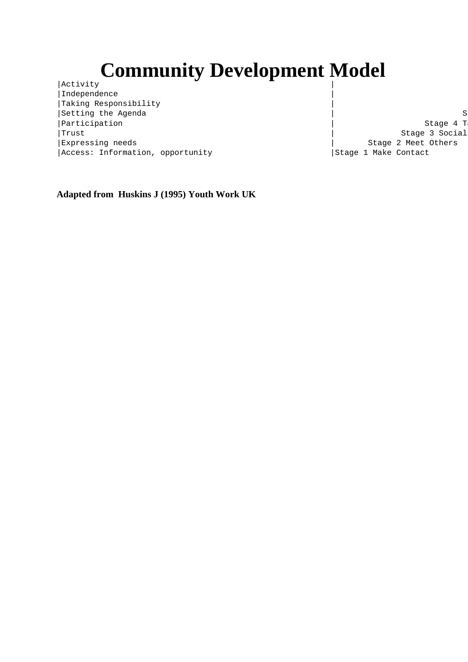# **Community Development Model**

 $|\text{Activity}|$ | Independence | Taking Responsibility |Setting the Agenda | Stage 5 Involved in the Stage 5 Involved in the Stage 5 Involved in the Stage 5 Involved in the Stage 5 Involved in the Stage 5 Involved in the Stage 5 Involved in the Stage 5 Involved in the Stage 5 | Participation | Stage 4 T | Trust | Stage 3 Social | Expressing needs | Stage 2 Meet Others | Stage 2 Meet Others | Stage 2 Meet Others | Stage 2 Meet Others | Stage 2 Meet Others | Stage 2 Meet Others | Stage 2 Meet Others | Stage 2 Meet Others | Stage 2 Meet Others | Sta |Access: Information, opportunity | |Stage 1 Make Contact

**Adapted from Huskins J (1995) Youth Work UK**